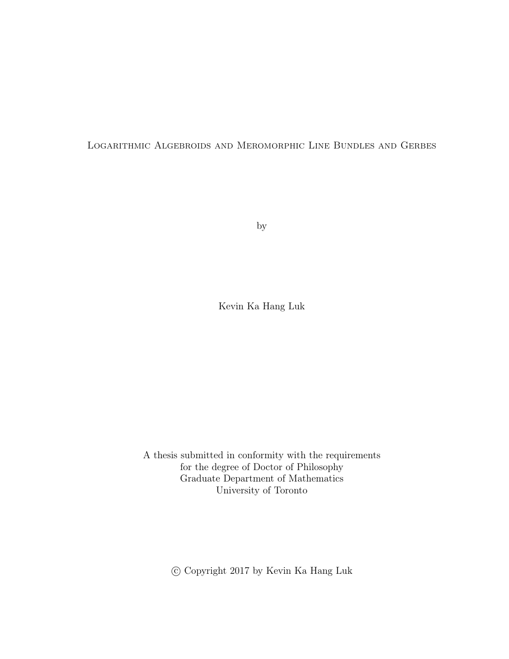### Logarithmic Algebroids and Meromorphic Line Bundles and Gerbes

by

Kevin Ka Hang Luk

A thesis submitted in conformity with the requirements for the degree of Doctor of Philosophy Graduate Department of Mathematics University of Toronto

c Copyright 2017 by Kevin Ka Hang Luk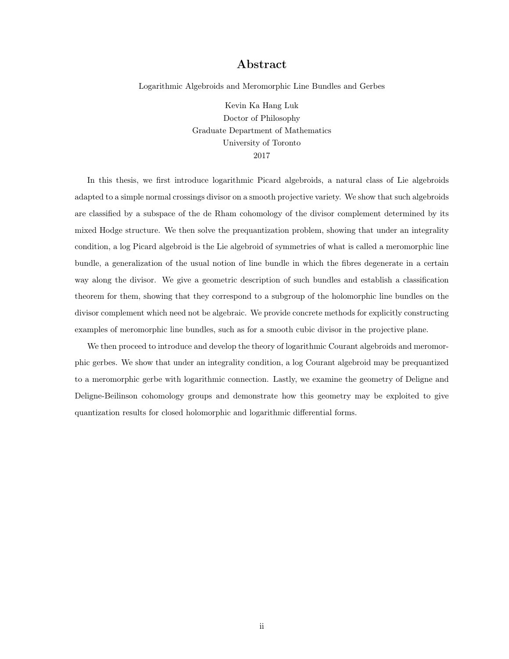### Abstract

Logarithmic Algebroids and Meromorphic Line Bundles and Gerbes

Kevin Ka Hang Luk Doctor of Philosophy Graduate Department of Mathematics University of Toronto 2017

In this thesis, we first introduce logarithmic Picard algebroids, a natural class of Lie algebroids adapted to a simple normal crossings divisor on a smooth projective variety. We show that such algebroids are classified by a subspace of the de Rham cohomology of the divisor complement determined by its mixed Hodge structure. We then solve the prequantization problem, showing that under an integrality condition, a log Picard algebroid is the Lie algebroid of symmetries of what is called a meromorphic line bundle, a generalization of the usual notion of line bundle in which the fibres degenerate in a certain way along the divisor. We give a geometric description of such bundles and establish a classification theorem for them, showing that they correspond to a subgroup of the holomorphic line bundles on the divisor complement which need not be algebraic. We provide concrete methods for explicitly constructing examples of meromorphic line bundles, such as for a smooth cubic divisor in the projective plane.

We then proceed to introduce and develop the theory of logarithmic Courant algebroids and meromorphic gerbes. We show that under an integrality condition, a log Courant algebroid may be prequantized to a meromorphic gerbe with logarithmic connection. Lastly, we examine the geometry of Deligne and Deligne-Beilinson cohomology groups and demonstrate how this geometry may be exploited to give quantization results for closed holomorphic and logarithmic differential forms.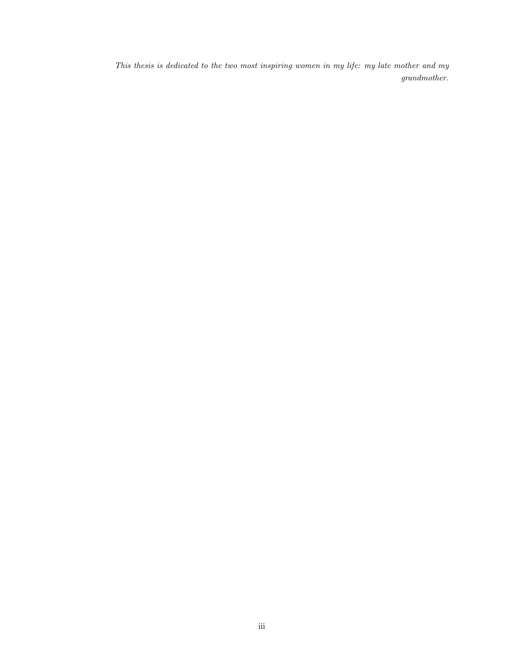This thesis is dedicated to the two most inspiring women in my life: my late mother and my grandmother.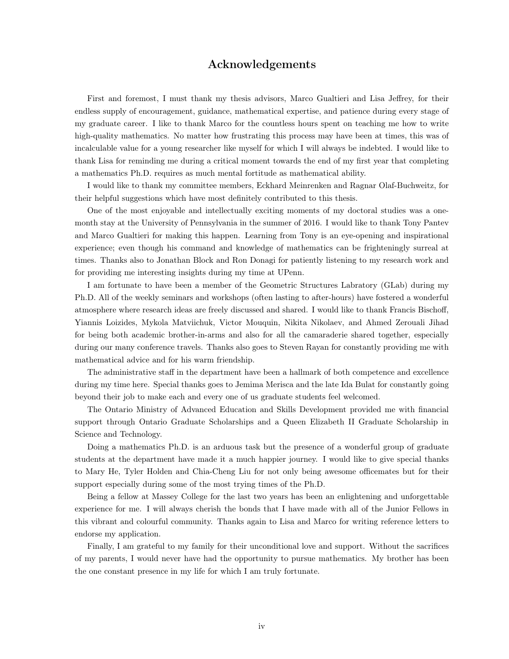### Acknowledgements

First and foremost, I must thank my thesis advisors, Marco Gualtieri and Lisa Jeffrey, for their endless supply of encouragement, guidance, mathematical expertise, and patience during every stage of my graduate career. I like to thank Marco for the countless hours spent on teaching me how to write high-quality mathematics. No matter how frustrating this process may have been at times, this was of incalculable value for a young researcher like myself for which I will always be indebted. I would like to thank Lisa for reminding me during a critical moment towards the end of my first year that completing a mathematics Ph.D. requires as much mental fortitude as mathematical ability.

I would like to thank my committee members, Eckhard Meinrenken and Ragnar Olaf-Buchweitz, for their helpful suggestions which have most definitely contributed to this thesis.

One of the most enjoyable and intellectually exciting moments of my doctoral studies was a onemonth stay at the University of Pennsylvania in the summer of 2016. I would like to thank Tony Pantev and Marco Gualtieri for making this happen. Learning from Tony is an eye-opening and inspirational experience; even though his command and knowledge of mathematics can be frighteningly surreal at times. Thanks also to Jonathan Block and Ron Donagi for patiently listening to my research work and for providing me interesting insights during my time at UPenn.

I am fortunate to have been a member of the Geometric Structures Labratory (GLab) during my Ph.D. All of the weekly seminars and workshops (often lasting to after-hours) have fostered a wonderful atmosphere where research ideas are freely discussed and shared. I would like to thank Francis Bischoff, Yiannis Loizides, Mykola Matviichuk, Victor Mouquin, Nikita Nikolaev, and Ahmed Zerouali Jihad for being both academic brother-in-arms and also for all the camaraderie shared together, especially during our many conference travels. Thanks also goes to Steven Rayan for constantly providing me with mathematical advice and for his warm friendship.

The administrative staff in the department have been a hallmark of both competence and excellence during my time here. Special thanks goes to Jemima Merisca and the late Ida Bulat for constantly going beyond their job to make each and every one of us graduate students feel welcomed.

The Ontario Ministry of Advanced Education and Skills Development provided me with financial support through Ontario Graduate Scholarships and a Queen Elizabeth II Graduate Scholarship in Science and Technology.

Doing a mathematics Ph.D. is an arduous task but the presence of a wonderful group of graduate students at the department have made it a much happier journey. I would like to give special thanks to Mary He, Tyler Holden and Chia-Cheng Liu for not only being awesome officemates but for their support especially during some of the most trying times of the Ph.D.

Being a fellow at Massey College for the last two years has been an enlightening and unforgettable experience for me. I will always cherish the bonds that I have made with all of the Junior Fellows in this vibrant and colourful community. Thanks again to Lisa and Marco for writing reference letters to endorse my application.

Finally, I am grateful to my family for their unconditional love and support. Without the sacrifices of my parents, I would never have had the opportunity to pursue mathematics. My brother has been the one constant presence in my life for which I am truly fortunate.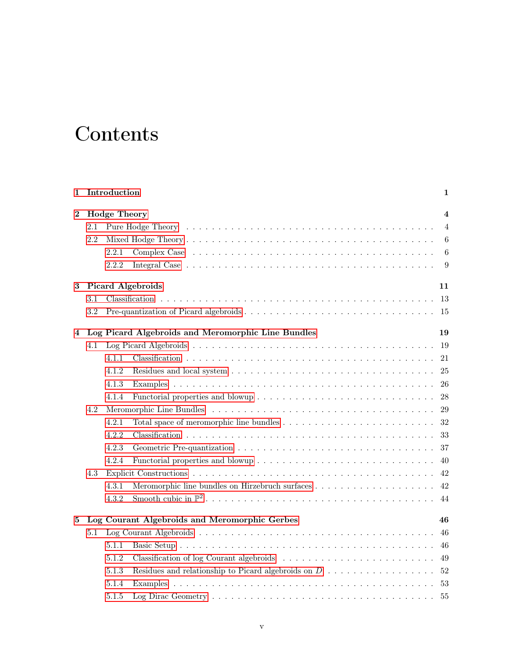## **Contents**

| 1        |                                | Introduction<br>1                                        |                                                                                          |                |  |  |  |
|----------|--------------------------------|----------------------------------------------------------|------------------------------------------------------------------------------------------|----------------|--|--|--|
| $\bf{2}$ |                                | <b>Hodge Theory</b><br>$\overline{\mathbf{4}}$           |                                                                                          |                |  |  |  |
|          | 2.1                            |                                                          |                                                                                          | $\overline{4}$ |  |  |  |
|          | 2.2                            |                                                          |                                                                                          | 6              |  |  |  |
|          |                                | 2.2.1                                                    |                                                                                          | 6              |  |  |  |
|          |                                | 2.2.2                                                    |                                                                                          | 9              |  |  |  |
| 3        | <b>Picard Algebroids</b><br>11 |                                                          |                                                                                          |                |  |  |  |
|          | 3.1                            |                                                          |                                                                                          | 13             |  |  |  |
|          | 3.2                            |                                                          |                                                                                          | -15            |  |  |  |
| 4        |                                | Log Picard Algebroids and Meromorphic Line Bundles<br>19 |                                                                                          |                |  |  |  |
|          | 4.1                            |                                                          |                                                                                          | -19            |  |  |  |
|          |                                | 4.1.1                                                    |                                                                                          | 21             |  |  |  |
|          |                                | 4.1.2                                                    |                                                                                          | 25             |  |  |  |
|          |                                | 4.1.3                                                    |                                                                                          | 26             |  |  |  |
|          |                                | 4.1.4                                                    |                                                                                          | 28             |  |  |  |
|          | 4.2                            |                                                          |                                                                                          | 29             |  |  |  |
|          |                                | 4.2.1                                                    |                                                                                          | 32             |  |  |  |
|          |                                | 4.2.2                                                    |                                                                                          | 33             |  |  |  |
|          |                                | 4.2.3                                                    |                                                                                          | 37             |  |  |  |
|          |                                | 4.2.4                                                    |                                                                                          | 40             |  |  |  |
|          | 4.3                            |                                                          |                                                                                          | 42             |  |  |  |
|          |                                | 4.3.1                                                    |                                                                                          | 42             |  |  |  |
|          |                                | 4.3.2                                                    |                                                                                          | 44             |  |  |  |
| 5        |                                | Log Courant Algebroids and Meromorphic Gerbes<br>46      |                                                                                          |                |  |  |  |
|          | 5.1                            |                                                          |                                                                                          | 46             |  |  |  |
|          |                                | 5.1.1                                                    |                                                                                          | 46             |  |  |  |
|          |                                | 5.1.2                                                    |                                                                                          | 49             |  |  |  |
|          |                                | 5.1.3                                                    | Residues and relationship to Picard algebroids on $D \ldots \ldots \ldots \ldots \ldots$ | 52             |  |  |  |
|          |                                | 5.1.4                                                    |                                                                                          | 53             |  |  |  |
|          |                                | 5.1.5                                                    |                                                                                          | 55             |  |  |  |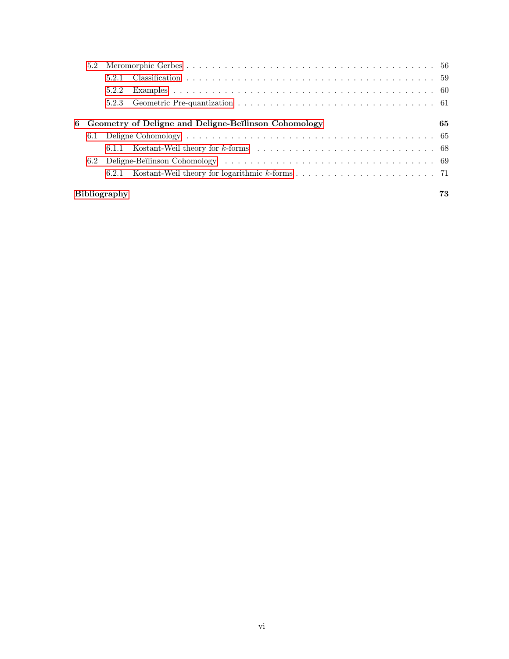|                     | 5.2.1                                                |  |     |  |  |  |
|---------------------|------------------------------------------------------|--|-----|--|--|--|
|                     | 5.2.2                                                |  |     |  |  |  |
|                     | 5.2.3                                                |  |     |  |  |  |
|                     |                                                      |  | 65. |  |  |  |
| 6                   | Geometry of Deligne and Deligne-Beilinson Cohomology |  |     |  |  |  |
|                     |                                                      |  |     |  |  |  |
|                     |                                                      |  |     |  |  |  |
|                     |                                                      |  |     |  |  |  |
|                     |                                                      |  |     |  |  |  |
| <b>Bibliography</b> |                                                      |  |     |  |  |  |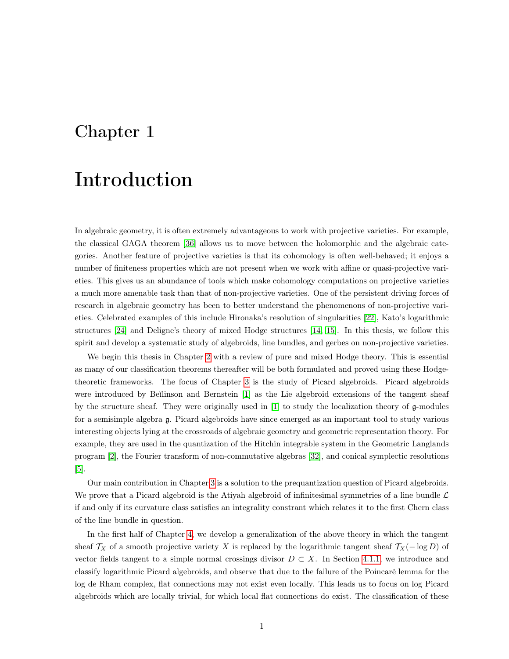### <span id="page-6-0"></span>Chapter 1

## Introduction

In algebraic geometry, it is often extremely advantageous to work with projective varieties. For example, the classical GAGA theorem [\[36\]](#page-81-0) allows us to move between the holomorphic and the algebraic categories. Another feature of projective varieties is that its cohomology is often well-behaved; it enjoys a number of finiteness properties which are not present when we work with affine or quasi-projective varieties. This gives us an abundance of tools which make cohomology computations on projective varieties a much more amenable task than that of non-projective varieties. One of the persistent driving forces of research in algebraic geometry has been to better understand the phenomenons of non-projective varieties. Celebrated examples of this include Hironaka's resolution of singularities [\[22\]](#page-80-0), Kato's logarithmic structures [\[24\]](#page-80-1) and Deligne's theory of mixed Hodge structures [\[14,](#page-79-0) [15\]](#page-79-1). In this thesis, we follow this spirit and develop a systematic study of algebroids, line bundles, and gerbes on non-projective varieties.

We begin this thesis in Chapter [2](#page-9-0) with a review of pure and mixed Hodge theory. This is essential as many of our classification theorems thereafter will be both formulated and proved using these Hodgetheoretic frameworks. The focus of Chapter [3](#page-16-0) is the study of Picard algebroids. Picard algebroids were introduced by Beĭlinson and Bernstein [\[1\]](#page-79-2) as the Lie algebroid extensions of the tangent sheaf by the structure sheaf. They were originally used in [\[1\]](#page-79-2) to study the localization theory of g-modules for a semisimple algebra g. Picard algebroids have since emerged as an important tool to study various interesting objects lying at the crossroads of algebraic geometry and geometric representation theory. For example, they are used in the quantization of the Hitchin integrable system in the Geometric Langlands program [\[2\]](#page-79-3), the Fourier transform of non-commutative algebras [\[32\]](#page-80-2), and conical symplectic resolutions [\[5\]](#page-79-4).

Our main contribution in Chapter [3](#page-16-0) is a solution to the prequantization question of Picard algebroids. We prove that a Picard algebroid is the Atiyah algebroid of infinitesimal symmetries of a line bundle  $\mathcal L$ if and only if its curvature class satisfies an integrality constrant which relates it to the first Chern class of the line bundle in question.

In the first half of Chapter [4,](#page-24-0) we develop a generalization of the above theory in which the tangent sheaf  $\mathcal{T}_X$  of a smooth projective variety X is replaced by the logarithmic tangent sheaf  $\mathcal{T}_X(- \log D)$  of vector fields tangent to a simple normal crossings divisor  $D \subset X$ . In Section [4.1.1,](#page-26-0) we introduce and classify logarithmic Picard algebroids, and observe that due to the failure of the Poincaré lemma for the log de Rham complex, flat connections may not exist even locally. This leads us to focus on log Picard algebroids which are locally trivial, for which local flat connections do exist. The classification of these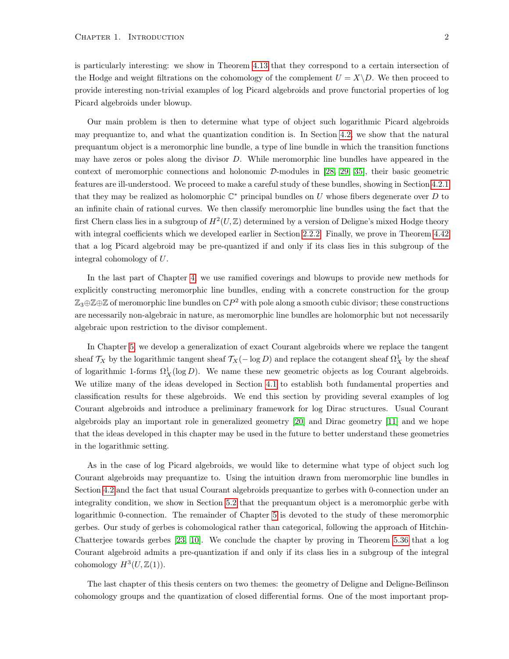Our main problem is then to determine what type of object such logarithmic Picard algebroids may prequantize to, and what the quantization condition is. In Section [4.2,](#page-34-0) we show that the natural prequantum object is a meromorphic line bundle, a type of line bundle in which the transition functions may have zeros or poles along the divisor D. While meromorphic line bundles have appeared in the context of meromorphic connections and holonomic D-modules in [\[28,](#page-80-3) [29,](#page-80-4) [35\]](#page-81-1), their basic geometric features are ill-understood. We proceed to make a careful study of these bundles, showing in Section [4.2.1](#page-37-0) that they may be realized as holomorphic  $\mathbb{C}^*$  principal bundles on U whose fibers degenerate over D to an infinite chain of rational curves. We then classify meromorphic line bundles using the fact that the first Chern class lies in a subgroup of  $H^2(U, \mathbb{Z})$  determined by a version of Deligne's mixed Hodge theory with integral coefficients which we developed earlier in Section [2.2.2.](#page-14-0) Finally, we prove in Theorem [4.42](#page-43-0) that a log Picard algebroid may be pre-quantized if and only if its class lies in this subgroup of the integral cohomology of U.

In the last part of Chapter [4,](#page-24-0) we use ramified coverings and blowups to provide new methods for explicitly constructing meromorphic line bundles, ending with a concrete construction for the group  $\mathbb{Z}_3 \oplus \mathbb{Z} \oplus \mathbb{Z}$  of meromorphic line bundles on  $\mathbb{C}P^2$  with pole along a smooth cubic divisor; these constructions are necessarily non-algebraic in nature, as meromorphic line bundles are holomorphic but not necessarily algebraic upon restriction to the divisor complement.

In Chapter [5,](#page-51-0) we develop a generalization of exact Courant algebroids where we replace the tangent sheaf  $\mathcal{T}_X$  by the logarithmic tangent sheaf  $\mathcal{T}_X(-\log D)$  and replace the cotangent sheaf  $\Omega^1_X$  by the sheaf of logarithmic 1-forms  $\Omega_X^1(\log D)$ . We name these new geometric objects as log Courant algebroids. We utilize many of the ideas developed in Section [4.1](#page-24-1) to establish both fundamental properties and classification results for these algebroids. We end this section by providing several examples of log Courant algebroids and introduce a preliminary framework for log Dirac structures. Usual Courant algebroids play an important role in generalized geometry [\[20\]](#page-80-5) and Dirac geometry [\[11\]](#page-79-5) and we hope that the ideas developed in this chapter may be used in the future to better understand these geometries in the logarithmic setting.

As in the case of log Picard algebroids, we would like to determine what type of object such log Courant algebroids may prequantize to. Using the intuition drawn from meromorphic line bundles in Section [4.2](#page-34-0) and the fact that usual Courant algebroids prequantize to gerbes with 0-connection under an integrality condition, we show in Section [5.2](#page-61-0) that the prequantum object is a meromorphic gerbe with logarithmic 0-connection. The remainder of Chapter [5](#page-51-0) is devoted to the study of these meromorphic gerbes. Our study of gerbes is cohomological rather than categorical, following the approach of Hitchin-Chatterjee towards gerbes [\[23,](#page-80-6) [10\]](#page-79-6). We conclude the chapter by proving in Theorem [5.36](#page-67-0) that a log Courant algebroid admits a pre-quantization if and only if its class lies in a subgroup of the integral cohomology  $H^3(U, \mathbb{Z}(1))$ .

The last chapter of this thesis centers on two themes: the geometry of Deligne and Deligne-Beĭlinson cohomology groups and the quantization of closed differential forms. One of the most important prop-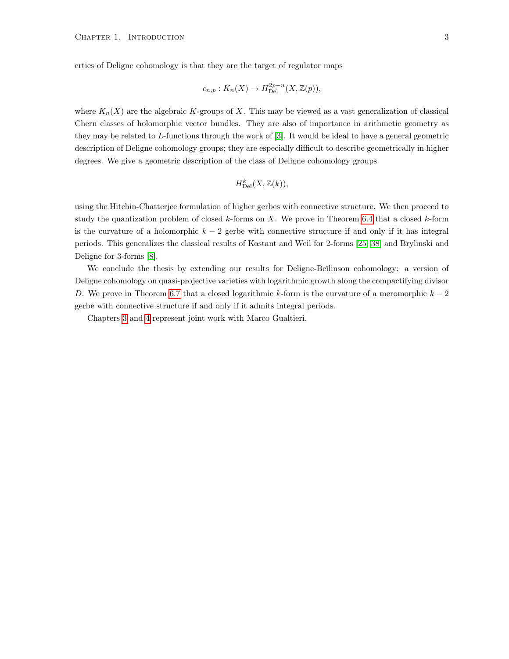$$
c_{n,p}: K_n(X) \to H^{2p-n}_{\mathrm{Del}}(X, \mathbb{Z}(p)),
$$

where  $K_n(X)$  are the algebraic K-groups of X. This may be viewed as a vast generalization of classical Chern classes of holomorphic vector bundles. They are also of importance in arithmetic geometry as they may be related to L-functions through the work of [\[3\]](#page-79-7). It would be ideal to have a general geometric description of Deligne cohomology groups; they are especially difficult to describe geometrically in higher degrees. We give a geometric description of the class of Deligne cohomology groups

$$
H^k_{\mathrm{Del}}(X,\mathbb{Z}(k)),
$$

using the Hitchin-Chatterjee formulation of higher gerbes with connective structure. We then proceed to study the quantization problem of closed  $k$ -forms on X. We prove in Theorem [6.4](#page-73-1) that a closed  $k$ -form is the curvature of a holomorphic  $k - 2$  gerbe with connective structure if and only if it has integral periods. This generalizes the classical results of Kostant and Weil for 2-forms [\[25,](#page-80-7) [38\]](#page-81-2) and Brylinski and Deligne for 3-forms [\[8\]](#page-79-8).

We conclude the thesis by extending our results for Deligne-Beĭlinson cohomology: a version of Deligne cohomology on quasi-projective varieties with logarithmic growth along the compactifying divisor D. We prove in Theorem [6.7](#page-76-1) that a closed logarithmic k-form is the curvature of a meromorphic  $k-2$ gerbe with connective structure if and only if it admits integral periods.

Chapters [3](#page-16-0) and [4](#page-24-0) represent joint work with Marco Gualtieri.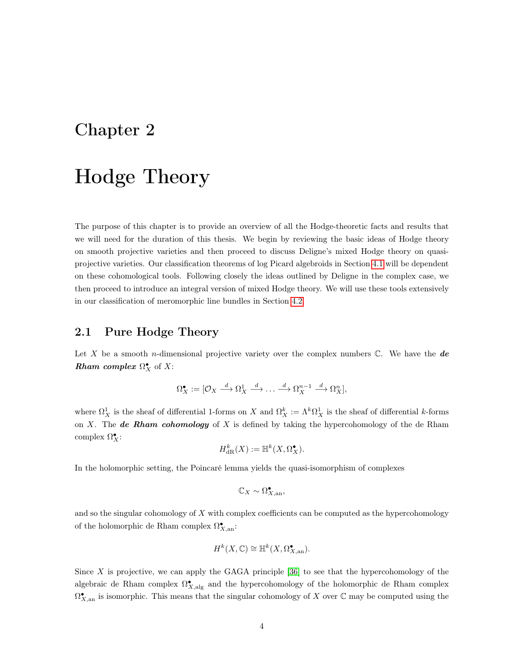### <span id="page-9-0"></span>Chapter 2

## Hodge Theory

The purpose of this chapter is to provide an overview of all the Hodge-theoretic facts and results that we will need for the duration of this thesis. We begin by reviewing the basic ideas of Hodge theory on smooth projective varieties and then proceed to discuss Deligne's mixed Hodge theory on quasiprojective varieties. Our classification theorems of log Picard algebroids in Section [4.1](#page-24-1) will be dependent on these cohomological tools. Following closely the ideas outlined by Deligne in the complex case, we then proceed to introduce an integral version of mixed Hodge theory. We will use these tools extensively in our classification of meromorphic line bundles in Section [4.2.](#page-34-0)

### <span id="page-9-1"></span>2.1 Pure Hodge Theory

Let X be a smooth n-dimensional projective variety over the complex numbers  $\mathbb{C}$ . We have the **de Rham complex**  $\Omega_X^{\bullet}$  of X:

$$
\Omega_X^{\bullet} := [\mathcal{O}_X \stackrel{d}{\longrightarrow} \Omega_X^1 \stackrel{d}{\longrightarrow} \dots \stackrel{d}{\longrightarrow} \Omega_X^{n-1} \stackrel{d}{\longrightarrow} \Omega_X^n],
$$

where  $\Omega^1_X$  is the sheaf of differential 1-forms on X and  $\Omega^k_X := \Lambda^k \Omega^1_X$  is the sheaf of differential k-forms on X. The **de Rham cohomology** of X is defined by taking the hypercohomology of the de Rham complex  $\Omega_X^{\bullet}$ :

$$
H^k_{\mathrm{dR}}(X) := \mathbb{H}^k(X, \Omega_X^{\bullet}).
$$

In the holomorphic setting, the Poincaré lemma yields the quasi-isomorphism of complexes

$$
\mathbb{C}_X \sim \Omega^\bullet_{X, \mathrm{an}},
$$

and so the singular cohomology of X with complex coefficients can be computed as the hypercohomology of the holomorphic de Rham complex  $\Omega_{X,\mathrm{an}}^{\bullet}$ :

$$
H^k(X, \mathbb{C}) \cong \mathbb{H}^k(X, \Omega_{X, \text{an}}^{\bullet}).
$$

Since  $X$  is projective, we can apply the GAGA principle  $[36]$  to see that the hypercohomology of the algebraic de Rham complex  $\Omega_{X,\mathrm{alg}}^{\bullet}$  and the hypercohomology of the holomorphic de Rham complex  $\Omega_{X,\mathrm{an}}^{\bullet}$  is isomorphic. This means that the singular cohomology of X over  $\mathbb C$  may be computed using the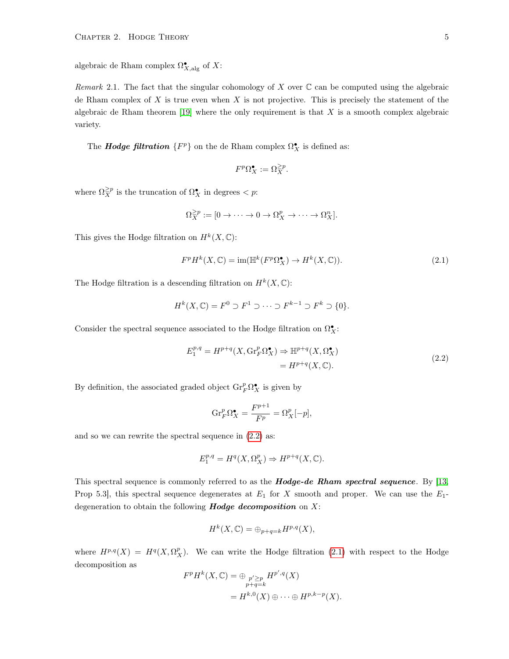algebraic de Rham complex  $\Omega_{X,\mathrm{alg}}^{\bullet}$  of X:

Remark 2.1. The fact that the singular cohomology of X over  $\mathbb C$  can be computed using the algebraic de Rham complex of X is true even when X is not projective. This is precisely the statement of the algebraic de Rham theorem  $[19]$  where the only requirement is that X is a smooth complex algebraic variety.

The **Hodge filtration**  $\{F^p\}$  on the de Rham complex  $\Omega_X^{\bullet}$  is defined as:

$$
F^p \Omega_X^{\bullet} := \Omega_X^{\geq p}.
$$

where  $\Omega_X^{\geq p}$  is the truncation of  $\Omega_X^{\bullet}$  in degrees  $\lt p$ :

$$
\Omega_X^{\geq p} := [0 \to \cdots \to 0 \to \Omega_X^p \to \cdots \to \Omega_X^n].
$$

This gives the Hodge filtration on  $H^k(X,\mathbb{C})$ :

<span id="page-10-1"></span>
$$
F^p H^k(X, \mathbb{C}) = \text{im}(\mathbb{H}^k (F^p \Omega_X^{\bullet}) \to H^k(X, \mathbb{C})).
$$
\n(2.1)

The Hodge filtration is a descending filtration on  $H^k(X, \mathbb{C})$ :

$$
H^k(X, \mathbb{C}) = F^0 \supset F^1 \supset \cdots \supset F^{k-1} \supset F^k \supset \{0\}.
$$

Consider the spectral sequence associated to the Hodge filtration on  $\Omega^\bullet_X\colon$ 

<span id="page-10-0"></span>
$$
E_1^{p,q} = H^{p+q}(X, \text{Gr}_F^p \Omega_X^{\bullet}) \Rightarrow \mathbb{H}^{p+q}(X, \Omega_X^{\bullet})
$$
  
=  $H^{p+q}(X, \mathbb{C}).$  (2.2)

By definition, the associated graded object  $\mathrm{Gr}_F^p \Omega_X^{\bullet}$  is given by

$$
\mathrm{Gr}_F^p \Omega_X^{\bullet} = \frac{F^{p+1}}{F^p} = \Omega_X^p[-p],
$$

and so we can rewrite the spectral sequence in [\(2.2\)](#page-10-0) as:

$$
E_1^{p,q} = H^q(X, \Omega_X^p) \Rightarrow H^{p+q}(X, \mathbb{C}).
$$

This spectral sequence is commonly referred to as the **Hodge-de Rham spectral sequence**. By  $[13,$ Prop 5.3, this spectral sequence degenerates at  $E_1$  for X smooth and proper. We can use the  $E_1$ degeneration to obtain the following **Hodge decomposition** on  $X$ :

$$
H^k(X, \mathbb{C}) = \bigoplus_{p+q=k} H^{p,q}(X),
$$

where  $H^{p,q}(X) = H^q(X, \Omega_X^p)$ . We can write the Hodge filtration [\(2.1\)](#page-10-1) with respect to the Hodge decomposition as

$$
F^{p}H^{k}(X,\mathbb{C}) = \bigoplus_{\substack{p' \geq p \\ p+q=k}} H^{p',q}(X)
$$
  
=  $H^{k,0}(X) \oplus \cdots \oplus H^{p,k-p}(X).$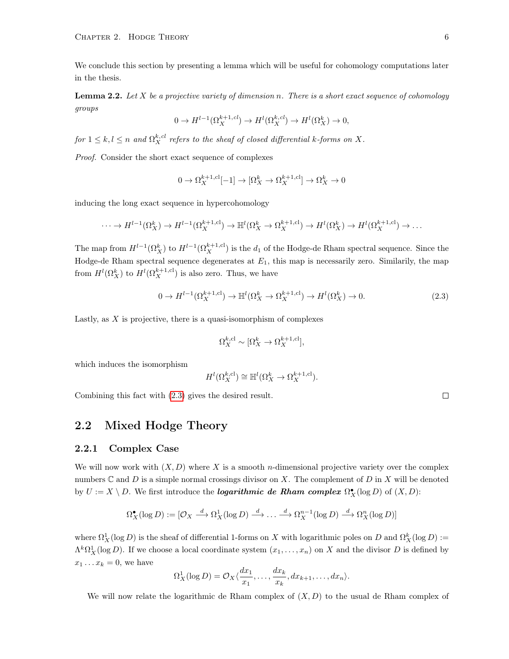We conclude this section by presenting a lemma which will be useful for cohomology computations later in the thesis.

**Lemma 2.2.** Let X be a projective variety of dimension n. There is a short exact sequence of cohomology groups

$$
0 \to H^{l-1}(\Omega_X^{k+1, cl}) \to H^l(\Omega_X^{k, cl}) \to H^l(\Omega_X^k) \to 0,
$$

for  $1 \leq k, l \leq n$  and  $\Omega_X^{k,cl}$  refers to the sheaf of closed differential k-forms on X.

Proof. Consider the short exact sequence of complexes

$$
0 \to \Omega_X^{k+1, \text{cl}}[-1] \to [\Omega_X^k \to \Omega_X^{k+1, \text{cl}}] \to \Omega_X^k \to 0
$$

inducing the long exact sequence in hypercohomology

$$
\cdots \to H^{l-1}(\Omega_X^k) \to H^{l-1}(\Omega_X^{k+1, \mathrm{cl}}) \to \mathbb{H}^l(\Omega_X^k \to \Omega_X^{k+1, \mathrm{cl}}) \to H^l(\Omega_X^k) \to H^l(\Omega_X^{k+1, \mathrm{cl}}) \to \dots
$$

The map from  $H^{l-1}(\Omega_X^k)$  to  $H^{l-1}(\Omega_X^{k+1, cl})$  is the  $d_1$  of the Hodge-de Rham spectral sequence. Since the Hodge-de Rham spectral sequence degenerates at  $E_1$ , this map is necessarily zero. Similarily, the map from  $H^l(\Omega_X^k)$  to  $H^l(\Omega_X^{k+1, \text{cl}})$  is also zero. Thus, we have

<span id="page-11-2"></span>
$$
0 \to H^{l-1}(\Omega_X^{k+1, \text{cl}}) \to \mathbb{H}^l(\Omega_X^k \to \Omega_X^{k+1, \text{cl}}) \to H^l(\Omega_X^k) \to 0. \tag{2.3}
$$

Lastly, as  $X$  is projective, there is a quasi-isomorphism of complexes

$$
\Omega_X^{k,\text{cl}} \sim [\Omega_X^k \to \Omega_X^{k+1,\text{cl}}],
$$

which induces the isomorphism

$$
H^l(\Omega_X^{k,\text{cl}}) \cong \mathbb{H}^l(\Omega_X^k \to \Omega_X^{k+1,\text{cl}}).
$$

Combining this fact with [\(2.3\)](#page-11-2) gives the desired result.

### <span id="page-11-0"></span>2.2 Mixed Hodge Theory

### <span id="page-11-1"></span>2.2.1 Complex Case

We will now work with  $(X, D)$  where X is a smooth *n*-dimensional projective variety over the complex numbers  $\mathbb C$  and  $D$  is a simple normal crossings divisor on X. The complement of  $D$  in X will be denoted by  $U := X \setminus D$ . We first introduce the **logarithmic de Rham complex**  $\Omega_X^{\bullet}(\log D)$  of  $(X, D)$ :

$$
\Omega_X^{\bullet}(\log D) := [\mathcal{O}_X \xrightarrow{d} \Omega_X^1(\log D) \xrightarrow{d} \dots \xrightarrow{d} \Omega_X^{n-1}(\log D) \xrightarrow{d} \Omega_X^n(\log D)]
$$

where  $\Omega^1_X(\log D)$  is the sheaf of differential 1-forms on X with logarithmic poles on D and  $\Omega^k_X(\log D)$  :=  $\Lambda^k\Omega^1_X(\log D)$ . If we choose a local coordinate system  $(x_1,\ldots,x_n)$  on X and the divisor D is defined by  $x_1 \dots x_k = 0$ , we have

$$
\Omega_X^1(\log D) = \mathcal{O}_X\langle \frac{dx_1}{x_1}, \dots, \frac{dx_k}{x_k}, dx_{k+1}, \dots, dx_n \rangle.
$$

We will now relate the logarithmic de Rham complex of  $(X, D)$  to the usual de Rham complex of

 $\Box$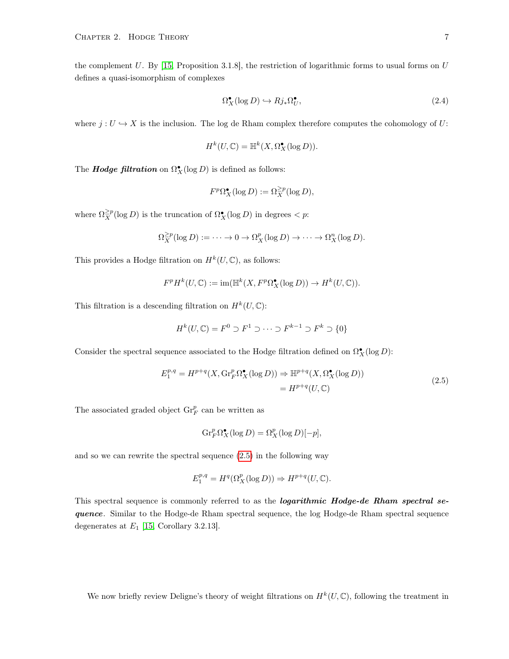the complement U. By [\[15,](#page-79-1) Proposition 3.1.8], the restriction of logarithmic forms to usual forms on  $U$ defines a quasi-isomorphism of complexes

<span id="page-12-1"></span>
$$
\Omega_X^{\bullet}(\log D) \hookrightarrow Rj_*\Omega_U^{\bullet},\tag{2.4}
$$

where  $j: U \hookrightarrow X$  is the inclusion. The log de Rham complex therefore computes the cohomology of U:

$$
H^k(U, \mathbb{C}) = \mathbb{H}^k(X, \Omega_X^{\bullet}(\log D)).
$$

The **Hodge filtration** on  $\Omega_X^{\bullet}(\log D)$  is defined as follows:

$$
F^p \Omega_X^{\bullet}(\log D) := \Omega_X^{\geq p}(\log D),
$$

where  $\Omega_X^{\geq p}(\log D)$  is the truncation of  $\Omega_X^{\bullet}(\log D)$  in degrees  $\lt p$ :

$$
\Omega_X^{\geq p}(\log D) := \cdots \to 0 \to \Omega_X^p(\log D) \to \cdots \to \Omega_X^n(\log D).
$$

This provides a Hodge filtration on  $H^k(U, \mathbb{C})$ , as follows:

$$
F^pH^k(U,\mathbb{C}):=\operatorname{im}(\mathbb{H}^k(X,F^p\Omega_X^\bullet(\log D))\rightarrow H^k(U,\mathbb{C})).
$$

This filtration is a descending filtration on  $H^k(U, \mathbb{C})$ :

$$
H^k(U, \mathbb{C}) = F^0 \supset F^1 \supset \cdots \supset F^{k-1} \supset F^k \supset \{0\}
$$

Consider the spectral sequence associated to the Hodge filtration defined on  $\Omega_X^{\bullet}(\log D)$ :

<span id="page-12-0"></span>
$$
E_1^{p,q} = H^{p+q}(X, \text{Gr}_F^p \Omega_X^{\bullet}(\log D)) \Rightarrow \mathbb{H}^{p+q}(X, \Omega_X^{\bullet}(\log D))
$$
  
= 
$$
H^{p+q}(U, \mathbb{C})
$$
 (2.5)

The associated graded object  $\text{Gr}_F^p$  can be written as

$$
\mathrm{Gr}_F^p \Omega_X^{\bullet}(\log D) = \Omega_X^p(\log D)[-p],
$$

and so we can rewrite the spectral sequence [\(2.5\)](#page-12-0) in the following way

$$
E_1^{p,q}=H^q(\Omega^p_X(\log D))\Rightarrow H^{p+q}(U,\mathbb{C}).
$$

This spectral sequence is commonly referred to as the *logarithmic Hodge-de Rham spectral se*quence. Similar to the Hodge-de Rham spectral sequence, the log Hodge-de Rham spectral sequence degenerates at  $E_1$  [\[15,](#page-79-1) Corollary 3.2.13].

We now briefly review Deligne's theory of weight filtrations on  $H^k(U, \mathbb{C})$ , following the treatment in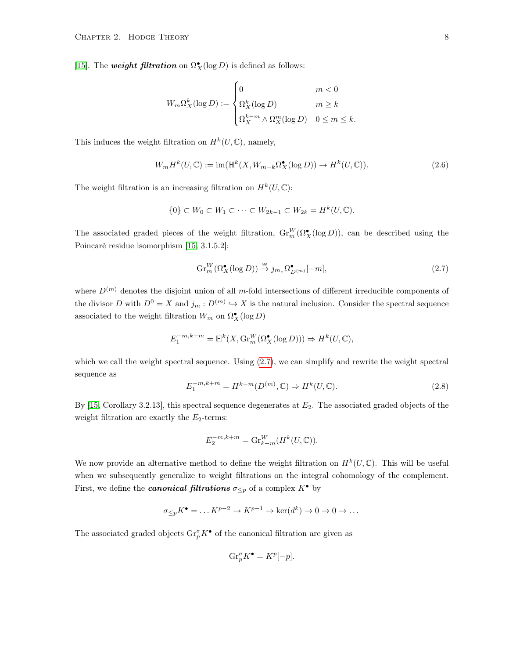[\[15\]](#page-79-1). The weight filtration on  $\Omega_X^{\bullet}(\log D)$  is defined as follows:

$$
W_m \Omega_X^k(\log D) := \begin{cases} 0 & m < 0\\ \Omega_X^k(\log D) & m \ge k\\ \Omega_X^{k-m} \wedge \Omega_X^m(\log D) & 0 \le m \le k. \end{cases}
$$

This induces the weight filtration on  $H^k(U, \mathbb{C})$ , namely,

<span id="page-13-1"></span>
$$
W_m H^k(U, \mathbb{C}) := \text{im}(\mathbb{H}^k(X, W_{m-k}\Omega_X^{\bullet}(\log D)) \to H^k(U, \mathbb{C})).\tag{2.6}
$$

The weight filtration is an increasing filtration on  $H^k(U, \mathbb{C})$ :

$$
\{0\} \subset W_0 \subset W_1 \subset \cdots \subset W_{2k-1} \subset W_{2k} = H^k(U, \mathbb{C}).
$$

The associated graded pieces of the weight filtration,  $\operatorname{Gr}_m^W(\Omega_X^{\bullet}(\log D))$ , can be described using the Poincaré residue isomorphism [\[15,](#page-79-1) 3.1.5.2]:

<span id="page-13-0"></span>
$$
\operatorname{Gr}_{m}^{W}(\Omega_{X}^{\bullet}(\log D)) \stackrel{\cong}{\to} j_{m*}\Omega_{D^{(m)}}^{\bullet}[-m],\tag{2.7}
$$

where  $D^{(m)}$  denotes the disjoint union of all m-fold intersections of different irreducible components of the divisor D with  $D^0 = X$  and  $j_m : D^{(m)} \hookrightarrow X$  is the natural inclusion. Consider the spectral sequence associated to the weight filtration  $W_m$  on  $\Omega_X^{\bullet}(\log D)$ 

$$
E_1^{-m,k+m} = \mathbb{H}^k(X, \operatorname{Gr}_m^W(\Omega_X^{\bullet}(\log D))) \Rightarrow H^k(U, \mathbb{C}),
$$

which we call the weight spectral sequence. Using [\(2.7\)](#page-13-0), we can simplify and rewrite the weight spectral sequence as

<span id="page-13-2"></span>
$$
E_1^{-m,k+m} = H^{k-m}(D^{(m)}, \mathbb{C}) \Rightarrow H^k(U, \mathbb{C}).
$$
\n(2.8)

By  $[15, Corollary 3.2.13]$  $[15, Corollary 3.2.13]$ , this spectral sequence degenerates at  $E_2$ . The associated graded objects of the weight filtration are exactly the  $E_2$ -terms:

$$
E_2^{-m,k+m} = \mathrm{Gr}_{k+m}^W(H^k(U,\mathbb{C})).
$$

We now provide an alternative method to define the weight filtration on  $H^k(U, \mathbb{C})$ . This will be useful when we subsequently generalize to weight filtrations on the integral cohomology of the complement. First, we define the *canonical filtrations*  $\sigma_{\leq p}$  of a complex  $K^{\bullet}$  by

$$
\sigma_{\leq p} K^{\bullet} = \dots K^{p-2} \to K^{p-1} \to \ker(d^k) \to 0 \to 0 \to \dots
$$

The associated graded objects  $\text{Gr}^{\sigma}_{p}K^{\bullet}$  of the canonical filtration are given as

$$
\mathrm{Gr}_{p}^{\sigma}K^{\bullet} = K^{p}[-p].
$$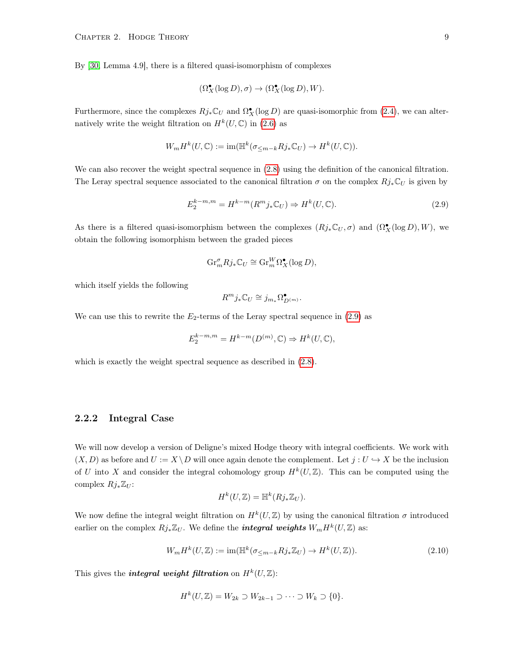By [\[30,](#page-80-9) Lemma 4.9], there is a filtered quasi-isomorphism of complexes

$$
(\Omega_X^{\bullet}(\log D), \sigma) \to (\Omega_X^{\bullet}(\log D), W).
$$

Furthermore, since the complexes  $Rj_*\mathbb{C}_U$  and  $\Omega^{\bullet}_X(\log D)$  are quasi-isomorphic from [\(2.4\)](#page-12-1), we can alternatively write the weight filtration on  $H^k(U, \mathbb{C})$  in [\(2.6\)](#page-13-1) as

$$
W_m H^k(U, \mathbb{C}) := \text{im}(\mathbb{H}^k(\sigma_{\leq m-k} R j_* \mathbb{C}_U) \to H^k(U, \mathbb{C})).
$$

We can also recover the weight spectral sequence in  $(2.8)$  using the definition of the canonical filtration. The Leray spectral sequence associated to the canonical filtration  $\sigma$  on the complex  $Rj_*\mathbb{C}_U$  is given by

<span id="page-14-1"></span>
$$
E_2^{k-m,m} = H^{k-m}(R^m j_* \mathbb{C}_U) \Rightarrow H^k(U, \mathbb{C}).
$$
\n(2.9)

As there is a filtered quasi-isomorphism between the complexes  $(Rj_*\mathbb{C}_U,\sigma)$  and  $(\Omega_X^{\bullet}(\log D), W)$ , we obtain the following isomorphism between the graded pieces

$$
\mathrm{Gr}_{m}^{\sigma} R j_* \mathbb{C}_U \cong \mathrm{Gr}_{m}^W \Omega_X^{\bullet}(\log D),
$$

which itself yields the following

$$
R^m j_* \mathbb{C}_U \cong j_{m_*} \Omega^\bullet_{D^{(m)}}.
$$

We can use this to rewrite the  $E_2$ -terms of the Leray spectral sequence in  $(2.9)$  as

$$
E_2^{k-m,m}=H^{k-m}(D^{(m)},\mathbb{C})\Rightarrow H^k(U,\mathbb{C}),
$$

which is exactly the weight spectral sequence as described in  $(2.8)$ .

### <span id="page-14-0"></span>2.2.2 Integral Case

We will now develop a version of Deligne's mixed Hodge theory with integral coefficients. We work with  $(X, D)$  as before and  $U := X \ D$  will once again denote the complement. Let  $j : U \hookrightarrow X$  be the inclusion of U into X and consider the integral cohomology group  $H^k(U,\mathbb{Z})$ . This can be computed using the complex  $Rj_*\mathbb{Z}_U$ :

$$
H^k(U, \mathbb{Z}) = \mathbb{H}^k(Rj_*\mathbb{Z}_U).
$$

We now define the integral weight filtration on  $H^k(U,\mathbb{Z})$  by using the canonical filtration  $\sigma$  introduced earlier on the complex  $Rj_*\mathbb{Z}_U$ . We define the *integral weights*  $W_mH^k(U,\mathbb{Z})$  as:

$$
W_m H^k(U, \mathbb{Z}) := \text{im}(\mathbb{H}^k(\sigma_{\leq m-k} R j_* \mathbb{Z}_U) \to H^k(U, \mathbb{Z})).\tag{2.10}
$$

This gives the *integral weight filtration* on  $H^k(U, \mathbb{Z})$ :

$$
H^k(U, \mathbb{Z}) = W_{2k} \supset W_{2k-1} \supset \cdots \supset W_k \supset \{0\}.
$$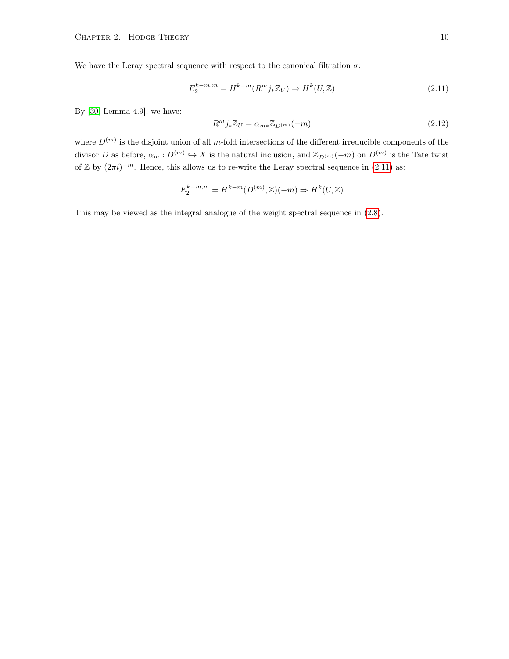We have the Leray spectral sequence with respect to the canonical filtration  $\sigma$ :

<span id="page-15-0"></span>
$$
E_2^{k-m,m} = H^{k-m}(R^m j_* \mathbb{Z}_U) \Rightarrow H^k(U, \mathbb{Z})
$$
\n
$$
(2.11)
$$

By [\[30,](#page-80-9) Lemma 4.9], we have:

$$
R^{m}j_{*}\mathbb{Z}_{U} = \alpha_{m*}\mathbb{Z}_{D^{(m)}}(-m)
$$
\n(2.12)

where  $D^{(m)}$  is the disjoint union of all m-fold intersections of the different irreducible components of the divisor D as before,  $\alpha_m: D^{(m)} \hookrightarrow X$  is the natural inclusion, and  $\mathbb{Z}_{D^{(m)}}(-m)$  on  $D^{(m)}$  is the Tate twist of  $\mathbb{Z}$  by  $(2\pi i)^{-m}$ . Hence, this allows us to re-write the Leray spectral sequence in  $(2.11)$  as:

$$
E_2^{k-m,m} = H^{k-m}(D^{(m)},\mathbb{Z})(-m) \Rightarrow H^k(U,\mathbb{Z})
$$

This may be viewed as the integral analogue of the weight spectral sequence in [\(2.8\)](#page-13-2).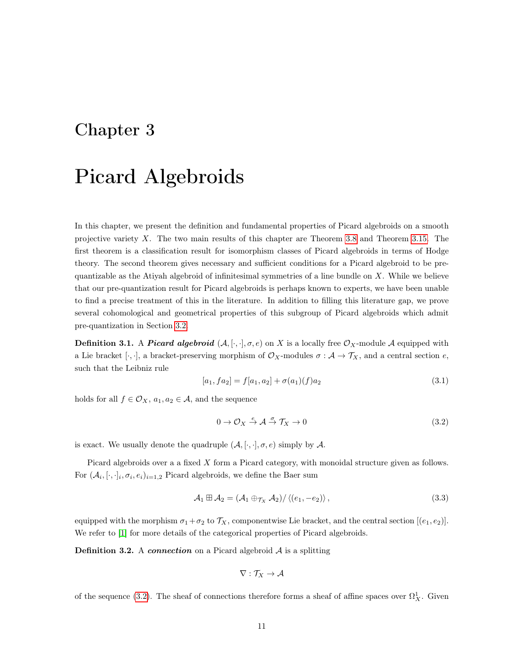### <span id="page-16-0"></span>Chapter 3

## Picard Algebroids

In this chapter, we present the definition and fundamental properties of Picard algebroids on a smooth projective variety X. The two main results of this chapter are Theorem [3.8](#page-18-1) and Theorem [3.15.](#page-21-0) The first theorem is a classification result for isomorphism classes of Picard algebroids in terms of Hodge theory. The second theorem gives necessary and sufficient conditions for a Picard algebroid to be prequantizable as the Atiyah algebroid of infinitesimal symmetries of a line bundle on  $X$ . While we believe that our pre-quantization result for Picard algebroids is perhaps known to experts, we have been unable to find a precise treatment of this in the literature. In addition to filling this literature gap, we prove several cohomological and geometrical properties of this subgroup of Picard algebroids which admit pre-quantization in Section [3.2.](#page-20-0)

**Definition 3.1.** A *Picard algebroid*  $(A, [\cdot, \cdot], \sigma, e)$  on X is a locally free  $\mathcal{O}_X$ -module A equipped with a Lie bracket [ $\cdot$ , $\cdot$ ], a bracket-preserving morphism of  $\mathcal{O}_X$ -modules  $\sigma : \mathcal{A} \to \mathcal{T}_X$ , and a central section  $e$ , such that the Leibniz rule

<span id="page-16-2"></span>
$$
[a_1, fa_2] = f[a_1, a_2] + \sigma(a_1)(f)a_2 \tag{3.1}
$$

holds for all  $f \in \mathcal{O}_X$ ,  $a_1, a_2 \in \mathcal{A}$ , and the sequence

<span id="page-16-1"></span>
$$
0 \to \mathcal{O}_X \stackrel{e}{\to} \mathcal{A} \stackrel{\sigma}{\to} \mathcal{T}_X \to 0 \tag{3.2}
$$

is exact. We usually denote the quadruple  $(A, [\cdot, \cdot], \sigma, e)$  simply by A.

Picard algebroids over a a fixed X form a Picard category, with monoidal structure given as follows. For  $(\mathcal{A}_i, [\cdot, \cdot]_i, \sigma_i, e_i)_{i=1,2}$  Picard algebroids, we define the Baer sum

<span id="page-16-3"></span>
$$
\mathcal{A}_1 \boxplus \mathcal{A}_2 = (\mathcal{A}_1 \oplus \tau_X \mathcal{A}_2) / \langle (e_1, -e_2) \rangle, \qquad (3.3)
$$

equipped with the morphism  $\sigma_1+\sigma_2$  to  $\mathcal{T}_X$ , componentwise Lie bracket, and the central section  $[(e_1, e_2)]$ . We refer to |1| for more details of the categorical properties of Picard algebroids.

**Definition 3.2.** A connection on a Picard algebroid  $A$  is a splitting

$$
\nabla: \mathcal{T}_X \to \mathcal{A}
$$

of the sequence [\(3.2\)](#page-16-1). The sheaf of connections therefore forms a sheaf of affine spaces over  $\Omega^1_X$ . Given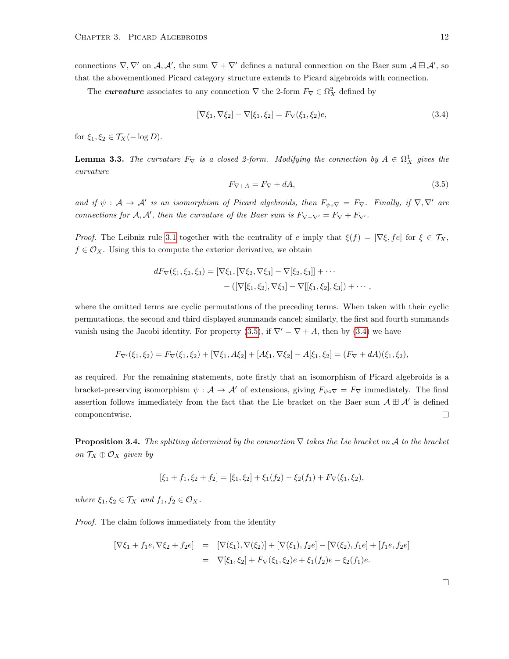connections  $\nabla, \nabla'$  on  $\mathcal{A}, \mathcal{A}'$ , the sum  $\nabla + \nabla'$  defines a natural connection on the Baer sum  $\mathcal{A} \boxplus \mathcal{A}'$ , so that the abovementioned Picard category structure extends to Picard algebroids with connection.

The *curvature* associates to any connection  $\nabla$  the 2-form  $F_{\nabla} \in \Omega^2_X$  defined by

<span id="page-17-1"></span>
$$
[\nabla \xi_1, \nabla \xi_2] - \nabla [\xi_1, \xi_2] = F_{\nabla}(\xi_1, \xi_2)e,\tag{3.4}
$$

for  $\xi_1, \xi_2 \in \mathcal{T}_X(-\log D)$ .

<span id="page-17-2"></span>**Lemma 3.3.** The curvature  $F_{\nabla}$  is a closed 2-form. Modifying the connection by  $A \in \Omega^1_X$  gives the curvature

<span id="page-17-0"></span>
$$
F_{\nabla + A} = F_{\nabla} + dA,\tag{3.5}
$$

and if  $\psi : A \to A'$  is an isomorphism of Picard algebroids, then  $F_{\psi \circ \nabla} = F_{\nabla}$ . Finally, if  $\nabla, \nabla'$  are connections for  $A, A'$ , then the curvature of the Baer sum is  $F_{\nabla+\nabla'} = F_{\nabla} + F_{\nabla'}$ .

*Proof.* The Leibniz rule [3.1](#page-16-2) together with the centrality of e imply that  $\xi(f) = [\nabla \xi, fe]$  for  $\xi \in \mathcal{T}_X$ ,  $f \in \mathcal{O}_X$ . Using this to compute the exterior derivative, we obtain

$$
dF_{\nabla}(\xi_1, \xi_2, \xi_3) = [\nabla \xi_1, [\nabla \xi_2, \nabla \xi_3] - \nabla [\xi_2, \xi_3]] + \cdots - ([\nabla[\xi_1, \xi_2], \nabla \xi_3] - \nabla[[\xi_1, \xi_2], \xi_3]) + \cdots,
$$

where the omitted terms are cyclic permutations of the preceding terms. When taken with their cyclic permutations, the second and third displayed summands cancel; similarly, the first and fourth summands vanish using the Jacobi identity. For property [\(3.5\)](#page-17-0), if  $\nabla' = \nabla + A$ , then by [\(3.4\)](#page-17-1) we have

$$
F_{\nabla'}(\xi_1, \xi_2) = F_{\nabla}(\xi_1, \xi_2) + [\nabla \xi_1, A \xi_2] + [A \xi_1, \nabla \xi_2] - A[\xi_1, \xi_2] = (F_{\nabla} + dA)(\xi_1, \xi_2),
$$

as required. For the remaining statements, note firstly that an isomorphism of Picard algebroids is a bracket-preserving isomorphism  $\psi : A \to A'$  of extensions, giving  $F_{\psi \circ \nabla} = F_{\nabla}$  immediately. The final assertion follows immediately from the fact that the Lie bracket on the Baer sum  $A \boxplus A'$  is defined componentwise.  $\Box$ 

<span id="page-17-3"></span>**Proposition 3.4.** The splitting determined by the connection  $\nabla$  takes the Lie bracket on A to the bracket on  $\mathcal{T}_X \oplus \mathcal{O}_X$  given by

$$
[\xi_1 + f_1, \xi_2 + f_2] = [\xi_1, \xi_2] + \xi_1(f_2) - \xi_2(f_1) + F_{\nabla}(\xi_1, \xi_2),
$$

where  $\xi_1, \xi_2 \in \mathcal{T}_X$  and  $f_1, f_2 \in \mathcal{O}_X$ .

Proof. The claim follows immediately from the identity

$$
[\nabla \xi_1 + f_1 e, \nabla \xi_2 + f_2 e] = [\nabla(\xi_1), \nabla(\xi_2)] + [\nabla(\xi_1), f_2 e] - [\nabla(\xi_2), f_1 e] + [f_1 e, f_2 e]
$$
  

$$
= \nabla[\xi_1, \xi_2] + F_\nabla(\xi_1, \xi_2) e + \xi_1(f_2) e - \xi_2(f_1) e.
$$

 $\Box$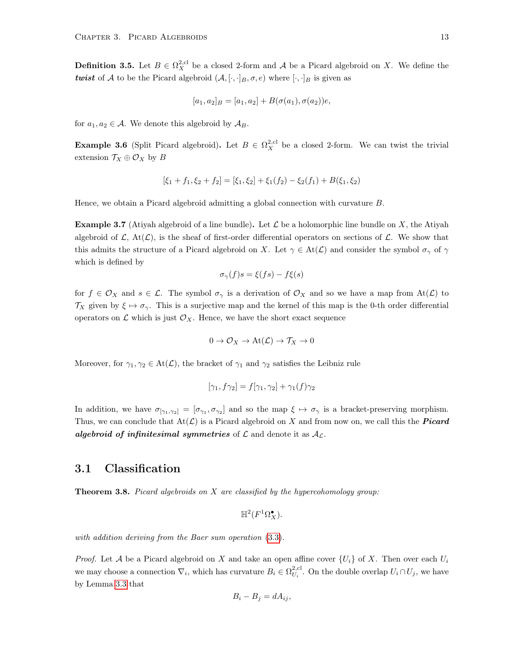<span id="page-18-3"></span>**Definition 3.5.** Let  $B \in \Omega_X^{2,\text{cl}}$  be a closed 2-form and A be a Picard algebroid on X. We define the twist of A to be the Picard algebroid  $(A, [\cdot, \cdot]_B, \sigma, e)$  where  $[\cdot, \cdot]_B$  is given as

$$
[a_1, a_2]_B = [a_1, a_2] + B(\sigma(a_1), \sigma(a_2))e,
$$

for  $a_1, a_2 \in \mathcal{A}$ . We denote this algebroid by  $\mathcal{A}_B$ .

<span id="page-18-2"></span>**Example 3.6** (Split Picard algebroid). Let  $B \in \Omega_X^{2,\text{cl}}$  be a closed 2-form. We can twist the trivial extension  $\mathcal{T}_X \oplus \mathcal{O}_X$  by B

$$
[\xi_1 + f_1, \xi_2 + f_2] = [\xi_1, \xi_2] + \xi_1(f_2) - \xi_2(f_1) + B(\xi_1, \xi_2)
$$

Hence, we obtain a Picard algebroid admitting a global connection with curvature B.

<span id="page-18-4"></span>**Example 3.7** (Atiyah algebroid of a line bundle). Let  $\mathcal L$  be a holomorphic line bundle on X, the Atiyah algebroid of  $\mathcal{L}$ ,  $\text{At}(\mathcal{L})$ , is the sheaf of first-order differential operators on sections of  $\mathcal{L}$ . We show that this admits the structure of a Picard algebroid on X. Let  $\gamma \in \text{At}(\mathcal{L})$  and consider the symbol  $\sigma_{\gamma}$  of  $\gamma$ which is defined by

$$
\sigma_{\gamma}(f)s = \xi(fs) - f\xi(s)
$$

for  $f \in \mathcal{O}_X$  and  $s \in \mathcal{L}$ . The symbol  $\sigma_\gamma$  is a derivation of  $\mathcal{O}_X$  and so we have a map from  $\text{At}(\mathcal{L})$  to  $\mathcal{T}_X$  given by  $\xi \mapsto \sigma_\gamma$ . This is a surjective map and the kernel of this map is the 0-th order differential operators on  $\mathcal L$  which is just  $\mathcal O_X$ . Hence, we have the short exact sequence

$$
0 \to \mathcal{O}_X \to \text{At}(\mathcal{L}) \to \mathcal{T}_X \to 0
$$

Moreover, for  $\gamma_1, \gamma_2 \in \text{At}(\mathcal{L})$ , the bracket of  $\gamma_1$  and  $\gamma_2$  satisfies the Leibniz rule

$$
[\gamma_1, f\gamma_2] = f[\gamma_1, \gamma_2] + \gamma_1(f)\gamma_2
$$

In addition, we have  $\sigma_{[\gamma_1,\gamma_2]} = [\sigma_{\gamma_1},\sigma_{\gamma_2}]$  and so the map  $\xi \mapsto \sigma_{\gamma}$  is a bracket-preserving morphism. Thus, we can conclude that  $At(\mathcal{L})$  is a Picard algebroid on X and from now on, we call this the **Picard** algebroid of infinitesimal symmetries of  $\mathcal L$  and denote it as  $\mathcal A_{\mathcal L}$ .

### <span id="page-18-0"></span>3.1 Classification

<span id="page-18-1"></span>**Theorem 3.8.** Picard algebroids on X are classified by the hypercohomology group:

$$
\mathbb{H}^2(F^1\Omega_X^{\bullet}).
$$

with addition deriving from the Baer sum operation [\(3.3\)](#page-16-3).

*Proof.* Let A be a Picard algebroid on X and take an open affine cover  $\{U_i\}$  of X. Then over each  $U_i$ we may choose a connection  $\nabla_i$ , which has curvature  $B_i \in \Omega_{U_i}^{2, \text{cl}}$ . On the double overlap  $U_i \cap U_j$ , we have by Lemma [3.3](#page-17-2) that

$$
B_i - B_j = dA_{ij},
$$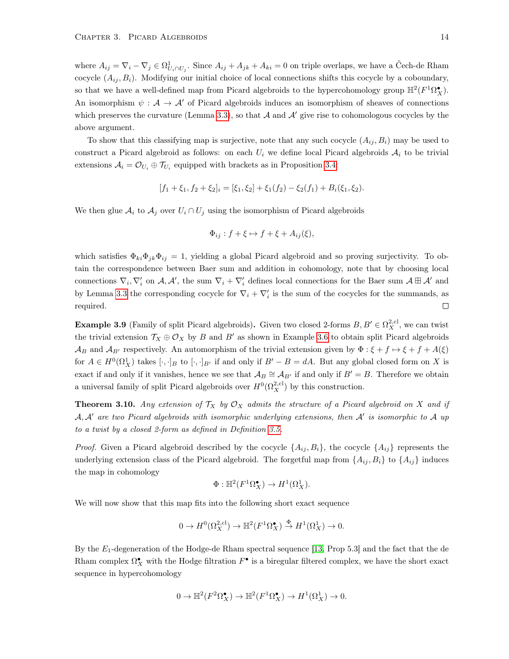where  $A_{ij} = \nabla_i - \nabla_j \in \Omega^1_{U_i \cap U_j}$ . Since  $A_{ij} + A_{jk} + A_{ki} = 0$  on triple overlaps, we have a Čech-de Rham cocycle  $(A_{ij}, B_i)$ . Modifying our initial choice of local connections shifts this cocycle by a coboundary, so that we have a well-defined map from Picard algebroids to the hypercohomology group  $\mathbb{H}^2(F^1\Omega_X^{\bullet})$ . An isomorphism  $\psi : A \to A'$  of Picard algebroids induces an isomorphism of sheaves of connections which preserves the curvature (Lemma [3.3\)](#page-17-2), so that  $A$  and  $A'$  give rise to cohomologous cocycles by the above argument.

To show that this classifying map is surjective, note that any such cocycle  $(A_{ij}, B_i)$  may be used to construct a Picard algebroid as follows: on each  $U_i$  we define local Picard algebroids  $A_i$  to be trivial extensions  $A_i = \mathcal{O}_{U_i} \oplus \mathcal{T}_{U_i}$  equipped with brackets as in Proposition [3.4:](#page-17-3)

$$
[f_1 + \xi_1, f_2 + \xi_2]_i = [\xi_1, \xi_2] + \xi_1(f_2) - \xi_2(f_1) + B_i(\xi_1, \xi_2).
$$

We then glue  $A_i$  to  $A_j$  over  $U_i \cap U_j$  using the isomorphism of Picard algebroids

$$
\Phi_{ij}: f + \xi \mapsto f + \xi + A_{ij}(\xi),
$$

which satisfies  $\Phi_{ki}\Phi_{ji}\Phi_{ij} = 1$ , yielding a global Picard algebroid and so proving surjectivity. To obtain the correspondence between Baer sum and addition in cohomology, note that by choosing local connections  $\nabla_i, \nabla'_i$  on  $\mathcal{A}, \mathcal{A}'$ , the sum  $\nabla_i + \nabla'_i$  defines local connections for the Baer sum  $\mathcal{A} \boxplus \mathcal{A}'$  and by Lemma [3.3](#page-17-2) the corresponding cocycle for  $\nabla_i + \nabla_i'$  is the sum of the cocycles for the summands, as  $\Box$ required.

**Example 3.9** (Family of split Picard algebroids). Given two closed 2-forms  $B, B' \in \Omega_X^{2, \text{cl}}$ , we can twist the trivial extension  $\mathcal{T}_X \oplus \mathcal{O}_X$  by B and B' as shown in Example [3.6](#page-18-2) to obtain split Picard algebroids  $\mathcal{A}_B$  and  $\mathcal{A}_{B'}$  respectively. An automorphism of the trivial extension given by  $\Phi : \xi + f \mapsto \xi + f + A(\xi)$ for  $A \in H^0(\Omega^1_X)$  takes  $[\cdot, \cdot]_B$  to  $[\cdot, \cdot]_{B'}$  if and only if  $B'-B=dA$ . But any global closed form on X is exact if and only if it vanishes, hence we see that  $\mathcal{A}_B \cong \mathcal{A}_{B'}$  if and only if  $B' = B$ . Therefore we obtain a universal family of split Picard algebroids over  $H^0(\Omega_X^{2,\text{cl}})$  by this construction.

<span id="page-19-0"></span>**Theorem 3.10.** Any extension of  $T_X$  by  $\mathcal{O}_X$  admits the structure of a Picard algebroid on X and if  $A, A'$  are two Picard algebroids with isomorphic underlying extensions, then  $A'$  is isomorphic to A up to a twist by a closed 2-form as defined in Definition [3.5.](#page-18-3)

*Proof.* Given a Picard algebroid described by the cocycle  $\{A_{ij}, B_i\}$ , the cocycle  $\{A_{ij}\}$  represents the underlying extension class of the Picard algebroid. The forgetful map from  $\{A_{ij}, B_i\}$  to  $\{A_{ij}\}$  induces the map in cohomology

$$
\Phi: \mathbb{H}^2(F^1\Omega_X^{\bullet}) \to H^1(\Omega_X^1).
$$

We will now show that this map fits into the following short exact sequence

$$
0 \to H^0(\Omega_X^{2,\mathrm{cl}}) \to \mathbb{H}^2(F^1\Omega_X^\bullet) \overset{\Phi}{\to} H^1(\Omega_X^1) \to 0.
$$

By the  $E_1$ -degeneration of the Hodge-de Rham spectral sequence [\[13,](#page-79-9) Prop 5.3] and the fact that the de Rham complex  $\Omega_X^{\bullet}$  with the Hodge filtration  $F^{\bullet}$  is a biregular filtered complex, we have the short exact sequence in hypercohomology

$$
0 \to \mathbb{H}^2(F^2\Omega_X^{\bullet}) \to \mathbb{H}^2(F^1\Omega_X^{\bullet}) \to H^1(\Omega_X^1) \to 0.
$$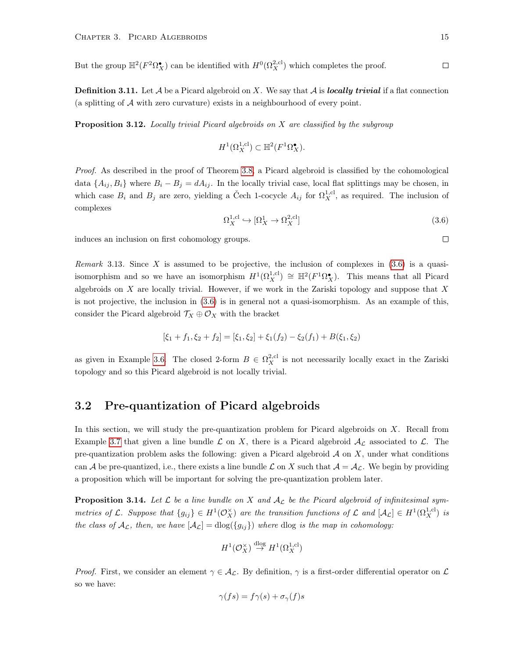But the group  $\mathbb{H}^2(F^2 \Omega_X^{\bullet})$  can be identified with  $H^0(\Omega_X^{2,cl})$  which completes the proof.

**Definition 3.11.** Let  $A$  be a Picard algebroid on  $X$ . We say that  $A$  is *locally trivial* if a flat connection (a splitting of  $A$  with zero curvature) exists in a neighbourhood of every point.

**Proposition 3.12.** Locally trivial Picard algebroids on  $X$  are classified by the subgroup

$$
H^1(\Omega_X^{1,\text{cl}}) \subset \mathbb{H}^2(F^1\Omega_X^{\bullet}).
$$

Proof. As described in the proof of Theorem [3.8,](#page-18-1) a Picard algebroid is classified by the cohomological data  $\{A_{ij}, B_i\}$  where  $B_i - B_j = dA_{ij}$ . In the locally trivial case, local flat splittings may be chosen, in which case  $B_i$  and  $B_j$  are zero, yielding a Čech 1-cocycle  $A_{ij}$  for  $\Omega_X^{1,cl}$ , as required. The inclusion of complexes

<span id="page-20-1"></span>
$$
\Omega_X^{1,\text{cl}} \hookrightarrow [\Omega_X^1 \to \Omega_X^{2,\text{cl}}] \tag{3.6}
$$

induces an inclusion on first cohomology groups.

Remark 3.13. Since X is assumed to be projective, the inclusion of complexes in  $(3.6)$  is a quasiisomorphism and so we have an isomorphism  $H^1(\Omega_X^{1,cl}) \cong \mathbb{H}^2(F^1\Omega_X^{\bullet})$ . This means that all Picard algebroids on  $X$  are locally trivial. However, if we work in the Zariski topology and suppose that  $X$ is not projective, the inclusion in [\(3.6\)](#page-20-1) is in general not a quasi-isomorphism. As an example of this, consider the Picard algebroid  $\mathcal{T}_X \oplus \mathcal{O}_X$  with the bracket

$$
[\xi_1 + f_1, \xi_2 + f_2] = [\xi_1, \xi_2] + \xi_1(f_2) - \xi_2(f_1) + B(\xi_1, \xi_2)
$$

as given in Example [3.6.](#page-18-2) The closed 2-form  $B \in \Omega_X^{2,\text{cl}}$  is not necessarily locally exact in the Zariski topology and so this Picard algebroid is not locally trivial.

### <span id="page-20-0"></span>3.2 Pre-quantization of Picard algebroids

In this section, we will study the pre-quantization problem for Picard algebroids on X. Recall from Example [3.7](#page-18-4) that given a line bundle  $\mathcal L$  on X, there is a Picard algebroid  $\mathcal A_{\mathcal L}$  associated to  $\mathcal L$ . The pre-quantization problem asks the following: given a Picard algebroid  $A$  on  $X$ , under what conditions can A be pre-quantized, i.e., there exists a line bundle L on X such that  $A = A_{\mathcal{L}}$ . We begin by providing a proposition which will be important for solving the pre-quantization problem later.

**Proposition 3.14.** Let  $\mathcal{L}$  be a line bundle on X and  $\mathcal{A}_{\mathcal{L}}$  be the Picard algebroid of infinitesimal symmetries of L. Suppose that  $\{g_{ij}\}\in H^1(\mathcal{O}_X^{\times})$  are the transition functions of L and  $[\mathcal{A}_L]\in H^1(\Omega_X^{1,\text{cl}})$  is the class of  $A_{\mathcal{L}}$ , then, we have  $[A_{\mathcal{L}}] = \text{dlog}(\{g_{ij}\})$  where dlog is the map in cohomology:

$$
H^1(\mathcal{O}_X^{\times}) \stackrel{\text{dlog}}{\to} H^1(\Omega_X^{1,\text{cl}})
$$

*Proof.* First, we consider an element  $\gamma \in A_{\mathcal{L}}$ . By definition,  $\gamma$  is a first-order differential operator on  $\mathcal{L}$ so we have:

$$
\gamma(fs) = f\gamma(s) + \sigma_{\gamma}(f)s
$$

 $\Box$ 

 $\Box$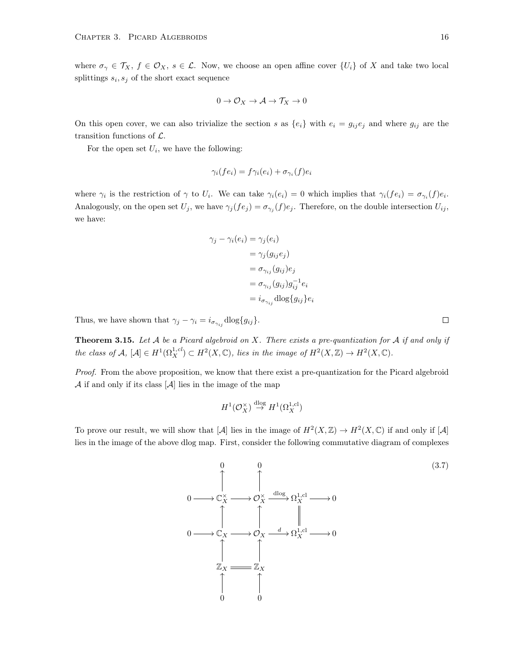where  $\sigma_{\gamma} \in \mathcal{T}_X$ ,  $f \in \mathcal{O}_X$ ,  $s \in \mathcal{L}$ . Now, we choose an open affine cover  $\{U_i\}$  of X and take two local splittings  $s_i, s_j$  of the short exact sequence

$$
0 \to \mathcal{O}_X \to \mathcal{A} \to \mathcal{T}_X \to 0
$$

On this open cover, we can also trivialize the section s as  $\{e_i\}$  with  $e_i = g_{ij}e_j$  and where  $g_{ij}$  are the transition functions of  $\mathcal{L}$ .

For the open set  $U_i$ , we have the following:

$$
\gamma_i(f e_i) = f \gamma_i(e_i) + \sigma_{\gamma_i}(f) e_i
$$

where  $\gamma_i$  is the restriction of  $\gamma$  to  $U_i$ . We can take  $\gamma_i(e_i) = 0$  which implies that  $\gamma_i(f e_i) = \sigma_{\gamma_i}(f) e_i$ . Analogously, on the open set  $U_j$ , we have  $\gamma_j(f e_j) = \sigma_{\gamma_j}(f) e_j$ . Therefore, on the double intersection  $U_{ij}$ , we have:

$$
\gamma_j - \gamma_i(e_i) = \gamma_j(e_i)
$$
  
=  $\gamma_j(g_{ij}e_j)$   
=  $\sigma_{\gamma_{ij}}(g_{ij})e_j$   
=  $\sigma_{\gamma_{ij}}(g_{ij})g_{ij}^{-1}e_i$   
=  $i_{\sigma_{\gamma_{ij}}}$ dlog $\{g_{ij}\}e_i$ 

Thus, we have shown that  $\gamma_j - \gamma_i = i_{\sigma_{\gamma_{ij}}} \text{dlog}\{g_{ij}\}.$ 

<span id="page-21-0"></span>**Theorem 3.15.** Let  $A$  be a Picard algebroid on  $X$ . There exists a pre-quantization for  $A$  if and only if the class of  $A$ ,  $[A] \in H^1(\Omega_X^{1,cl}) \subset H^2(X,\mathbb{C})$ , lies in the image of  $H^2(X,\mathbb{Z}) \to H^2(X,\mathbb{C})$ .

Proof. From the above proposition, we know that there exist a pre-quantization for the Picard algebroid  $A$  if and only if its class  $[A]$  lies in the image of the map

$$
H^1(\mathcal{O}_X^{\times}) \stackrel{\text{dlog}}{\to} H^1(\Omega_X^{1,\text{cl}})
$$

To prove our result, we will show that  $[\mathcal{A}]$  lies in the image of  $H^2(X,\mathbb{Z}) \to H^2(X,\mathbb{C})$  if and only if  $[\mathcal{A}]$ lies in the image of the above dlog map. First, consider the following commutative diagram of complexes

$$
0 \longrightarrow \mathbb{C}_{X}^{\times} \longrightarrow \mathcal{O}_{X}^{\times} \xrightarrow{d \log} \Omega_{X}^{1,\text{cl}} \longrightarrow 0
$$
\n
$$
0 \longrightarrow \mathbb{C}_{X} \longrightarrow \mathcal{O}_{X} \xrightarrow{d} \Omega_{X}^{1,\text{cl}} \longrightarrow 0
$$
\n
$$
\uparrow \qquad \qquad \uparrow
$$
\n
$$
\mathbb{Z}_{X} \longrightarrow \mathbb{Z}_{X}
$$
\n
$$
\uparrow \qquad \qquad \uparrow
$$
\n
$$
0 \qquad 0
$$
\n(3.7)

 $\Box$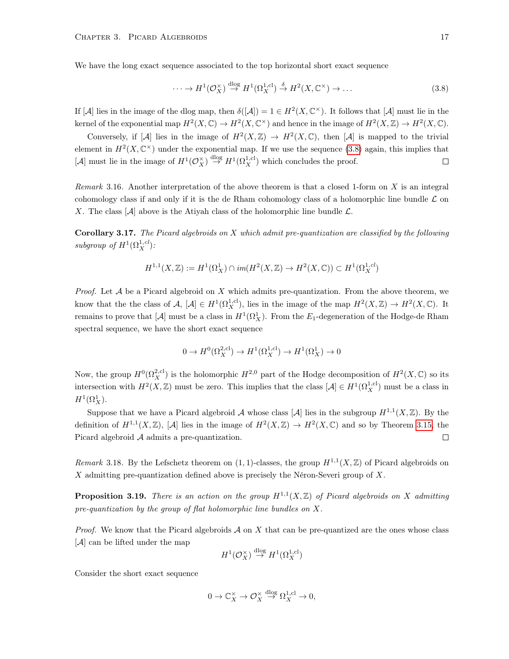We have the long exact sequence associated to the top horizontal short exact sequence

<span id="page-22-0"></span>
$$
\cdots \to H^1(\mathcal{O}_X^{\times}) \stackrel{\text{dlog}}{\to} H^1(\Omega_X^{1,\text{cl}}) \stackrel{\delta}{\to} H^2(X,\mathbb{C}^{\times}) \to \dots
$$
\n(3.8)

If  $[\mathcal{A}]$  lies in the image of the dlog map, then  $\delta([\mathcal{A}]) = 1 \in H^2(X, \mathbb{C}^\times)$ . It follows that  $[\mathcal{A}]$  must lie in the kernel of the exponential map  $H^2(X, \mathbb{C}) \to H^2(X, \mathbb{C}^\times)$  and hence in the image of  $H^2(X, \mathbb{Z}) \to H^2(X, \mathbb{C})$ .

Conversely, if  $[\mathcal{A}]$  lies in the image of  $H^2(X,\mathbb{Z}) \to H^2(X,\mathbb{C})$ , then  $[\mathcal{A}]$  is mapped to the trivial element in  $H^2(X,\mathbb{C}^\times)$  under the exponential map. If we use the sequence [\(3.8\)](#page-22-0) again, this implies that [A] must lie in the image of  $H^1(\mathcal{O}_X^{\times}) \stackrel{\text{dlog}}{\to} H^1(\Omega_X^{1,\text{cl}})$  which concludes the proof.  $\Box$ 

Remark 3.16. Another interpretation of the above theorem is that a closed 1-form on X is an integral cohomology class if and only if it is the de Rham cohomology class of a holomorphic line bundle  $\mathcal L$  on X. The class  $[\mathcal{A}]$  above is the Ativah class of the holomorphic line bundle  $\mathcal{L}$ .

**Corollary 3.17.** The Picard algebroids on X which admit pre-quantization are classified by the following subgroup of  $H^1(\Omega_X^{1,cl})$ :

$$
H^{1,1}(X,\mathbb{Z}) := H^1(\Omega^1_X) \cap im(H^2(X,\mathbb{Z}) \to H^2(X,\mathbb{C})) \subset H^1(\Omega^{1,cl}_X)
$$

*Proof.* Let  $A$  be a Picard algebroid on  $X$  which admits pre-quantization. From the above theorem, we know that the the class of  $A$ ,  $[A] \in H^1(\Omega_X^{1,\text{cl}})$ , lies in the image of the map  $H^2(X,\mathbb{Z}) \to H^2(X,\mathbb{C})$ . It remains to prove that [A] must be a class in  $H^1(\Omega_X^1)$ . From the  $E_1$ -degeneration of the Hodge-de Rham spectral sequence, we have the short exact sequence

$$
0 \to H^0(\Omega_X^{2,\text{cl}}) \to H^1(\Omega_X^{1,\text{cl}}) \to H^1(\Omega_X^1) \to 0
$$

Now, the group  $H^0(\Omega_X^{2,\text{cl}})$  is the holomorphic  $H^{2,0}$  part of the Hodge decomposition of  $H^2(X,\mathbb{C})$  so its intersection with  $H^2(X,\mathbb{Z})$  must be zero. This implies that the class  $[\mathcal{A}] \in H^1(\Omega_X^{1,\text{cl}})$  must be a class in  $H^1(\Omega^1_X).$ 

Suppose that we have a Picard algebroid A whose class [A] lies in the subgroup  $H^{1,1}(X,\mathbb{Z})$ . By the definition of  $H^{1,1}(X,\mathbb{Z})$ , [A] lies in the image of  $H^2(X,\mathbb{Z}) \to H^2(X,\mathbb{C})$  and so by Theorem [3.15,](#page-21-0) the Picard algebroid A admits a pre-quantization.  $\Box$ 

Remark 3.18. By the Lefschetz theorem on  $(1,1)$ -classes, the group  $H^{1,1}(X,\mathbb{Z})$  of Picard algebroids on X admitting pre-quantization defined above is precisely the Néron-Severi group of X.

**Proposition 3.19.** There is an action on the group  $H^{1,1}(X,\mathbb{Z})$  of Picard algebroids on X admitting pre-quantization by the group of flat holomorphic line bundles on X.

*Proof.* We know that the Picard algebroids  $A$  on  $X$  that can be pre-quantized are the ones whose class [A] can be lifted under the map

$$
H^1(\mathcal{O}_X^{\times}) \stackrel{\text{dlog}}{\to} H^1(\Omega_X^{1,\text{cl}})
$$

Consider the short exact sequence

$$
0 \to \mathbb{C}_X^{\times} \to \mathcal{O}_X^{\times} \stackrel{\text{dlog}}{\to} \Omega_X^{1,\text{cl}} \to 0,
$$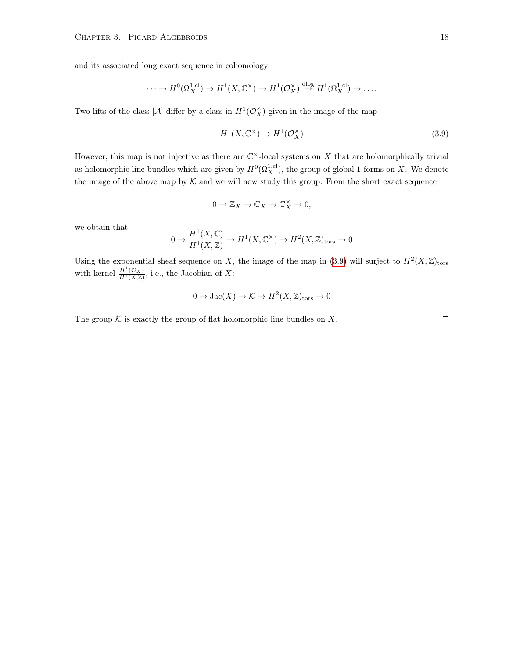and its associated long exact sequence in cohomology

$$
\cdots \to H^0(\Omega_X^{1,\text{cl}}) \to H^1(X,\mathbb{C}^\times) \to H^1(\mathcal{O}_X^\times) \stackrel{\text{dlog}}{\to} H^1(\Omega_X^{1,\text{cl}}) \to \cdots
$$

Two lifts of the class [ $\mathcal{A}$ ] differ by a class in  $H^1(\mathcal{O}_X^{\times})$  given in the image of the map

<span id="page-23-0"></span>
$$
H^1(X, \mathbb{C}^\times) \to H^1(\mathcal{O}_X^\times) \tag{3.9}
$$

However, this map is not injective as there are  $\mathbb{C}^{\times}$ -local systems on X that are holomorphically trivial as holomorphic line bundles which are given by  $H^0(\Omega_X^{1,\text{cl}})$ , the group of global 1-forms on X. We denote the image of the above map by  $K$  and we will now study this group. From the short exact sequence

$$
0\to{\mathbb Z}_X\to{\mathbb C}_X\to{\mathbb C}_X^\times\to0,
$$

we obtain that:

$$
0 \to \frac{H^1(X, \mathbb{C})}{H^1(X, \mathbb{Z})} \to H^1(X, \mathbb{C}^\times) \to H^2(X, \mathbb{Z})_{\text{tors}} \to 0
$$

Using the exponential sheaf sequence on X, the image of the map in [\(3.9\)](#page-23-0) will surject to  $H^2(X,\mathbb{Z})_{\text{tors}}$ with kernel  $\frac{H^1(\mathcal{O}_X)}{H^1(X,\mathbb{Z})}$ , i.e., the Jacobian of X:

$$
0 \to \text{Jac}(X) \to \mathcal{K} \to H^2(X, \mathbb{Z})_{\text{tors}} \to 0
$$

The group  $K$  is exactly the group of flat holomorphic line bundles on X.

 $\Box$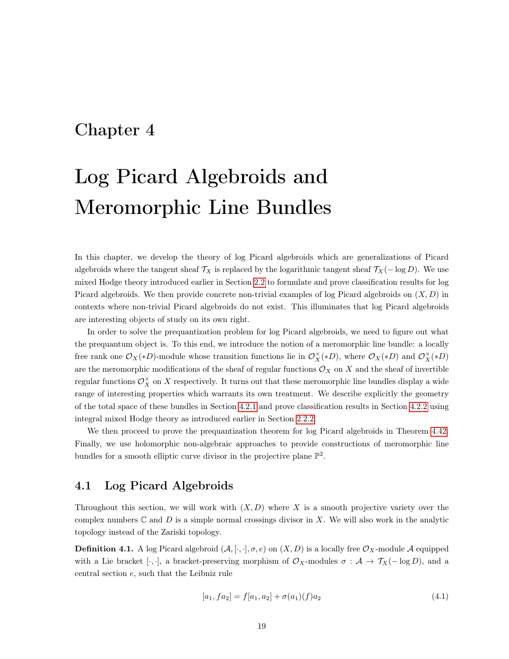### <span id="page-24-0"></span>Chapter 4

# Log Picard Algebroids and Meromorphic Line Bundles

In this chapter, we develop the theory of log Picard algebroids which are generalizations of Picard algebroids where the tangent sheaf  $\mathcal{T}_X$  is replaced by the logarithmic tangent sheaf  $\mathcal{T}_X(-\log D)$ . We use mixed Hodge theory introduced earlier in Section [2.2](#page-11-0) to formulate and prove classification results for log Picard algebroids. We then provide concrete non-trivial examples of log Picard algebroids on  $(X, D)$  in contexts where non-trivial Picard algebroids do not exist. This illuminates that log Picard algebroids are interesting objects of study on its own right.

In order to solve the prequantization problem for log Picard algebroids, we need to figure out what the prequantum object is. To this end, we introduce the notion of a meromorphic line bundle: a locally free rank one  $\mathcal{O}_X(*D)$ -module whose transition functions lie in  $\mathcal{O}_X^{\times}(*D)$ , where  $\mathcal{O}_X(*D)$  and  $\mathcal{O}_X^{\times}(*D)$ are the meromorphic modifications of the sheaf of regular functions  $\mathcal{O}_X$  on X and the sheaf of invertible regular functions  $\mathcal{O}_X^{\times}$  on X respectively. It turns out that these meromorphic line bundles display a wide range of interesting properties which warrants its own treatment. We describe explicitly the geometry of the total space of these bundles in Section [4.2.1](#page-37-0) and prove classification results in Section [4.2.2](#page-38-0) using integral mixed Hodge theory as introduced earlier in Section [2.2.2.](#page-14-0)

We then proceed to prove the prequantization theorem for log Picard algebroids in Theorem [4.42.](#page-43-0) Finally, we use holomorphic non-algebraic approaches to provide constructions of meromorphic line bundles for a smooth elliptic curve divisor in the projective plane  $\mathbb{P}^2$ .

### <span id="page-24-1"></span>4.1 Log Picard Algebroids

Throughout this section, we will work with  $(X, D)$  where X is a smooth projective variety over the complex numbers  $\mathbb C$  and  $D$  is a simple normal crossings divisor in X. We will also work in the analytic topology instead of the Zariski topology.

**Definition 4.1.** A log Picard algebroid  $(A, [\cdot, \cdot], \sigma, e)$  on  $(X, D)$  is a locally free  $\mathcal{O}_X$ -module A equipped with a Lie bracket [ $\cdot$ , ], a bracket-preserving morphism of  $\mathcal{O}_X$ -modules  $\sigma : \mathcal{A} \to \mathcal{T}_X(-\log D)$ , and a central section e, such that the Leibniz rule

$$
[a_1, fa_2] = f[a_1, a_2] + \sigma(a_1)(f)a_2 \tag{4.1}
$$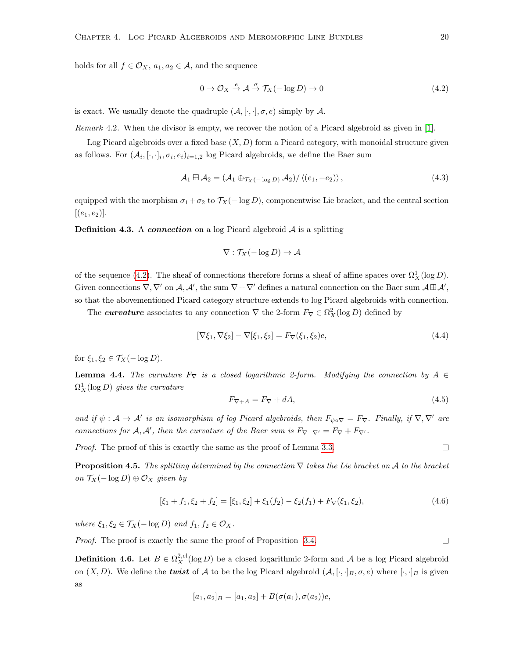holds for all  $f \in \mathcal{O}_X$ ,  $a_1, a_2 \in \mathcal{A}$ , and the sequence

<span id="page-25-0"></span>
$$
0 \to \mathcal{O}_X \stackrel{e}{\to} \mathcal{A} \stackrel{\sigma}{\to} \mathcal{T}_X(-\log D) \to 0 \tag{4.2}
$$

is exact. We usually denote the quadruple  $(A, [\cdot, \cdot], \sigma, e)$  simply by A.

Remark 4.2. When the divisor is empty, we recover the notion of a Picard algebroid as given in [\[1\]](#page-79-2).

Log Picard algebroids over a fixed base  $(X, D)$  form a Picard category, with monoidal structure given as follows. For  $(\mathcal{A}_i, [\cdot, \cdot]_i, \sigma_i, e_i)_{i=1,2}$  log Picard algebroids, we define the Baer sum

<span id="page-25-1"></span>
$$
\mathcal{A}_1 \boxplus \mathcal{A}_2 = (\mathcal{A}_1 \oplus_{\mathcal{T}_X(-\log D)} \mathcal{A}_2) / \langle (e_1, -e_2) \rangle, \tag{4.3}
$$

equipped with the morphism  $\sigma_1 + \sigma_2$  to  $\mathcal{T}_X(-\log D)$ , componentwise Lie bracket, and the central section  $[(e_1, e_2)].$ 

**Definition 4.3.** A *connection* on a log Picard algebroid  $A$  is a splitting

$$
\nabla : \mathcal{T}_X(-\log D) \to \mathcal{A}
$$

of the sequence [\(4.2\)](#page-25-0). The sheaf of connections therefore forms a sheaf of affine spaces over  $\Omega_X^1(\log D)$ . Given connections  $\nabla, \nabla'$  on  $\mathcal{A}, \mathcal{A}'$ , the sum  $\nabla + \nabla'$  defines a natural connection on the Baer sum  $\mathcal{A} \boxplus \mathcal{A}'$ , so that the abovementioned Picard category structure extends to log Picard algebroids with connection.

The *curvature* associates to any connection  $\nabla$  the 2-form  $F_{\nabla} \in \Omega_X^2(\log D)$  defined by

$$
[\nabla \xi_1, \nabla \xi_2] - \nabla [\xi_1, \xi_2] = F_{\nabla}(\xi_1, \xi_2) e,
$$
\n(4.4)

for  $\xi_1, \xi_2 \in \mathcal{T}_X(-\log D)$ .

<span id="page-25-2"></span>**Lemma 4.4.** The curvature  $F_{\nabla}$  is a closed logarithmic 2-form. Modifying the connection by  $A \in$  $\Omega^1_X(\log D)$  gives the curvature

$$
F_{\nabla + A} = F_{\nabla} + dA,\tag{4.5}
$$

and if  $\psi : A \to A'$  is an isomorphism of log Picard algebroids, then  $F_{\psi \circ \nabla} = F_{\nabla}$ . Finally, if  $\nabla, \nabla'$  are connections for  $A, A'$ , then the curvature of the Baer sum is  $F_{\nabla+\nabla'} = F_{\nabla} + F_{\nabla'}$ .

Proof. The proof of this is exactly the same as the proof of Lemma [3.3.](#page-17-2)

<span id="page-25-3"></span>**Proposition 4.5.** The splitting determined by the connection  $\nabla$  takes the Lie bracket on A to the bracket on  $\mathcal{T}_X(-\log D) \oplus \mathcal{O}_X$  given by

$$
[\xi_1 + f_1, \xi_2 + f_2] = [\xi_1, \xi_2] + \xi_1(f_2) - \xi_2(f_1) + F_{\nabla}(\xi_1, \xi_2),
$$
\n(4.6)

where  $\xi_1, \xi_2 \in \mathcal{T}_X(-\log D)$  and  $f_1, f_2 \in \mathcal{O}_X$ .

Proof. The proof is exactly the same the proof of Proposition [3.4.](#page-17-3)

<span id="page-25-4"></span>**Definition 4.6.** Let  $B \in \Omega_X^{2,cl}(\log D)$  be a closed logarithmic 2-form and A be a log Picard algebroid on  $(X, D)$ . We define the *twist* of A to be the log Picard algebroid  $(A, [\cdot, \cdot]_B, \sigma, e)$  where  $[\cdot, \cdot]_B$  is given as

$$
[a_1, a_2]_B = [a_1, a_2] + B(\sigma(a_1), \sigma(a_2))e,
$$

 $\Box$ 

 $\Box$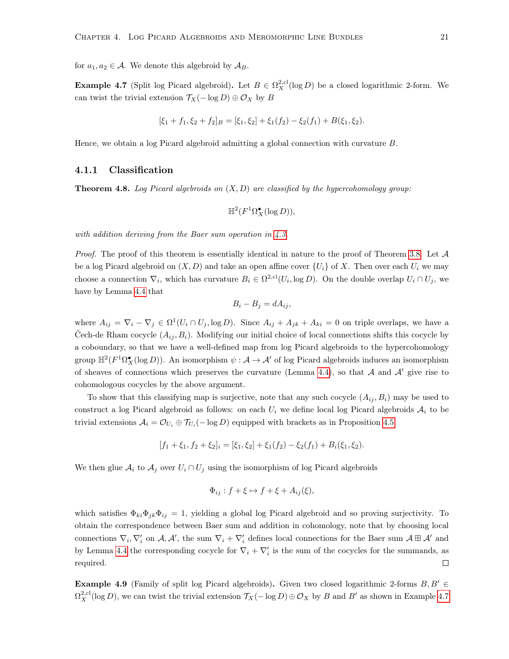for  $a_1, a_2 \in \mathcal{A}$ . We denote this algebroid by  $\mathcal{A}_B$ .

<span id="page-26-1"></span>**Example 4.7** (Split log Picard algebroid). Let  $B \in \Omega_X^{2,\text{cl}}(\log D)$  be a closed logarithmic 2-form. We can twist the trivial extension  $\mathcal{T}_X(-\log D) \oplus \mathcal{O}_X$  by B

$$
[\xi_1 + f_1, \xi_2 + f_2]_B = [\xi_1, \xi_2] + \xi_1(f_2) - \xi_2(f_1) + B(\xi_1, \xi_2).
$$

Hence, we obtain a log Picard algebroid admitting a global connection with curvature B.

### <span id="page-26-0"></span>4.1.1 Classification

<span id="page-26-2"></span>**Theorem 4.8.** Log Picard algebroids on  $(X, D)$  are classified by the hypercohomology group:

$$
\mathbb{H}^2(F^1\Omega_X^{\bullet}(\log D)),
$$

with addition deriving from the Baer sum operation in [4.3.](#page-25-1)

*Proof.* The proof of this theorem is essentially identical in nature to the proof of Theorem [3.8.](#page-18-1) Let  $\mathcal A$ be a log Picard algebroid on  $(X, D)$  and take an open affine cover  $\{U_i\}$  of X. Then over each  $U_i$  we may choose a connection  $\nabla_i$ , which has curvature  $B_i \in \Omega^{2,cl}(U_i, \log D)$ . On the double overlap  $U_i \cap U_j$ , we have by Lemma [4.4](#page-25-2) that

$$
B_i - B_j = dA_{ij},
$$

where  $A_{ij} = \nabla_i - \nabla_j \in \Omega^1(U_i \cap U_j, \log D)$ . Since  $A_{ij} + A_{jk} + A_{ki} = 0$  on triple overlaps, we have a Čech-de Rham cocycle  $(A_{ij}, B_i)$ . Modifying our initial choice of local connections shifts this cocycle by a coboundary, so that we have a well-defined map from log Picard algebroids to the hypercohomology group  $\mathbb{H}^2(F^1\Omega_X^{\bullet}(\log D))$ . An isomorphism  $\psi: \mathcal{A} \to \mathcal{A}'$  of log Picard algebroids induces an isomorphism of sheaves of connections which preserves the curvature (Lemma [4.4\)](#page-25-2), so that  $A$  and  $A'$  give rise to cohomologous cocycles by the above argument.

To show that this classifying map is surjective, note that any such cocycle  $(A_{ij}, B_i)$  may be used to construct a log Picard algebroid as follows: on each  $U_i$  we define local log Picard algebroids  $A_i$  to be trivial extensions  $A_i = \mathcal{O}_{U_i} \oplus \mathcal{T}_{U_i}(-\log D)$  equipped with brackets as in Proposition [4.5:](#page-25-3)

$$
[f_1 + \xi_1, f_2 + \xi_2]_i = [\xi_1, \xi_2] + \xi_1(f_2) - \xi_2(f_1) + B_i(\xi_1, \xi_2).
$$

We then glue  $A_i$  to  $A_j$  over  $U_i \cap U_j$  using the isomorphism of log Picard algebroids

$$
\Phi_{ij} : f + \xi \mapsto f + \xi + A_{ij}(\xi),
$$

which satisfies  $\Phi_{ki}\Phi_{jk}\Phi_{ij} = 1$ , yielding a global log Picard algebroid and so proving surjectivity. To obtain the correspondence between Baer sum and addition in cohomology, note that by choosing local connections  $\nabla_i, \nabla'_i$  on  $\mathcal{A}, \mathcal{A}'$ , the sum  $\nabla_i + \nabla'_i$  defines local connections for the Baer sum  $\mathcal{A} \boxplus \mathcal{A}'$  and by Lemma [4.4](#page-25-2) the corresponding cocycle for  $\nabla_i + \nabla_i'$  is the sum of the cocycles for the summands, as  $\Box$ required.

**Example 4.9** (Family of split log Picard algebroids). Given two closed logarithmic 2-forms  $B, B' \in$  $\Omega_X^{2,\text{cl}}(\log D)$ , we can twist the trivial extension  $\mathcal{T}_X(-\log D) \oplus \mathcal{O}_X$  by B and B' as shown in Example [4.7](#page-26-1)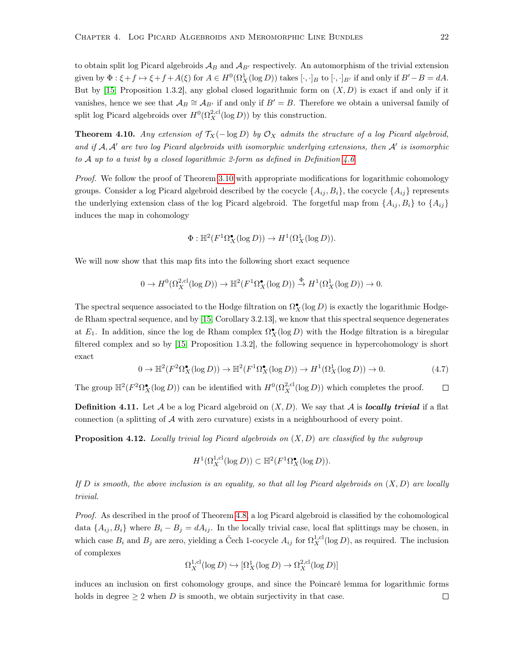to obtain split log Picard algebroids  $\mathcal{A}_B$  and  $\mathcal{A}_{B'}$  respectively. An automorphism of the trivial extension given by  $\Phi: \xi + f \mapsto \xi + f + A(\xi)$  for  $A \in H^0(\Omega^1_X(\log D))$  takes  $[\cdot, \cdot]_B$  to  $[\cdot, \cdot]_{B'}$  if and only if  $B'-B=dA$ . But by [\[15,](#page-79-1) Proposition 1.3.2], any global closed logarithmic form on  $(X, D)$  is exact if and only if it vanishes, hence we see that  $\mathcal{A}_B \cong \mathcal{A}_{B'}$  if and only if  $B' = B$ . Therefore we obtain a universal family of split log Picard algebroids over  $H^0(\Omega_X^{2,\text{cl}}(\log D))$  by this construction.

**Theorem 4.10.** Any extension of  $\mathcal{T}_X(-\log D)$  by  $\mathcal{O}_X$  admits the structure of a log Picard algebroid, and if  $A, A'$  are two log Picard algebroids with isomorphic underlying extensions, then  $A'$  is isomorphic to A up to a twist by a closed logarithmic 2-form as defined in Definition [4.6.](#page-25-4)

Proof. We follow the proof of Theorem [3.10](#page-19-0) with appropriate modifications for logarithmic cohomology groups. Consider a log Picard algebroid described by the cocycle  $\{A_{ij}, B_i\}$ , the cocycle  $\{A_{ij}\}$  represents the underlying extension class of the log Picard algebroid. The forgetful map from  $\{A_{ij}, B_i\}$  to  $\{A_{ij}\}$ induces the map in cohomology

$$
\Phi: \mathbb{H}^2(F^1\Omega_X^{\bullet}(\log D)) \to H^1(\Omega_X^1(\log D)).
$$

We will now show that this map fits into the following short exact sequence

$$
0 \to H^0(\Omega_X^{2,\mathrm{cl}}(\log D)) \to \mathbb{H}^2(F^1\Omega_X^{\bullet}(\log D)) \stackrel{\Phi}{\to} H^1(\Omega_X^1(\log D)) \to 0.
$$

The spectral sequence associated to the Hodge filtration on  $\Omega_X^{\bullet}(\log D)$  is exactly the logarithmic Hodgede Rham spectral sequence, and by [\[15,](#page-79-1) Corollary 3.2.13], we know that this spectral sequence degenerates at  $E_1$ . In addition, since the log de Rham complex  $\Omega_X^{\bullet}(\log D)$  with the Hodge filtration is a biregular filtered complex and so by [\[15,](#page-79-1) Proposition 1.3.2], the following sequence in hypercohomology is short exact

$$
0 \to \mathbb{H}^2(F^2 \Omega_X^{\bullet}(\log D)) \to \mathbb{H}^2(F^1 \Omega_X^{\bullet}(\log D)) \to H^1(\Omega_X^1(\log D)) \to 0. \tag{4.7}
$$

The group  $\mathbb{H}^2(F^2 \Omega_X^{\bullet}(\log D))$  can be identified with  $H^0(\Omega_X^{2,\text{cl}}(\log D))$  which completes the proof.  $\Box$ 

**Definition 4.11.** Let  $\mathcal A$  be a log Picard algebroid on  $(X, D)$ . We say that  $\mathcal A$  is **locally trivial** if a flat connection (a splitting of  $A$  with zero curvature) exists in a neighbourhood of every point.

<span id="page-27-0"></span>**Proposition 4.12.** Locally trivial log Picard algebroids on  $(X, D)$  are classified by the subgroup

$$
H^1(\Omega_X^{1,\mathrm{cl}}(\log D)) \subset \mathbb{H}^2(F^1\Omega_X^{\bullet}(\log D)).
$$

If  $D$  is smooth, the above inclusion is an equality, so that all log Picard algebroids on  $(X, D)$  are locally trivial.

Proof. As described in the proof of Theorem [4.8,](#page-26-2) a log Picard algebroid is classified by the cohomological data  $\{A_{ij}, B_i\}$  where  $B_i - B_j = dA_{ij}$ . In the locally trivial case, local flat splittings may be chosen, in which case  $B_i$  and  $B_j$  are zero, yielding a Čech 1-cocycle  $A_{ij}$  for  $\Omega_X^{1,\text{cl}}(\log D)$ , as required. The inclusion of complexes

$$
\Omega_X^{1,\text{cl}}(\log D) \hookrightarrow [\Omega_X^1(\log D) \to \Omega_X^{2,\text{cl}}(\log D)]
$$

induces an inclusion on first cohomology groups, and since the Poincaré lemma for logarithmic forms holds in degree  $\geq 2$  when D is smooth, we obtain surjectivity in that case.  $\Box$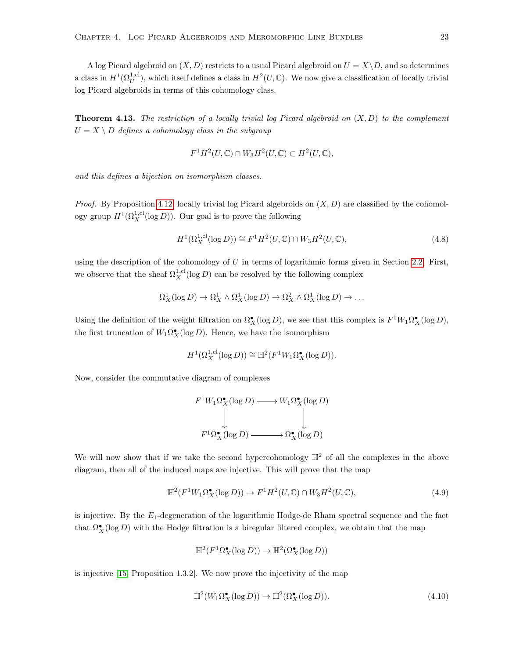A log Picard algebroid on  $(X, D)$  restricts to a usual Picard algebroid on  $U = X \backslash D$ , and so determines a class in  $H^1(\Omega_U^{1,\text{cl}})$ , which itself defines a class in  $H^2(U,\mathbb{C})$ . We now give a classification of locally trivial log Picard algebroids in terms of this cohomology class.

<span id="page-28-0"></span>**Theorem 4.13.** The restriction of a locally trivial log Picard algebroid on  $(X, D)$  to the complement  $U = X \setminus D$  defines a cohomology class in the subgroup

$$
F^1H^2(U,\mathbb{C}) \cap W_3H^2(U,\mathbb{C}) \subset H^2(U,\mathbb{C}),
$$

and this defines a bijection on isomorphism classes.

*Proof.* By Proposition [4.12,](#page-27-0) locally trivial log Picard algebroids on  $(X, D)$  are classified by the cohomology group  $H^1(\Omega_X^{1,\text{cl}}(\log D))$ . Our goal is to prove the following

$$
H^{1}(\Omega_{X}^{1,\text{cl}}(\log D)) \cong F^{1}H^{2}(U,\mathbb{C}) \cap W_{3}H^{2}(U,\mathbb{C}), \tag{4.8}
$$

using the description of the cohomology of  $U$  in terms of logarithmic forms given in Section [2.2.](#page-11-0) First, we observe that the sheaf  $\Omega_X^{1,\text{cl}}(\log D)$  can be resolved by the following complex

$$
\Omega^1_X(\log D) \to \Omega^1_X \wedge \Omega^1_X(\log D) \to \Omega^2_X \wedge \Omega^1_X(\log D) \to \dots
$$

Using the definition of the weight filtration on  $\Omega_X^{\bullet}(\log D)$ , we see that this complex is  $F^1W_1\Omega_X^{\bullet}(\log D)$ , the first truncation of  $W_1 \Omega_X^{\bullet}(\log D)$ . Hence, we have the isomorphism

$$
H^1(\Omega_X^{1,\text{cl}}(\log D)) \cong \mathbb{H}^2(F^1W_1\Omega_X^{\bullet}(\log D)).
$$

Now, consider the commutative diagram of complexes

$$
F^1 W_1 \Omega_X^{\bullet} (\log D) \longrightarrow W_1 \Omega_X^{\bullet} (\log D)
$$
  
\n
$$
\downarrow \qquad \qquad \downarrow
$$
  
\n
$$
F^1 \Omega_X^{\bullet} (\log D) \longrightarrow \Omega_X^{\bullet} (\log D)
$$

We will now show that if we take the second hypercohomology  $\mathbb{H}^2$  of all the complexes in the above diagram, then all of the induced maps are injective. This will prove that the map

<span id="page-28-2"></span>
$$
\mathbb{H}^{2}(F^{1}W_{1}\Omega_{X}^{\bullet}(\log D)) \to F^{1}H^{2}(U,\mathbb{C}) \cap W_{3}H^{2}(U,\mathbb{C}), \tag{4.9}
$$

is injective. By the  $E_1$ -degeneration of the logarithmic Hodge-de Rham spectral sequence and the fact that  $\Omega_X^{\bullet}(\log D)$  with the Hodge filtration is a biregular filtered complex, we obtain that the map

$$
\mathbb{H}^2(F^1\Omega_X^{\bullet}(\log D)) \to \mathbb{H}^2(\Omega_X^{\bullet}(\log D))
$$

is injective [\[15,](#page-79-1) Proposition 1.3.2]. We now prove the injectivity of the map

<span id="page-28-1"></span>
$$
\mathbb{H}^2(W_1 \Omega_X^{\bullet}(\log D)) \to \mathbb{H}^2(\Omega_X^{\bullet}(\log D)). \tag{4.10}
$$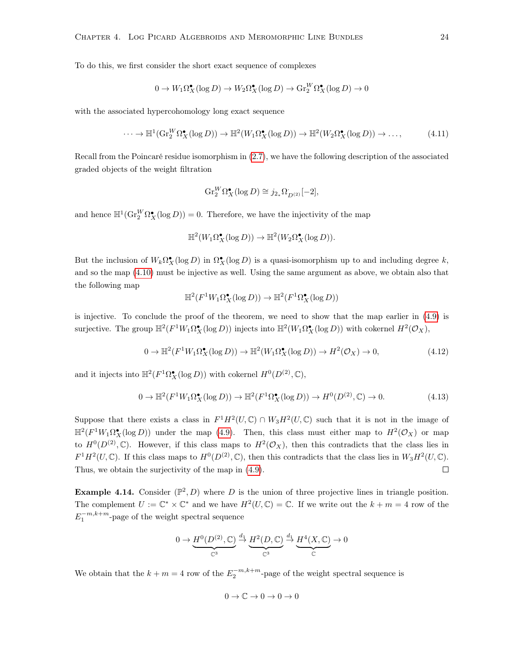To do this, we first consider the short exact sequence of complexes

$$
0 \to W_1 \Omega_X^{\bullet}(\log D) \to W_2 \Omega_X^{\bullet}(\log D) \to \text{Gr}_2^W \Omega_X^{\bullet}(\log D) \to 0
$$

with the associated hypercohomology long exact sequence

$$
\cdots \to \mathbb{H}^1(\mathrm{Gr}_2^W \Omega_X^{\bullet}(\log D)) \to \mathbb{H}^2(W_1 \Omega_X^{\bullet}(\log D)) \to \mathbb{H}^2(W_2 \Omega_X^{\bullet}(\log D)) \to \dots,
$$
 (4.11)

Recall from the Poincaré residue isomorphism in [\(2.7\)](#page-13-0), we have the following description of the associated graded objects of the weight filtration

$$
\operatorname{Gr}_2^W \Omega_X^{\bullet}(\log D) \cong j_{2_*}\Omega_{D^{(2)}}[-2],
$$

and hence  $\mathbb{H}^1(\text{Gr}_2^W \Omega_X^{\bullet}(\log D)) = 0$ . Therefore, we have the injectivity of the map

$$
\mathbb{H}^2(W_1\Omega_X^{\bullet}(\log D)) \to \mathbb{H}^2(W_2\Omega_X^{\bullet}(\log D)).
$$

But the inclusion of  $W_k \Omega_X^{\bullet}(\log D)$  in  $\Omega_X^{\bullet}(\log D)$  is a quasi-isomorphism up to and including degree k, and so the map [\(4.10\)](#page-28-1) must be injective as well. Using the same argument as above, we obtain also that the following map

$$
\mathbb{H}^2(F^1W_1\Omega_X^{\bullet}(\log D)) \to \mathbb{H}^2(F^1\Omega_X^{\bullet}(\log D))
$$

is injective. To conclude the proof of the theorem, we need to show that the map earlier in [\(4.9\)](#page-28-2) is surjective. The group  $\mathbb{H}^2(F^1W_1\Omega_X^{\bullet}(\log D))$  injects into  $\mathbb{H}^2(W_1\Omega_X^{\bullet}(\log D))$  with cokernel  $H^2(\mathcal{O}_X)$ ,

$$
0 \to \mathbb{H}^2(F^1W_1\Omega_X^{\bullet}(\log D)) \to \mathbb{H}^2(W_1\Omega_X^{\bullet}(\log D)) \to H^2(\mathcal{O}_X) \to 0,
$$
\n(4.12)

and it injects into  $\mathbb{H}^2(F^1 \Omega_X^{\bullet}(\log D))$  with cokernel  $H^0(D^{(2)}, \mathbb{C}),$ 

$$
0 \to \mathbb{H}^2(F^1W_1\Omega_X^{\bullet}(\log D)) \to \mathbb{H}^2(F^1\Omega_X^{\bullet}(\log D)) \to H^0(D^{(2)}, \mathbb{C}) \to 0. \tag{4.13}
$$

Suppose that there exists a class in  $F^1H^2(U,\mathbb{C}) \cap W_3H^2(U,\mathbb{C})$  such that it is not in the image of  $\mathbb{H}^2(F^1W_1\Omega_X^{\bullet}(\log D))$  under the map [\(4.9\)](#page-28-2). Then, this class must either map to  $H^2(\mathcal{O}_X)$  or map to  $H^0(D^{(2)}, \mathbb{C})$ . However, if this class maps to  $H^2(\mathcal{O}_X)$ , then this contradicts that the class lies in  $F^1H^2(U,\mathbb{C})$ . If this class maps to  $H^0(D^{(2)},\mathbb{C})$ , then this contradicts that the class lies in  $W_3H^2(U,\mathbb{C})$ . Thus, we obtain the surjectivity of the map in [\(4.9\)](#page-28-2).  $\Box$ 

<span id="page-29-0"></span>**Example 4.14.** Consider  $(\mathbb{P}^2, D)$  where D is the union of three projective lines in triangle position. The complement  $U := \mathbb{C}^* \times \mathbb{C}^*$  and we have  $H^2(U, \mathbb{C}) = \mathbb{C}$ . If we write out the  $k + m = 4$  row of the  $E_1^{-m,k+m}$ -page of the weight spectral sequence

$$
0 \to \underbrace{H^0(D^{(2)}, \mathbb{C})}_{\mathbb{C}^3} \xrightarrow{d_1} \underbrace{H^2(D, \mathbb{C})}_{\mathbb{C}^3} \xrightarrow{d_1} \underbrace{H^4(X, \mathbb{C})}_{\mathbb{C}} \to 0
$$

We obtain that the  $k + m = 4$  row of the  $E_2^{-m,k+m}$ -page of the weight spectral sequence is

$$
0 \to \mathbb{C} \to 0 \to 0 \to 0
$$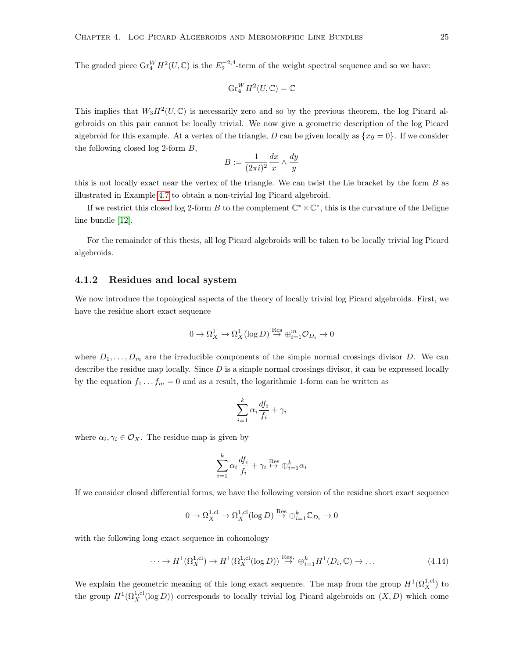The graded piece  $\text{Gr}_{4}^{W}H^{2}(U,\mathbb{C})$  is the  $E_{2}^{-2,4}$ -term of the weight spectral sequence and so we have:

$$
\operatorname{Gr}_4^WH^2(U,\mathbb{C})=\mathbb{C}
$$

This implies that  $W_3H^2(U,\mathbb{C})$  is necessarily zero and so by the previous theorem, the log Picard algebroids on this pair cannot be locally trivial. We now give a geometric description of the log Picard algebroid for this example. At a vertex of the triangle, D can be given locally as  $\{xy = 0\}$ . If we consider the following closed log 2-form B,

$$
B:=\frac{1}{(2\pi i)^2}\frac{dx}{x}\wedge\frac{dy}{y}
$$

this is not locally exact near the vertex of the triangle. We can twist the Lie bracket by the form  $B$  as illustrated in Example [4.7](#page-26-1) to obtain a non-trivial log Picard algebroid.

If we restrict this closed log 2-form B to the complement  $\mathbb{C}^* \times \mathbb{C}^*$ , this is the curvature of the Deligne line bundle [\[12\]](#page-79-10).

For the remainder of this thesis, all log Picard algebroids will be taken to be locally trivial log Picard algebroids.

#### <span id="page-30-0"></span>4.1.2 Residues and local system

We now introduce the topological aspects of the theory of locally trivial log Picard algebroids. First, we have the residue short exact sequence

$$
0 \to \Omega^1_X \to \Omega^1_X(\log D) \overset{\text{Res}}{\to} \oplus_{i=1}^m \mathcal{O}_{D_i} \to 0
$$

where  $D_1, \ldots, D_m$  are the irreducible components of the simple normal crossings divisor D. We can describe the residue map locally. Since  $D$  is a simple normal crossings divisor, it can be expressed locally by the equation  $f_1 \tldots f_m = 0$  and as a result, the logarithmic 1-form can be written as

$$
\sum_{i=1}^{k} \alpha_i \frac{df_i}{f_i} + \gamma_i
$$

where  $\alpha_i, \gamma_i \in \mathcal{O}_X$ . The residue map is given by

$$
\sum_{i=1}^{k} \alpha_i \frac{df_i}{f_i} + \gamma_i \stackrel{\text{Res}}{\mapsto} \oplus_{i=1}^{k} \alpha_i
$$

If we consider closed differential forms, we have the following version of the residue short exact sequence

$$
0 \to \Omega_X^{1,\text{cl}} \to \Omega_X^{1,\text{cl}}(\log D) \overset{\text{Res}}\to \oplus_{i=1}^k \mathbb{C}_{D_i} \to 0
$$

with the following long exact sequence in cohomology

<span id="page-30-1"></span>
$$
\cdots \to H^1(\Omega_X^{1,\text{cl}}) \to H^1(\Omega_X^{1,\text{cl}}(\log D)) \stackrel{\text{Res}_*}{\to} \oplus_{i=1}^k H^1(D_i, \mathbb{C}) \to \dots \tag{4.14}
$$

We explain the geometric meaning of this long exact sequence. The map from the group  $H^1(\Omega_X^{1,\text{cl}})$  to the group  $H^1(\Omega_X^{1,cl}(\log D))$  corresponds to locally trivial log Picard algebroids on  $(X, D)$  which come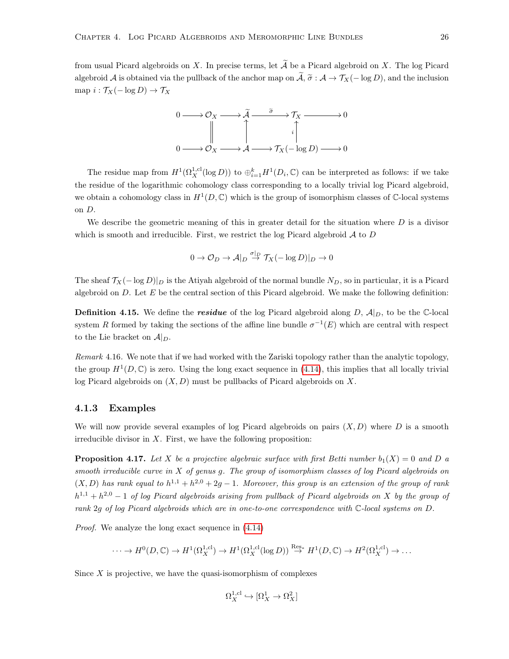from usual Picard algebroids on X. In precise terms, let  $\widetilde{A}$  be a Picard algebroid on X. The log Picard algebroid A is obtained via the pullback of the anchor map on  $\tilde{A}$ ,  $\tilde{\sigma}$  : A  $\rightarrow$   $\mathcal{T}_X(- \log D)$ , and the inclusion map  $i : \mathcal{T}_X(-\log D) \to \mathcal{T}_X$ 



The residue map from  $H^1(\Omega_X^{1,cl}(\log D))$  to  $\oplus_{i=1}^k H^1(D_i,\mathbb{C})$  can be interpreted as follows: if we take the residue of the logarithmic cohomology class corresponding to a locally trivial log Picard algebroid, we obtain a cohomology class in  $H^1(D, \mathbb{C})$  which is the group of isomorphism classes of  $\mathbb{C}$ -local systems on D.

We describe the geometric meaning of this in greater detail for the situation where  $D$  is a divisor which is smooth and irreducible. First, we restrict the log Picard algebroid  $A$  to  $D$ 

$$
0 \to \mathcal{O}_D \to \mathcal{A}|_D \stackrel{\sigma|_D}{\to} \mathcal{T}_X(-\log D)|_D \to 0
$$

The sheaf  $\mathcal{T}_X(-\log D)|_D$  is the Atiyah algebroid of the normal bundle  $N_D$ , so in particular, it is a Picard algebroid on  $D$ . Let  $E$  be the central section of this Picard algebroid. We make the following definition:

**Definition 4.15.** We define the **residue** of the log Picard algebroid along D,  $\mathcal{A}|_D$ , to be the C-local system R formed by taking the sections of the affine line bundle  $\sigma^{-1}(E)$  which are central with respect to the Lie bracket on  $A|_{D}$ .

Remark 4.16. We note that if we had worked with the Zariski topology rather than the analytic topology, the group  $H^1(D, \mathbb{C})$  is zero. Using the long exact sequence in [\(4.14\)](#page-30-1), this implies that all locally trivial log Picard algebroids on  $(X, D)$  must be pullbacks of Picard algebroids on X.

#### <span id="page-31-0"></span>4.1.3 Examples

We will now provide several examples of log Picard algebroids on pairs  $(X, D)$  where D is a smooth irreducible divisor in  $X$ . First, we have the following proposition:

<span id="page-31-1"></span>**Proposition 4.17.** Let X be a projective algebraic surface with first Betti number  $b_1(X) = 0$  and D a smooth irreducible curve in  $X$  of genus  $g$ . The group of isomorphism classes of log Picard algebroids on  $(X, D)$  has rank equal to  $h^{1,1} + h^{2,0} + 2g - 1$ . Moreover, this group is an extension of the group of rank  $h^{1,1} + h^{2,0} - 1$  of log Picard algebroids arising from pullback of Picard algebroids on X by the group of rank 2g of log Picard algebroids which are in one-to-one correspondence with C-local systems on D.

Proof. We analyze the long exact sequence in [\(4.14\)](#page-30-1)

$$
\cdots \to H^0(D,\mathbb{C}) \to H^1(\Omega_X^{1,\text{cl}}) \to H^1(\Omega_X^{1,\text{cl}}(\log D)) \overset{\text{Res}}{\to} H^1(D,\mathbb{C}) \to H^2(\Omega_X^{1,\text{cl}}) \to \cdots
$$

Since  $X$  is projective, we have the quasi-isomorphism of complexes

$$
\Omega^{1,\text{cl}}_X\hookrightarrow [\Omega^1_X\to \Omega^2_X]
$$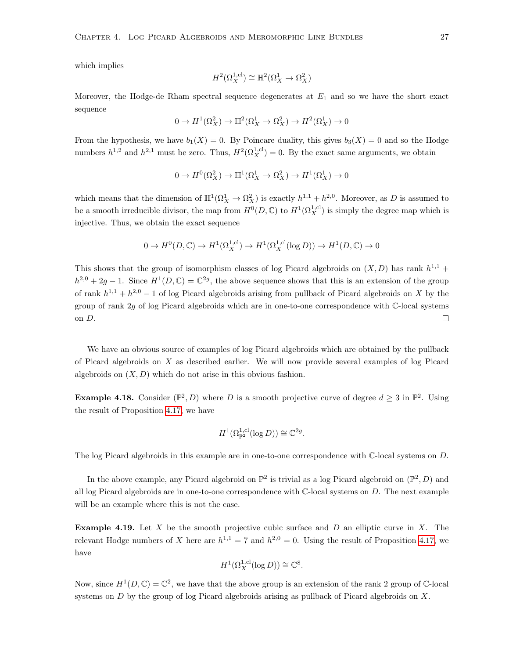which implies

$$
H^2(\Omega_X^{1,\text{cl}})\cong \mathbb{H}^2(\Omega_X^1\to \Omega_X^2)
$$

Moreover, the Hodge-de Rham spectral sequence degenerates at  $E_1$  and so we have the short exact sequence

$$
0 \to H^1(\Omega^2_X) \to \mathbb{H}^2(\Omega^1_X \to \Omega^2_X) \to H^2(\Omega^1_X) \to 0
$$

From the hypothesis, we have  $b_1(X) = 0$ . By Poincare duality, this gives  $b_3(X) = 0$  and so the Hodge numbers  $h^{1,2}$  and  $h^{2,1}$  must be zero. Thus,  $H^2(\Omega_X^{1,\text{cl}})=0$ . By the exact same arguments, we obtain

$$
0 \to H^0(\Omega^2_X) \to \mathbb{H}^1(\Omega^1_X \to \Omega^2_X) \to H^1(\Omega^1_X) \to 0
$$

which means that the dimension of  $\mathbb{H}^1(\Omega^1_X \to \Omega^2_X)$  is exactly  $h^{1,1} + h^{2,0}$ . Moreover, as D is assumed to be a smooth irreducible divisor, the map from  $H^0(D, \mathbb{C})$  to  $H^1(\Omega_X^{1, \text{cl}})$  is simply the degree map which is injective. Thus, we obtain the exact sequence

$$
0 \to H^0(D, \mathbb{C}) \to H^1(\Omega_X^{1,\text{cl}}) \to H^1(\Omega_X^{1,\text{cl}}(\log D)) \to H^1(D, \mathbb{C}) \to 0
$$

This shows that the group of isomorphism classes of log Picard algebroids on  $(X, D)$  has rank  $h^{1,1}$  +  $h^{2,0} + 2g - 1$ . Since  $H^1(D, \mathbb{C}) = \mathbb{C}^{2g}$ , the above sequence shows that this is an extension of the group of rank  $h^{1,1} + h^{2,0} - 1$  of log Picard algebroids arising from pullback of Picard algebroids on X by the group of rank 2g of log Picard algebroids which are in one-to-one correspondence with C-local systems on D.  $\Box$ 

We have an obvious source of examples of log Picard algebroids which are obtained by the pullback of Picard algebroids on X as described earlier. We will now provide several examples of log Picard algebroids on  $(X, D)$  which do not arise in this obvious fashion.

**Example 4.18.** Consider  $(\mathbb{P}^2, D)$  where D is a smooth projective curve of degree  $d \geq 3$  in  $\mathbb{P}^2$ . Using the result of Proposition [4.17,](#page-31-1) we have

$$
H^1(\Omega^{1,\text{cl}}_{\mathbb{P}^2}(\log D)) \cong \mathbb{C}^{2g}.
$$

The log Picard algebroids in this example are in one-to-one correspondence with  $\mathbb{C}$ -local systems on D.

In the above example, any Picard algebroid on  $\mathbb{P}^2$  is trivial as a log Picard algebroid on  $(\mathbb{P}^2, D)$  and all log Picard algebroids are in one-to-one correspondence with  $\mathbb{C}$ -local systems on D. The next example will be an example where this is not the case.

**Example 4.19.** Let  $X$  be the smooth projective cubic surface and  $D$  an elliptic curve in  $X$ . The relevant Hodge numbers of X here are  $h^{1,1} = 7$  and  $h^{2,0} = 0$ . Using the result of Proposition [4.17,](#page-31-1) we have

$$
H^1(\Omega_X^{1,\text{cl}}(\log D)) \cong \mathbb{C}^8.
$$

Now, since  $H^1(D, \mathbb{C}) = \mathbb{C}^2$ , we have that the above group is an extension of the rank 2 group of  $\mathbb{C}$ -local systems on  $D$  by the group of log Picard algebroids arising as pullback of Picard algebroids on  $X$ .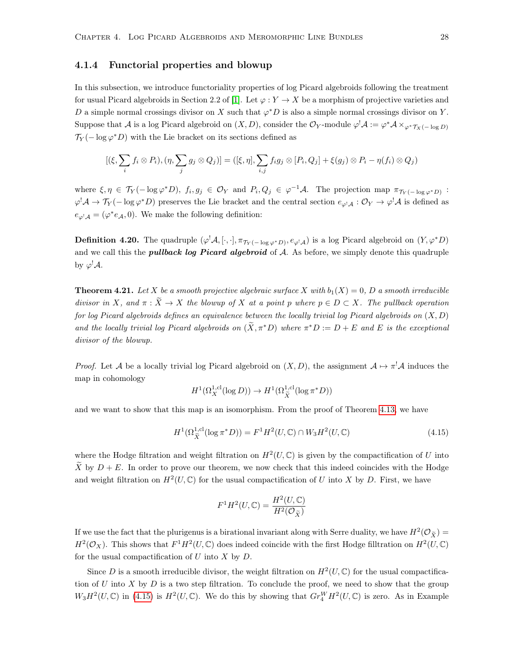#### <span id="page-33-0"></span>4.1.4 Functorial properties and blowup

In this subsection, we introduce functoriality properties of log Picard algebroids following the treatment for usual Picard algebroids in Section 2.2 of [\[1\]](#page-79-2). Let  $\varphi: Y \to X$  be a morphism of projective varieties and D a simple normal crossings divisor on X such that  $\varphi^*D$  is also a simple normal crossings divisor on Y. Suppose that A is a log Picard algebroid on  $(X, D)$ , consider the  $\mathcal{O}_Y$ -module  $\varphi^! \mathcal{A} := \varphi^* \mathcal{A} \times_{\varphi^* \mathcal{T}_X(- \log D)}$  $\mathcal{T}_Y(-\log \varphi^*D)$  with the Lie bracket on its sections defined as

$$
[(\xi, \sum_i f_i \otimes P_i), (\eta, \sum_j g_j \otimes Q_j)] = ([\xi, \eta], \sum_{i,j} f_i g_j \otimes [P_i, Q_j] + \xi(g_j) \otimes P_i - \eta(f_i) \otimes Q_j)
$$

where  $\xi, \eta \in \mathcal{T}_Y(-\log \varphi^*D), f_i, g_j \in \mathcal{O}_Y$  and  $P_i, Q_j \in \varphi^{-1}\mathcal{A}$ . The projection map  $\pi_{\mathcal{T}_Y(-\log \varphi^*D)}$ :  $\varphi^! A \to \mathcal{T}_Y(-\log \varphi^* D)$  preserves the Lie bracket and the central section  $e_{\varphi^! A}: \mathcal{O}_Y \to \varphi^! A$  is defined as  $e_{\varphi^{\dagger} \mathcal{A}} = (\varphi^* e_{\mathcal{A}}, 0)$ . We make the following definition:

**Definition 4.20.** The quadruple  $(\varphi^! A, [\cdot, \cdot], \pi_{\mathcal{T}_Y(-\log \varphi^* D)}, e_{\varphi^! A})$  is a log Picard algebroid on  $(Y, \varphi^* D)$ and we call this the *pullback log Picard algebroid* of  $A$ . As before, we simply denote this quadruple by  $\varphi^! A$ .

**Theorem 4.21.** Let X be a smooth projective algebraic surface X with  $b_1(X) = 0$ , D a smooth irreducible divisor in X, and  $\pi : \widetilde{X} \to X$  the blowup of X at a point p where  $p \in D \subset X$ . The pullback operation for log Picard algebroids defines an equivalence between the locally trivial log Picard algebroids on  $(X, D)$ and the locally trivial log Picard algebroids on  $(\tilde{X}, \pi^*D)$  where  $\pi^*D := D + E$  and E is the exceptional divisor of the blowup.

*Proof.* Let A be a locally trivial log Picard algebroid on  $(X, D)$ , the assignment  $A \mapsto \pi^! A$  induces the map in cohomology

$$
H^1(\Omega_X^{1,\text{cl}}(\log D)) \to H^1(\Omega_{\widetilde{X}}^{1,\text{cl}}(\log \pi^* D))
$$

and we want to show that this map is an isomorphism. From the proof of Theorem [4.13,](#page-28-0) we have

<span id="page-33-1"></span>
$$
H^{1}(\Omega_{\tilde{X}}^{1,\text{cl}}(\log \pi^{*} D)) = F^{1}H^{2}(U,\mathbb{C}) \cap W_{3}H^{2}(U,\mathbb{C})
$$
\n(4.15)

where the Hodge filtration and weight filtration on  $H^2(U, \mathbb{C})$  is given by the compactification of U into  $\tilde{X}$  by  $D + E$ . In order to prove our theorem, we now check that this indeed coincides with the Hodge and weight filtration on  $H^2(U, \mathbb{C})$  for the usual compactification of U into X by D. First, we have

$$
F^1 H^2(U, \mathbb{C}) = \frac{H^2(U, \mathbb{C})}{H^2(\mathcal{O}_{\widetilde{X}})}
$$

If we use the fact that the plurigenus is a birational invariant along with Serre duality, we have  $H^2(\mathcal{O}_{\tilde{X}})$  $H^2(\mathcal{O}_X)$ . This shows that  $F^1H^2(U,\mathbb{C})$  does indeed coincide with the first Hodge filltration on  $H^2(U,\mathbb{C})$ for the usual compactification of  $U$  into  $X$  by  $D$ .

Since D is a smooth irreducible divisor, the weight filtration on  $H^2(U, \mathbb{C})$  for the usual compactification of U into X by D is a two step filtration. To conclude the proof, we need to show that the group  $W_3H^2(U,\mathbb{C})$  in [\(4.15\)](#page-33-1) is  $H^2(U,\mathbb{C})$ . We do this by showing that  $Gr_{4}^WH^2(U,\mathbb{C})$  is zero. As in Example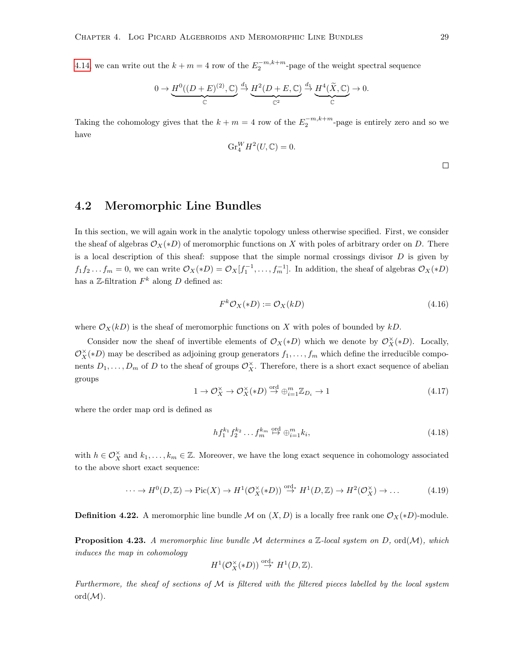[4.14,](#page-29-0) we can write out the  $k + m = 4$  row of the  $E_2^{-m,k+m}$ -page of the weight spectral sequence

$$
0 \to \underbrace{H^0((D+E)^{(2)}, \mathbb{C})}_{\mathbb{C}} \xrightarrow{d_1} \underbrace{H^2(D+E, \mathbb{C})}_{\mathbb{C}^2} \xrightarrow{d_1} \underbrace{H^4(\widetilde{X}, \mathbb{C})}_{\mathbb{C}} \to 0.
$$

Taking the cohomology gives that the  $k + m = 4$  row of the  $E_2^{-m,k+m}$ -page is entirely zero and so we have

$$
\text{Gr}_4^W H^2(U,\mathbb{C}) = 0.
$$

 $\Box$ 

### <span id="page-34-0"></span>4.2 Meromorphic Line Bundles

In this section, we will again work in the analytic topology unless otherwise specified. First, we consider the sheaf of algebras  $\mathcal{O}_X(*D)$  of meromorphic functions on X with poles of arbitrary order on D. There is a local description of this sheaf: suppose that the simple normal crossings divisor  $D$  is given by  $f_1f_2...f_m=0$ , we can write  $\mathcal{O}_X(*D)=\mathcal{O}_X[f_1^{-1},...,f_m^{-1}]$ . In addition, the sheaf of algebras  $\mathcal{O}_X(*D)$ has a  $\mathbb{Z}\text{-filtration } F^k$  along D defined as:

<span id="page-34-1"></span>
$$
F^k \mathcal{O}_X(*D) := \mathcal{O}_X(kD) \tag{4.16}
$$

where  $\mathcal{O}_X(kD)$  is the sheaf of meromorphic functions on X with poles of bounded by kD.

Consider now the sheaf of invertible elements of  $\mathcal{O}_X(*D)$  which we denote by  $\mathcal{O}_X^{\times}(*D)$ . Locally,  $\mathcal{O}_X^{\times}(*D)$  may be described as adjoining group generators  $f_1, \ldots, f_m$  which define the irreducible components  $D_1, \ldots, D_m$  of D to the sheaf of groups  $\mathcal{O}_X^{\times}$ . Therefore, there is a short exact sequence of abelian groups

$$
1 \to \mathcal{O}_X^{\times} \to \mathcal{O}_X^{\times}(*D) \stackrel{\text{ord}}{\to} \oplus_{i=1}^m \mathbb{Z}_{D_i} \to 1
$$
\n
$$
(4.17)
$$

where the order map ord is defined as

<span id="page-34-2"></span>
$$
hf_1^{k_1}f_2^{k_2}\dots f_m^{k_m} \stackrel{\text{ord}}{\mapsto} \oplus_{i=1}^m k_i,\tag{4.18}
$$

with  $h \in \mathcal{O}_X^{\times}$  and  $k_1, \ldots, k_m \in \mathbb{Z}$ . Moreover, we have the long exact sequence in cohomology associated to the above short exact sequence:

<span id="page-34-3"></span>
$$
\cdots \to H^0(D, \mathbb{Z}) \to \text{Pic}(X) \to H^1(\mathcal{O}_X^{\times}(*D)) \stackrel{\text{ord}}{\to} H^1(D, \mathbb{Z}) \to H^2(\mathcal{O}_X^{\times}) \to \dots \tag{4.19}
$$

**Definition 4.22.** A meromorphic line bundle M on  $(X, D)$  is a locally free rank one  $\mathcal{O}_X(*D)$ -module.

**Proposition 4.23.** A meromorphic line bundle M determines a  $\mathbb{Z}$ -local system on D, ord(M), which induces the map in cohomology

$$
H^1(\mathcal{O}_X^{\times}(*D)) \stackrel{\text{ord}}{\rightarrow} H^1(D,\mathbb{Z}).
$$

Furthermore, the sheaf of sections of  $M$  is filtered with the filtered pieces labelled by the local system  $ord(M).$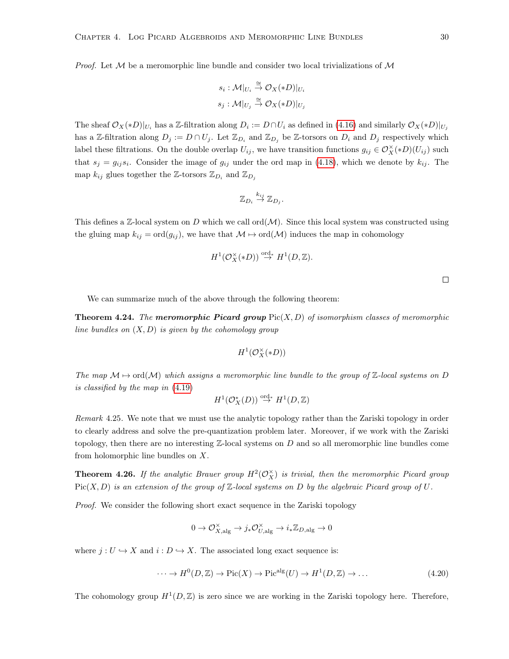*Proof.* Let  $M$  be a meromorphic line bundle and consider two local trivializations of  $M$ 

$$
s_i: \mathcal{M}|_{U_i} \stackrel{\cong}{\to} \mathcal{O}_X(*D)|_{U_i}
$$

$$
s_j: \mathcal{M}|_{U_j} \stackrel{\cong}{\to} \mathcal{O}_X(*D)|_{U_j}
$$

The sheaf  $\mathcal{O}_X(*D)|_{U_i}$  has a Z-filtration along  $D_i := D \cap U_i$  as defined in [\(4.16\)](#page-34-1) and similarly  $\mathcal{O}_X(*D)|_{U_j}$ has a Z-filtration along  $D_j := D \cap U_j$ . Let  $\mathbb{Z}_{D_i}$  and  $\mathbb{Z}_{D_j}$  be Z-torsors on  $D_i$  and  $D_j$  respectively which label these filtrations. On the double overlap  $U_{ij}$ , we have transition functions  $g_{ij} \in \mathcal{O}_X^{\times}(*D)(U_{ij})$  such that  $s_j = g_{ij} s_i$ . Consider the image of  $g_{ij}$  under the ord map in [\(4.18\)](#page-34-2), which we denote by  $k_{ij}$ . The map  $k_{ij}$  glues together the Z-torsors  $\mathbb{Z}_{D_i}$  and  $\mathbb{Z}_{D_j}$ 

$$
\mathbb{Z}_{D_i} \stackrel{k_{ij}}{\to} \mathbb{Z}_{D_j}.
$$

This defines a  $\mathbb{Z}$ -local system on D which we call ord $(\mathcal{M})$ . Since this local system was constructed using the gluing map  $k_{ij} = \text{ord}(g_{ij})$ , we have that  $\mathcal{M} \mapsto \text{ord}(\mathcal{M})$  induces the map in cohomology

$$
H^1(\mathcal{O}_X^{\times}(*D)) \stackrel{\text{ord}}{\rightarrow} H^1(D,\mathbb{Z}).
$$

 $\Box$ 

We can summarize much of the above through the following theorem:

**Theorem 4.24.** The meromorphic Picard group  $Pic(X, D)$  of isomorphism classes of meromorphic line bundles on  $(X, D)$  is given by the cohomology group

$$
H^1(\mathcal{O}_X^{\times}(*D))
$$

The map  $\mathcal{M} \mapsto \text{ord}(\mathcal{M})$  which assigns a meromorphic line bundle to the group of Z-local systems on D is classified by the map in [\(4.19\)](#page-34-3)

$$
H^1(\mathcal O^*_X(D))\stackrel{{\rm ord}_*}\to H^1(D,\mathbb Z)
$$

Remark 4.25. We note that we must use the analytic topology rather than the Zariski topology in order to clearly address and solve the pre-quantization problem later. Moreover, if we work with the Zariski topology, then there are no interesting  $\mathbb{Z}$ -local systems on D and so all meromorphic line bundles come from holomorphic line bundles on X.

**Theorem 4.26.** If the analytic Brauer group  $H^2(\mathcal{O}_X^{\times})$  is trivial, then the meromorphic Picard group  $Pic(X, D)$  is an extension of the group of Z-local systems on D by the algebraic Picard group of U.

Proof. We consider the following short exact sequence in the Zariski topology

$$
0 \to \mathcal{O}_{X,\mathrm{alg}}^\times \to j_*\mathcal{O}_{U,\mathrm{alg}}^\times \to i_*\mathbb{Z}_{D,\mathrm{alg}} \to 0
$$

where  $j: U \hookrightarrow X$  and  $i: D \hookrightarrow X$ . The associated long exact sequence is:

$$
\cdots \to H^0(D, \mathbb{Z}) \to \text{Pic}(X) \to \text{Pic}^{\text{alg}}(U) \to H^1(D, \mathbb{Z}) \to \dots
$$
\n(4.20)

The cohomology group  $H^1(D, \mathbb{Z})$  is zero since we are working in the Zariski topology here. Therefore,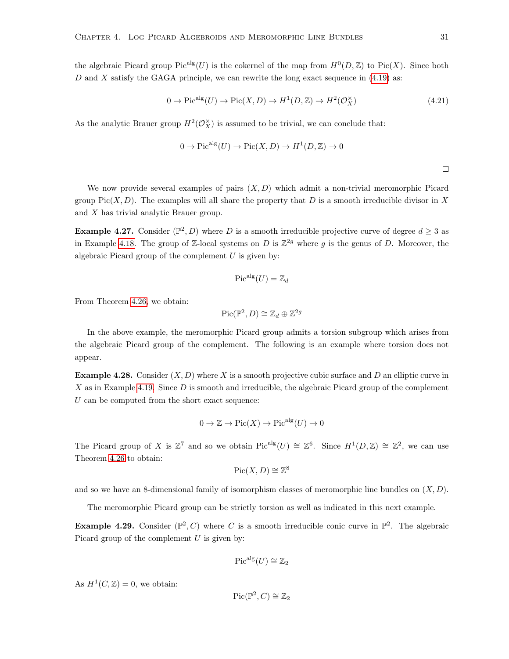the algebraic Picard group  $Pic^{alg}(U)$  is the cokernel of the map from  $H^0(D, \mathbb{Z})$  to Pic $(X)$ . Since both  $D$  and  $X$  satisfy the GAGA principle, we can rewrite the long exact sequence in  $(4.19)$  as:

<span id="page-36-0"></span>
$$
0 \to Pic^{alg}(U) \to Pic(X, D) \to H^1(D, \mathbb{Z}) \to H^2(\mathcal{O}_X^{\times})
$$
\n
$$
(4.21)
$$

As the analytic Brauer group  $H^2(\mathcal{O}_X^{\times})$  is assumed to be trivial, we can conclude that:

$$
0 \to Picalg(U) \to Pic(X, D) \to H1(D, \mathbb{Z}) \to 0
$$

 $\Box$ 

We now provide several examples of pairs  $(X, D)$  which admit a non-trivial meromorphic Picard group Pic $(X, D)$ . The examples will all share the property that D is a smooth irreducible divisor in X and X has trivial analytic Brauer group.

<span id="page-36-1"></span>**Example 4.27.** Consider  $(\mathbb{P}^2, D)$  where D is a smooth irreducible projective curve of degree  $d \geq 3$  as in Example [4.18.](#page-32-0) The group of Z-local systems on D is  $\mathbb{Z}^{2g}$  where g is the genus of D. Moreover, the algebraic Picard group of the complement  $U$  is given by:

$$
\mathrm{Pic}^{\mathrm{alg}}(U)=\mathbb{Z}_d
$$

From Theorem [4.26,](#page-35-0) we obtain:

$$
Pic(\mathbb{P}^2, D) \cong \mathbb{Z}_d \oplus \mathbb{Z}^{2g}
$$

In the above example, the meromorphic Picard group admits a torsion subgroup which arises from the algebraic Picard group of the complement. The following is an example where torsion does not appear.

**Example 4.28.** Consider  $(X, D)$  where X is a smooth projective cubic surface and D an elliptic curve in X as in Example [4.19.](#page-32-1) Since  $D$  is smooth and irreducible, the algebraic Picard group of the complement  $U$  can be computed from the short exact sequence:

$$
0 \to \mathbb{Z} \to \mathrm{Pic}(X) \to \mathrm{Pic}^{\mathrm{alg}}(U) \to 0
$$

The Picard group of X is  $\mathbb{Z}^7$  and so we obtain  $Pic^{alg}(U) \cong \mathbb{Z}^6$ . Since  $H^1(D, \mathbb{Z}) \cong \mathbb{Z}^2$ , we can use Theorem [4.26](#page-35-0) to obtain:

$$
\operatorname{Pic}(X,D) \cong \mathbb{Z}^8
$$

and so we have an 8-dimensional family of isomorphism classes of meromorphic line bundles on  $(X, D)$ .

The meromorphic Picard group can be strictly torsion as well as indicated in this next example.

**Example 4.29.** Consider  $(\mathbb{P}^2, C)$  where C is a smooth irreducible conic curve in  $\mathbb{P}^2$ . The algebraic Picard group of the complement  $U$  is given by:

$$
\mathrm{Pic}^{\mathrm{alg}}(U) \cong \mathbb{Z}_2
$$

As  $H^1(C, \mathbb{Z}) = 0$ , we obtain:

$$
\mathrm{Pic}(\mathbb{P}^2, C) \cong \mathbb{Z}_2
$$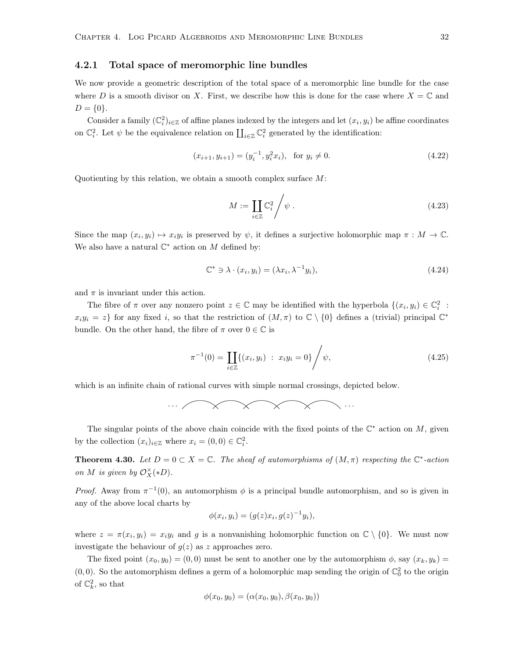#### 4.2.1 Total space of meromorphic line bundles

We now provide a geometric description of the total space of a meromorphic line bundle for the case where D is a smooth divisor on X. First, we describe how this is done for the case where  $X = \mathbb{C}$  and  $D = \{0\}.$ 

Consider a family  $(\mathbb{C}_i^2)_{i\in\mathbb{Z}}$  of affine planes indexed by the integers and let  $(x_i, y_i)$  be affine coordinates on  $\mathbb{C}_i^2$ . Let  $\psi$  be the equivalence relation on  $\prod_{i\in\mathbb{Z}}\mathbb{C}_i^2$  generated by the identification:

$$
(x_{i+1}, y_{i+1}) = (y_i^{-1}, y_i^2 x_i), \text{ for } y_i \neq 0.
$$
 (4.22)

Quotienting by this relation, we obtain a smooth complex surface M:

$$
M := \coprod_{i \in \mathbb{Z}} \mathbb{C}_i^2 / \psi \,. \tag{4.23}
$$

Since the map  $(x_i, y_i) \mapsto x_i y_i$  is preserved by  $\psi$ , it defines a surjective holomorphic map  $\pi : M \to \mathbb{C}$ . We also have a natural  $\mathbb{C}^*$  action on M defined by:

$$
\mathbb{C}^* \ni \lambda \cdot (x_i, y_i) = (\lambda x_i, \lambda^{-1} y_i), \tag{4.24}
$$

and  $\pi$  is invariant under this action.

The fibre of  $\pi$  over any nonzero point  $z \in \mathbb{C}$  may be identified with the hyperbola  $\{(x_i, y_i) \in \mathbb{C}_i^2$ :  $x_i y_i = z$  for any fixed i, so that the restriction of  $(M, \pi)$  to  $\mathbb{C} \setminus \{0\}$  defines a (trivial) principal  $\mathbb{C}^*$ bundle. On the other hand, the fibre of  $\pi$  over  $0 \in \mathbb{C}$  is

$$
\pi^{-1}(0) = \prod_{i \in \mathbb{Z}} \{ (x_i, y_i) : x_i y_i = 0 \} / \psi,
$$
\n(4.25)

which is an infinite chain of rational curves with simple normal crossings, depicted below.

$$
\cdots \qquad \qquad \longmapsto \qquad \qquad \qquad \longmapsto
$$

The singular points of the above chain coincide with the fixed points of the  $\mathbb{C}^*$  action on M, given by the collection  $(x_i)_{i \in \mathbb{Z}}$  where  $x_i = (0,0) \in \mathbb{C}_i^2$ .

**Theorem 4.30.** Let  $D = 0 \subset X = \mathbb{C}$ . The sheaf of automorphisms of  $(M, \pi)$  respecting the  $\mathbb{C}^*$ -action on M is given by  $\mathcal{O}_X^{\times}(*D)$ .

*Proof.* Away from  $\pi^{-1}(0)$ , an automorphism  $\phi$  is a principal bundle automorphism, and so is given in any of the above local charts by

$$
\phi(x_i, y_i) = (g(z)x_i, g(z)^{-1}y_i),
$$

where  $z = \pi(x_i, y_i) = x_i y_i$  and g is a nonvanishing holomorphic function on  $\mathbb{C} \setminus \{0\}$ . We must now investigate the behaviour of  $g(z)$  as z approaches zero.

The fixed point  $(x_0, y_0) = (0, 0)$  must be sent to another one by the automorphism  $\phi$ , say  $(x_k, y_k)$  $(0,0)$ . So the automorphism defines a germ of a holomorphic map sending the origin of  $\mathbb{C}^2_0$  to the origin of  $\mathbb{C}_k^2$ , so that

$$
\phi(x_0, y_0) = (\alpha(x_0, y_0), \beta(x_0, y_0))
$$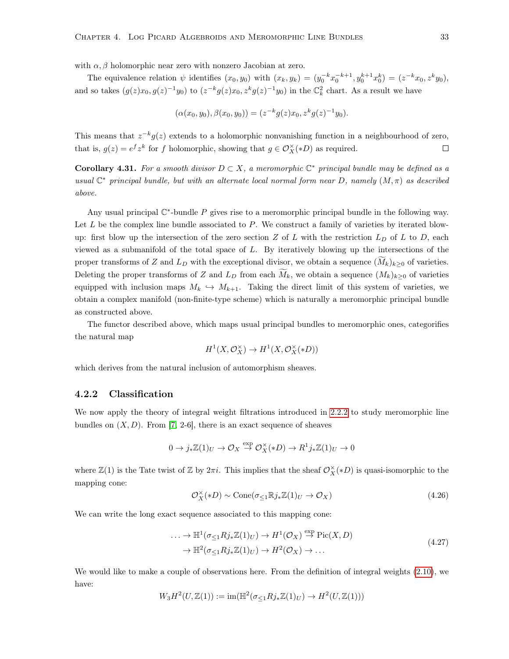with  $\alpha$ ,  $\beta$  holomorphic near zero with nonzero Jacobian at zero.

The equivalence relation  $\psi$  identifies  $(x_0, y_0)$  with  $(x_k, y_k) = (y_0^{-k} x_0^{-k+1}, y_0^{k+1} x_0^k) = (z^{-k} x_0, z^k y_0)$ , and so takes  $(g(z)x_0, g(z)^{-1}y_0)$  to  $(z^{-k}g(z)x_0, z^k g(z)^{-1}y_0)$  in the  $\mathbb{C}_k^2$  chart. As a result we have

$$
(\alpha(x_0, y_0), \beta(x_0, y_0)) = (z^{-k}g(z)x_0, z^k g(z)^{-1}y_0).
$$

This means that  $z^{-k}g(z)$  extends to a holomorphic nonvanishing function in a neighbourhood of zero, that is,  $g(z) = e^f z^k$  for f holomorphic, showing that  $g \in \mathcal{O}_X^{\times}(*D)$  as required.  $\Box$ 

**Corollary 4.31.** For a smooth divisor  $D \subset X$ , a meromorphic  $\mathbb{C}^*$  principal bundle may be defined as a usual  $\mathbb{C}^*$  principal bundle, but with an alternate local normal form near D, namely  $(M, \pi)$  as described above.

Any usual principal  $\mathbb{C}^*$ -bundle P gives rise to a meromorphic principal bundle in the following way. Let  $L$  be the complex line bundle associated to  $P$ . We construct a family of varieties by iterated blowup: first blow up the intersection of the zero section  $Z$  of  $L$  with the restriction  $L_D$  of  $L$  to  $D$ , each viewed as a submanifold of the total space of  $L$ . By iteratively blowing up the intersections of the proper transforms of Z and  $L<sub>D</sub>$  with the exceptional divisor, we obtain a sequence  $(M<sub>k</sub>)<sub>k>0</sub>$  of varieties. Deleting the proper transforms of Z and  $L_D$  from each  $\tilde{M}_k$ , we obtain a sequence  $(M_k)_{k\geq 0}$  of varieties equipped with inclusion maps  $M_k \leftrightarrow M_{k+1}$ . Taking the direct limit of this system of varieties, we obtain a complex manifold (non-finite-type scheme) which is naturally a meromorphic principal bundle as constructed above.

The functor described above, which maps usual principal bundles to meromorphic ones, categorifies the natural map

$$
H^1(X, \mathcal{O}_X^{\times}) \to H^1(X, \mathcal{O}_X^{\times}(*D))
$$

which derives from the natural inclusion of automorphism sheaves.

#### 4.2.2 Classification

We now apply the theory of integral weight filtrations introduced in [2.2.2](#page-14-0) to study meromorphic line bundles on  $(X, D)$ . From [\[7,](#page-79-0) 2-6], there is an exact sequence of sheaves

$$
0 \to j_*\mathbb{Z}(1)_U \to \mathcal{O}_X \stackrel{\exp}{\to} \mathcal{O}_X^{\times}(*D) \to R^1 j_*\mathbb{Z}(1)_U \to 0
$$

where  $\mathbb{Z}(1)$  is the Tate twist of  $\mathbb{Z}$  by  $2\pi i$ . This implies that the sheaf  $\mathcal{O}_X^{\times}(*D)$  is quasi-isomorphic to the mapping cone:

<span id="page-38-1"></span>
$$
\mathcal{O}_X^{\times}(*D) \sim \text{Cone}(\sigma_{\leq 1} \mathbb{R} j_* \mathbb{Z}(1)_U \to \mathcal{O}_X)
$$
\n(4.26)

<span id="page-38-0"></span>We can write the long exact sequence associated to this mapping cone:

$$
\cdots \to \mathbb{H}^1(\sigma_{\leq 1}Rj_*\mathbb{Z}(1)_U) \to H^1(\mathcal{O}_X) \stackrel{\text{exp}}{\to} \text{Pic}(X, D)
$$
  

$$
\to \mathbb{H}^2(\sigma_{\leq 1}Rj_*\mathbb{Z}(1)_U) \to H^2(\mathcal{O}_X) \to \dots
$$
 (4.27)

We would like to make a couple of observations here. From the definition of integral weights [\(2.10\)](#page-14-1), we have:

$$
W_3 H^2(U, \mathbb{Z}(1)) := \text{im}(\mathbb{H}^2(\sigma_{\leq 1} R j_* \mathbb{Z}(1)_U) \to H^2(U, \mathbb{Z}(1)))
$$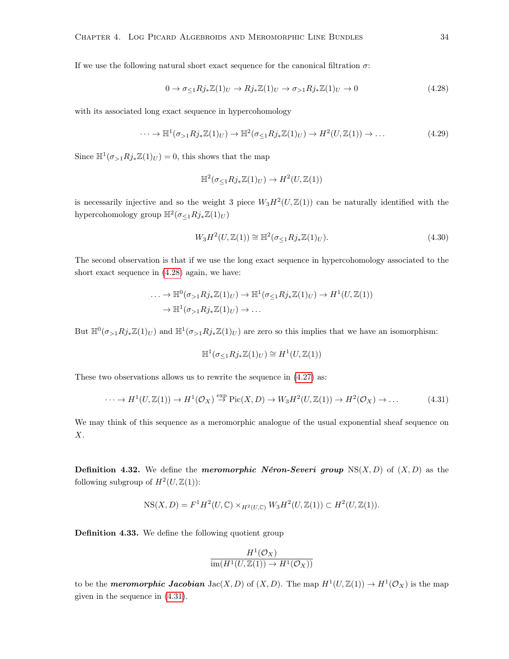If we use the following natural short exact sequence for the canonical filtration  $\sigma$ :

<span id="page-39-0"></span>
$$
0 \to \sigma_{\leq 1} R j_* \mathbb{Z}(1)_U \to R j_* \mathbb{Z}(1)_U \to \sigma_{>1} R j_* \mathbb{Z}(1)_U \to 0
$$
\n(4.28)

with its associated long exact sequence in hypercohomology

<span id="page-39-2"></span>
$$
\cdots \to \mathbb{H}^1(\sigma_{>1}Rj_*\mathbb{Z}(1)_U) \to \mathbb{H}^2(\sigma_{\leq 1}Rj_*\mathbb{Z}(1)_U) \to H^2(U,\mathbb{Z}(1)) \to \dots
$$
\n(4.29)

Since  $\mathbb{H}^1(\sigma_{>1}Rj_*\mathbb{Z}(1)_U) = 0$ , this shows that the map

$$
\mathbb{H}^2(\sigma_{\leq 1}Rj_*\mathbb{Z}(1)_U) \to H^2(U,\mathbb{Z}(1))
$$

is necessarily injective and so the weight 3 piece  $W_3H^2(U,\mathbb{Z}(1))$  can be naturally identified with the hypercohomology group  $\mathbb{H}^2(\sigma_{\leq 1}Rj_*\mathbb{Z}(1)_U)$ 

<span id="page-39-3"></span>
$$
W_3 H^2(U, \mathbb{Z}(1)) \cong \mathbb{H}^2(\sigma_{\leq 1} R j_* \mathbb{Z}(1)_U). \tag{4.30}
$$

The second observation is that if we use the long exact sequence in hypercohomology associated to the short exact sequence in [\(4.28\)](#page-39-0) again, we have:

$$
\cdots \to \mathbb{H}^0(\sigma_{>1}Rj_*\mathbb{Z}(1)_U) \to \mathbb{H}^1(\sigma_{\leq 1}Rj_*\mathbb{Z}(1)_U) \to H^1(U,\mathbb{Z}(1))
$$
  

$$
\to \mathbb{H}^1(\sigma_{>1}Rj_*\mathbb{Z}(1)_U) \to \dots
$$

But  $\mathbb{H}^0(\sigma_{>1}Rj_*\mathbb{Z}(1)_U)$  and  $\mathbb{H}^1(\sigma_{>1}Rj_*\mathbb{Z}(1)_U)$  are zero so this implies that we have an isomorphism:

$$
\mathbb{H}^1(\sigma_{\leq 1}Rj_*\mathbb{Z}(1)_U) \cong H^1(U,\mathbb{Z}(1))
$$

These two observations allows us to rewrite the sequence in [\(4.27\)](#page-38-0) as:

<span id="page-39-1"></span>
$$
\cdots \to H^1(U, \mathbb{Z}(1)) \to H^1(\mathcal{O}_X) \stackrel{\text{exp}}{\to} \text{Pic}(X, D) \to W_3 H^2(U, \mathbb{Z}(1)) \to H^2(\mathcal{O}_X) \to \dots \tag{4.31}
$$

We may think of this sequence as a meromorphic analogue of the usual exponential sheaf sequence on  $X$ .

**Definition 4.32.** We define the *meromorphic Néron-Severi group*  $NS(X, D)$  of  $(X, D)$  as the following subgroup of  $H^2(U, \mathbb{Z}(1))$ :

$$
NS(X, D) = F1H2(U, \mathbb{C}) \times_{H2(U, \mathbb{C})} W3H2(U, \mathbb{Z}(1)) \subset H2(U, \mathbb{Z}(1)).
$$

Definition 4.33. We define the following quotient group

$$
\frac{H^1(\mathcal{O}_X)}{\operatorname{im}(H^1(U,\mathbb{Z}(1)) \to H^1(\mathcal{O}_X))}
$$

to be the **meromorphic Jacobian** Jac(X, D) of  $(X, D)$ . The map  $H^1(U, \mathbb{Z}(1)) \to H^1(\mathcal{O}_X)$  is the map given in the sequence in [\(4.31\)](#page-39-1).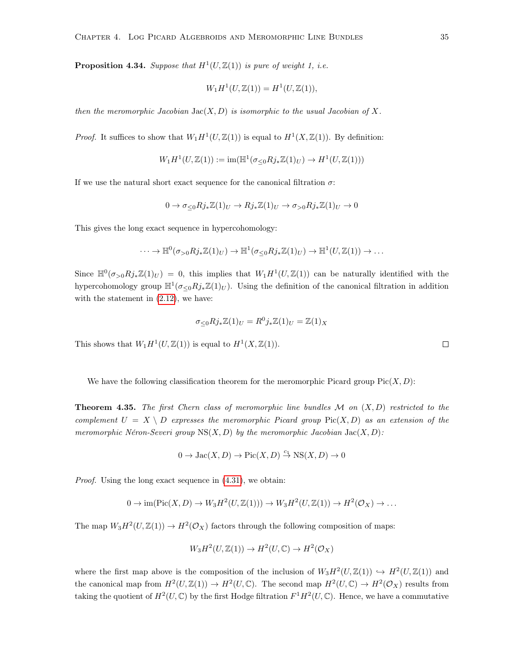**Proposition 4.34.** Suppose that  $H^1(U, \mathbb{Z}(1))$  is pure of weight 1, i.e.

$$
W_1H^1(U, \mathbb{Z}(1)) = H^1(U, \mathbb{Z}(1)),
$$

then the meromorphic Jacobian  $Jac(X, D)$  is isomorphic to the usual Jacobian of X.

*Proof.* It suffices to show that  $W_1 H^1(U, \mathbb{Z}(1))$  is equal to  $H^1(X, \mathbb{Z}(1))$ . By definition:

$$
W_1H^1(U, \mathbb{Z}(1)) := \text{im}(\mathbb{H}^1(\sigma_{\leq 0}Rj_*\mathbb{Z}(1)_U) \to H^1(U, \mathbb{Z}(1)))
$$

If we use the natural short exact sequence for the canonical filtration  $\sigma$ :

$$
0 \to \sigma_{\leq 0} R j_* \mathbb{Z}(1)_U \to R j_* \mathbb{Z}(1)_U \to \sigma_{> 0} R j_* \mathbb{Z}(1)_U \to 0
$$

This gives the long exact sequence in hypercohomology:

$$
\cdots \to \mathbb{H}^0(\sigma_{>0}Rj_*\mathbb{Z}(1)_U) \to \mathbb{H}^1(\sigma_{\leq 0}Rj_*\mathbb{Z}(1)_U) \to \mathbb{H}^1(U,\mathbb{Z}(1)) \to \ldots
$$

Since  $\mathbb{H}^0(\sigma_{>0}Rj_*\mathbb{Z}(1)_U) = 0$ , this implies that  $W_1H^1(U,\mathbb{Z}(1))$  can be naturally identified with the hypercohomology group  $\mathbb{H}^1(\sigma_{\leq 0}Rj_*\mathbb{Z}(1)_U)$ . Using the definition of the canonical filtration in addition with the statement in  $(2.12)$ , we have:

$$
\sigma_{\leq 0} R j_* \mathbb{Z}(1)_U = R^0 j_* \mathbb{Z}(1)_U = \mathbb{Z}(1)_X
$$

This shows that  $W_1 H^1(U, \mathbb{Z}(1))$  is equal to  $H^1(X, \mathbb{Z}(1))$ .

We have the following classification theorem for the meromorphic Picard group 
$$
\text{Pic}(X, D)
$$
:

**Theorem 4.35.** The first Chern class of meromorphic line bundles  $M$  on  $(X, D)$  restricted to the complement  $U = X \setminus D$  expresses the meromorphic Picard group Pic $(X, D)$  as an extension of the meromorphic Néron-Severi group  $NS(X, D)$  by the meromorphic Jacobian Jac $(X, D)$ :

$$
0 \to \text{Jac}(X, D) \to \text{Pic}(X, D) \stackrel{c_1}{\to} \text{NS}(X, D) \to 0
$$

Proof. Using the long exact sequence in [\(4.31\)](#page-39-1), we obtain:

$$
0 \to \text{im}(\text{Pic}(X,D) \to W_3H^2(U,\mathbb{Z}(1))) \to W_3H^2(U,\mathbb{Z}(1)) \to H^2(\mathcal{O}_X) \to \dots
$$

The map  $W_3H^2(U,\mathbb{Z}(1)) \to H^2(\mathcal{O}_X)$  factors through the following composition of maps:

$$
W_3H^2(U,\mathbb{Z}(1)) \to H^2(U,\mathbb{C}) \to H^2(\mathcal{O}_X)
$$

where the first map above is the composition of the inclusion of  $W_3H^2(U,\mathbb{Z}(1)) \hookrightarrow H^2(U,\mathbb{Z}(1))$  and the canonical map from  $H^2(U, \mathbb{Z}(1)) \to H^2(U, \mathbb{C})$ . The second map  $H^2(U, \mathbb{C}) \to H^2(\mathcal{O}_X)$  results from taking the quotient of  $H^2(U, \mathbb{C})$  by the first Hodge filtration  $F^1H^2(U, \mathbb{C})$ . Hence, we have a commutative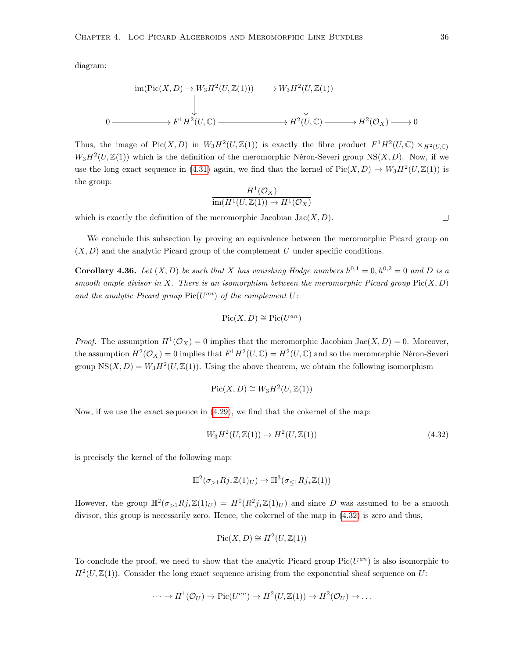diagram:

$$
\text{im}(\text{Pic}(X, D) \to W_3 H^2(U, \mathbb{Z}(1))) \longrightarrow W_3 H^2(U, \mathbb{Z}(1))
$$
\n
$$
\downarrow \qquad \qquad \downarrow
$$
\n
$$
0 \longrightarrow F^1 H^2(U, \mathbb{C}) \longrightarrow H^2(U, \mathbb{C}) \longrightarrow H^2(\mathcal{O}_X) \longrightarrow 0
$$

Thus, the image of Pic $(X, D)$  in  $W_3 H^2(U, \mathbb{Z}(1))$  is exactly the fibre product  $F^1 H^2(U, \mathbb{C}) \times_{H^2(U, \mathbb{C})}$  $W_3H^2(U,\mathbb{Z}(1))$  which is the definition of the meromorphic Néron-Severi group NS $(X,D)$ . Now, if we use the long exact sequence in [\(4.31\)](#page-39-1) again, we find that the kernel of  $Pic(X, D) \to W_3H^2(U, \mathbb{Z}(1))$  is the group:

$$
\frac{H^1(\mathcal{O}_X)}{\text{im}(H^1(U,\mathbb{Z}(1)) \to H^1(\mathcal{O}_X))}
$$

which is exactly the definition of the meromorphic Jacobian  $Jac(X, D)$ .

We conclude this subsection by proving an equivalence between the meromorphic Picard group on  $(X, D)$  and the analytic Picard group of the complement U under specific conditions.

<span id="page-41-1"></span>**Corollary 4.36.** Let  $(X, D)$  be such that X has vanishing Hodge numbers  $h^{0,1} = 0, h^{0,2} = 0$  and D is a smooth ample divisor in X. There is an isomorphism between the meromorphic Picard group  $Pic(X, D)$ and the analytic Picard group  $Pic(U^{an})$  of the complement  $U$ :

$$
Pic(X, D) \cong Pic(U^{an})
$$

*Proof.* The assumption  $H^1(\mathcal{O}_X) = 0$  implies that the meromorphic Jacobian Jac $(X, D) = 0$ . Moreover, the assumption  $H^2(\mathcal{O}_X) = 0$  implies that  $F^1H^2(U,\mathbb{C}) = H^2(U,\mathbb{C})$  and so the meromorphic Néron-Severi group  $NS(X, D) = W_3 H^2(U, \mathbb{Z}(1))$ . Using the above theorem, we obtain the following isomorphism

$$
Pic(X, D) \cong W_3 H^2(U, \mathbb{Z}(1))
$$

Now, if we use the exact sequence in [\(4.29\)](#page-39-2), we find that the cokernel of the map:

<span id="page-41-0"></span>
$$
W_3 H^2(U, \mathbb{Z}(1)) \to H^2(U, \mathbb{Z}(1))
$$
\n(4.32)

is precisely the kernel of the following map:

$$
\mathbb{H}^2(\sigma_{>1}Rj_*\mathbb{Z}(1)_U) \to \mathbb{H}^3(\sigma_{\leq 1}Rj_*\mathbb{Z}(1))
$$

However, the group  $\mathbb{H}^2(\sigma_{>1}Rj_*\mathbb{Z}(1)_U) = H^0(R^2j_*\mathbb{Z}(1)_U)$  and since D was assumed to be a smooth divisor, this group is necessarily zero. Hence, the cokernel of the map in [\(4.32\)](#page-41-0) is zero and thus,

$$
Pic(X, D) \cong H^2(U, \mathbb{Z}(1))
$$

To conclude the proof, we need to show that the analytic Picard group  $Pic(U^{an})$  is also isomorphic to  $H<sup>2</sup>(U, \mathbb{Z}(1))$ . Consider the long exact sequence arising from the exponential sheaf sequence on U:

$$
\cdots \to H^1(\mathcal{O}_U) \to \mathrm{Pic}(U^{an}) \to H^2(U, \mathbb{Z}(1)) \to H^2(\mathcal{O}_U) \to \cdots
$$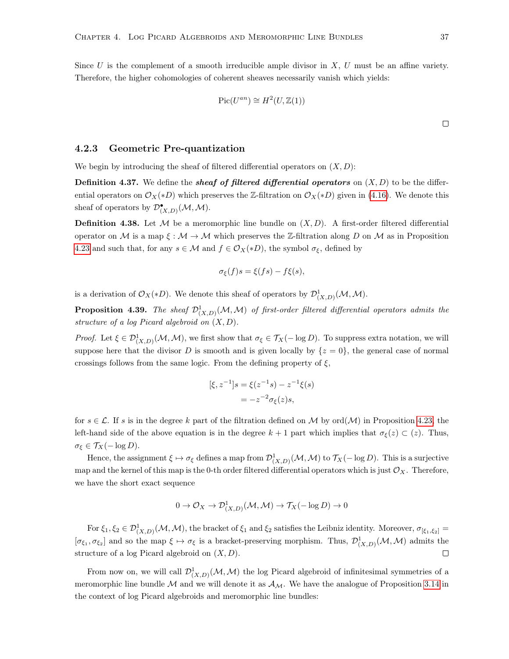Since U is the complement of a smooth irreducible ample divisor in  $X, U$  must be an affine variety. Therefore, the higher cohomologies of coherent sheaves necessarily vanish which yields:

$$
Pic(U^{an}) \cong H^2(U, \mathbb{Z}(1))
$$

#### 4.2.3 Geometric Pre-quantization

We begin by introducing the sheaf of filtered differential operators on  $(X, D)$ :

**Definition 4.37.** We define the *sheaf of filtered differential operators* on  $(X, D)$  to be the differential operators on  $\mathcal{O}_X(*D)$  which preserves the Z-filtration on  $\mathcal{O}_X(*D)$  given in [\(4.16\)](#page-34-1). We denote this sheaf of operators by  $\mathcal{D}_{(X,D)}^{\bullet}(\mathcal{M},\mathcal{M})$ .

**Definition 4.38.** Let M be a meromorphic line bundle on  $(X, D)$ . A first-order filtered differential operator on M is a map  $\xi : \mathcal{M} \to \mathcal{M}$  which preserves the Z-filtration along D on M as in Proposition [4.23](#page-34-2) and such that, for any  $s \in \mathcal{M}$  and  $f \in \mathcal{O}_X(*D)$ , the symbol  $\sigma_{\xi}$ , defined by

$$
\sigma_{\xi}(f)s = \xi(fs) - f\xi(s),
$$

is a derivation of  $\mathcal{O}_X(*D)$ . We denote this sheaf of operators by  $\mathcal{D}^1_{(X,D)}(\mathcal{M},\mathcal{M})$ .

**Proposition 4.39.** The sheaf  $\mathcal{D}_{(X,D)}^1(\mathcal{M},\mathcal{M})$  of first-order filtered differential operators admits the structure of a log Picard algebroid on  $(X, D)$ .

Proof. Let  $\xi \in \mathcal{D}^1_{(X,D)}(\mathcal{M},\mathcal{M})$ , we first show that  $\sigma_{\xi} \in \mathcal{T}_X(-\log D)$ . To suppress extra notation, we will suppose here that the divisor D is smooth and is given locally by  $\{z=0\}$ , the general case of normal crossings follows from the same logic. From the defining property of  $\xi$ ,

$$
[\xi, z^{-1}]s = \xi(z^{-1}s) - z^{-1}\xi(s)
$$

$$
= -z^{-2}\sigma_{\xi}(z)s,
$$

for  $s \in \mathcal{L}$ . If s is in the degree k part of the filtration defined on M by ord $(\mathcal{M})$  in Proposition [4.23,](#page-34-2) the left-hand side of the above equation is in the degree  $k + 1$  part which implies that  $\sigma_{\xi}(z) \subset (z)$ . Thus,  $\sigma_{\varepsilon} \in \mathcal{T}_X(-\log D).$ 

Hence, the assignment  $\xi \mapsto \sigma_{\xi}$  defines a map from  $\mathcal{D}^1_{(X,D)}(\mathcal{M},\mathcal{M})$  to  $\mathcal{T}_X(-\log D)$ . This is a surjective map and the kernel of this map is the 0-th order filtered differential operators which is just  $\mathcal{O}_X$ . Therefore, we have the short exact sequence

$$
0 \to \mathcal{O}_X \to \mathcal{D}^1_{(X,D)}(\mathcal{M}, \mathcal{M}) \to \mathcal{T}_X(-\log D) \to 0
$$

For  $\xi_1, \xi_2 \in \mathcal{D}^1_{(X,D)}(\mathcal{M}, \mathcal{M})$ , the bracket of  $\xi_1$  and  $\xi_2$  satisfies the Leibniz identity. Moreover,  $\sigma_{[\xi_1,\xi_2]} =$  $[\sigma_{\xi_1}, \sigma_{\xi_2}]$  and so the map  $\xi \mapsto \sigma_{\xi}$  is a bracket-preserving morphism. Thus,  $\mathcal{D}^1_{(X,D)}(\mathcal{M}, \mathcal{M})$  admits the structure of a log Picard algebroid on  $(X, D)$ .  $\Box$ 

From now on, we will call  $\mathcal{D}^1_{(X,D)}(\mathcal{M},\mathcal{M})$  the log Picard algebroid of infinitesimal symmetries of a meromorphic line bundle  $\mathcal M$  and we will denote it as  $\mathcal A_{\mathcal M}$ . We have the analogue of Proposition [3.14](#page-20-0) in the context of log Picard algebroids and meromorphic line bundles: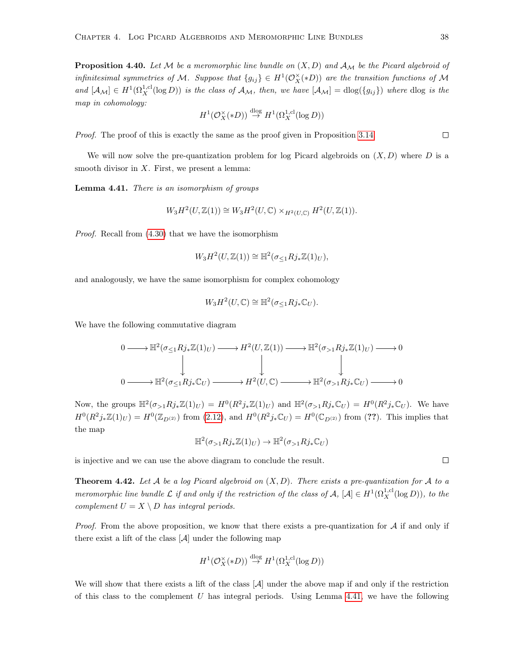**Proposition 4.40.** Let M be a meromorphic line bundle on  $(X, D)$  and  $\mathcal{A}_{\mathcal{M}}$  be the Picard algebroid of infinitesimal symmetries of M. Suppose that  ${g_{ij}} \in H^1(\mathcal{O}_X^{\times}(*D))$  are the transition functions of M and  $[A_{\mathcal{M}}] \in H^1(\Omega_X^{1,cl}(\log D))$  is the class of  $A_{\mathcal{M}}$ , then, we have  $[A_{\mathcal{M}}] = \text{dlog}(\{g_{ij}\})$  where  $\text{dlog}$  is the map in cohomology:

$$
H^1(\mathcal{O}_X^\times(*D))\stackrel{\mathrm{dlog}}{\to} H^1(\Omega_X^{1,\mathrm{cl}}(\log D))
$$

Proof. The proof of this is exactly the same as the proof given in Proposition [3.14.](#page-20-0)

We will now solve the pre-quantization problem for log Picard algebroids on  $(X, D)$  where D is a smooth divisor in  $X$ . First, we present a lemma:

<span id="page-43-0"></span>Lemma 4.41. There is an isomorphism of groups

$$
W_3H^2(U,\mathbb{Z}(1)) \cong W_3H^2(U,\mathbb{C}) \times_{H^2(U,\mathbb{C})} H^2(U,\mathbb{Z}(1)).
$$

Proof. Recall from [\(4.30\)](#page-39-3) that we have the isomorphism

$$
W_3H^2(U,\mathbb{Z}(1)) \cong \mathbb{H}^2(\sigma_{\leq 1}Rj_*\mathbb{Z}(1)_U),
$$

and analogously, we have the same isomorphism for complex cohomology

$$
W_3H^2(U,\mathbb{C}) \cong \mathbb{H}^2(\sigma_{\leq 1}Rj_*\mathbb{C}_U).
$$

We have the following commutative diagram

$$
0 \longrightarrow \mathbb{H}^{2}(\sigma_{\leq 1}Rj_{*}\mathbb{Z}(1)_{U}) \longrightarrow H^{2}(U,\mathbb{Z}(1)) \longrightarrow \mathbb{H}^{2}(\sigma_{>1}Rj_{*}\mathbb{Z}(1)_{U}) \longrightarrow 0
$$
  
\n
$$
\downarrow \qquad \qquad \downarrow \qquad \qquad \downarrow
$$
  
\n
$$
0 \longrightarrow \mathbb{H}^{2}(\sigma_{\leq 1}Rj_{*}\mathbb{C}_{U}) \longrightarrow H^{2}(U,\mathbb{C}) \longrightarrow \mathbb{H}^{2}(\sigma_{>1}Rj_{*}\mathbb{C}_{U}) \longrightarrow 0
$$

Now, the groups  $\mathbb{H}^2(\sigma_{>1}Rj_*\mathbb{Z}(1)_U) = H^0(R^2j_*\mathbb{Z}(1)_U)$  and  $\mathbb{H}^2(\sigma_{>1}Rj_*\mathbb{C}_U) = H^0(R^2j_*\mathbb{C}_U)$ . We have  $H^0(R^2 j_* \mathbb{Z}(1)_U) = H^0(\mathbb{Z}_{D^{(2)}})$  from  $(2.12)$ , and  $H^0(R^2 j_* \mathbb{C}_U) = H^0(\mathbb{C}_{D^{(2)}})$  from  $(??)$ . This implies that the map

$$
\mathbb{H}^2(\sigma_{>1}Rj_*\mathbb{Z}(1)_U) \to \mathbb{H}^2(\sigma_{>1}Rj_*\mathbb{C}_U)
$$

is injective and we can use the above diagram to conclude the result.

**Theorem 4.42.** Let A be a log Picard algebroid on  $(X, D)$ . There exists a pre-quantization for A to a meromorphic line bundle  $\mathcal L$  if and only if the restriction of the class of  $\mathcal A$ ,  $[\mathcal A]\in H^1(\Omega_X^{1,\mathrm{cl}}(\log D))$ , to the complement  $U = X \setminus D$  has integral periods.

*Proof.* From the above proposition, we know that there exists a pre-quantization for  $A$  if and only if there exist a lift of the class  $[\mathcal{A}]$  under the following map

$$
H^1(\mathcal{O}_X^{\times}(*D)) \stackrel{\mathrm{dlog}}{\to} H^1(\Omega_X^{1,\mathrm{cl}}(\log D))
$$

We will show that there exists a lift of the class  $[\mathcal{A}]$  under the above map if and only if the restriction of this class to the complement  $U$  has integral periods. Using Lemma [4.41,](#page-43-0) we have the following

 $\Box$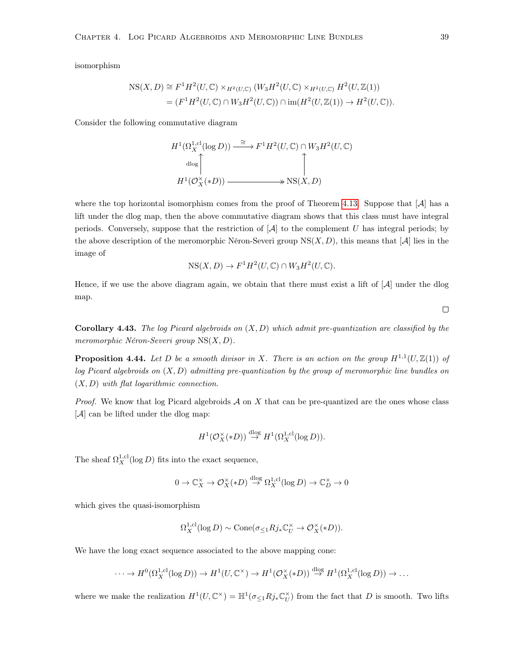isomorphism

$$
NS(X, D) \cong F^1 H^2(U, \mathbb{C}) \times_{H^2(U, \mathbb{C})} (W_3 H^2(U, \mathbb{C}) \times_{H^2(U, \mathbb{C})} H^2(U, \mathbb{Z}(1)))
$$
  
= 
$$
(F^1 H^2(U, \mathbb{C}) \cap W_3 H^2(U, \mathbb{C})) \cap \text{im}(H^2(U, \mathbb{Z}(1)) \to H^2(U, \mathbb{C})).
$$

Consider the following commutative diagram

$$
H^1(\Omega_X^{1,\text{cl}}(\log D)) \xrightarrow{\cong} F^1 H^2(U,\mathbb{C}) \cap W_3 H^2(U,\mathbb{C})
$$
  

$$
\downarrow^{\text{dlog}}
$$
  

$$
H^1(\mathcal{O}_X^{\times}(*D)) \xrightarrow{\cong} \text{NS}(X,D)
$$

where the top horizontal isomorphism comes from the proof of Theorem [4.13.](#page-28-0) Suppose that  $|\mathcal{A}|$  has a lift under the dlog map, then the above commutative diagram shows that this class must have integral periods. Conversely, suppose that the restriction of  $\mathcal{A}$  to the complement U has integral periods; by the above description of the meromorphic Néron-Severi group  $NS(X, D)$ , this means that [A] lies in the image of

$$
NS(X, D) \to F^1 H^2(U, \mathbb{C}) \cap W_3 H^2(U, \mathbb{C}).
$$

Hence, if we use the above diagram again, we obtain that there must exist a lift of  $[A]$  under the dlog map.

**Corollary 4.43.** The log Picard algebroids on  $(X, D)$  which admit pre-quantization are classified by the meromorphic Néron-Severi group NS(X, D).

**Proposition 4.44.** Let D be a smooth divisor in X. There is an action on the group  $H^{1,1}(U,\mathbb{Z}(1))$  of log Picard algebroids on  $(X, D)$  admitting pre-quantization by the group of meromorphic line bundles on  $(X, D)$  with flat logarithmic connection.

*Proof.* We know that log Picard algebroids  $A$  on  $X$  that can be pre-quantized are the ones whose class [A] can be lifted under the dlog map:

$$
H^1(\mathcal{O}_X^{\times}(*D))\stackrel{\mathrm{dlog}}{\to} H^1(\Omega_X^{1,\mathrm{cl}}(\log D)).
$$

The sheaf  $\Omega_X^{1,\text{cl}}(\log D)$  fits into the exact sequence,

$$
0 \to \mathbb{C}_X^{\times} \to \mathcal{O}_X^{\times}(*D) \stackrel{\text{dlog}}{\to} \Omega_X^{1,\text{cl}}(\log D) \to \mathbb{C}_D^{\times} \to 0
$$

which gives the quasi-isomorphism

$$
\Omega_X^{1,\text{cl}}(\log D) \sim \text{Cone}(\sigma_{\leq 1} R j_* \mathbb{C}_U^\times \to \mathcal{O}_X^\times(*D)).
$$

We have the long exact sequence associated to the above mapping cone:

$$
\cdots \to H^0(\Omega_X^{1,\text{cl}}(\log D)) \to H^1(U,\mathbb{C}^\times) \to H^1(\mathcal{O}_X^\times(*D)) \stackrel{\text{dlog}}{\to} H^1(\Omega_X^{1,\text{cl}}(\log D)) \to \cdots
$$

where we make the realization  $H^1(U, \mathbb{C}^\times) = \mathbb{H}^1(\sigma_{\leq 1} R j_* \mathbb{C}_U^\times)$  from the fact that D is smooth. Two lifts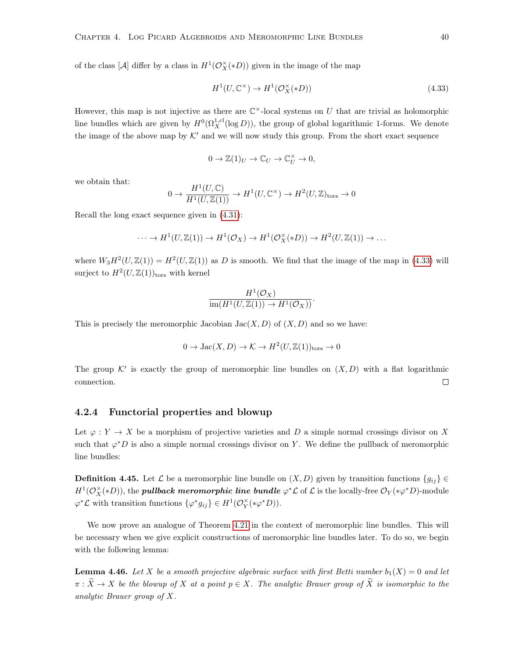of the class [ $\mathcal{A}$ ] differ by a class in  $H^1(\mathcal{O}_X^{\times}(*D))$  given in the image of the map

<span id="page-45-0"></span>
$$
H^1(U, \mathbb{C}^\times) \to H^1(\mathcal{O}_X^\times(*D))
$$
\n
$$
(4.33)
$$

However, this map is not injective as there are  $\mathbb{C}^{\times}$ -local systems on U that are trivial as holomorphic line bundles which are given by  $H^0(\Omega_X^{1,\text{cl}}(\log D))$ , the group of global logarithmic 1-forms. We denote the image of the above map by  $K'$  and we will now study this group. From the short exact sequence

$$
0 \to \mathbb{Z}(1)_U \to \mathbb{C}_U \to \mathbb{C}_U^{\times} \to 0,
$$

we obtain that:

$$
0 \to \frac{H^1(U, \mathbb{C})}{H^1(U, \mathbb{Z}(1))} \to H^1(U, \mathbb{C}^\times) \to H^2(U, \mathbb{Z})_{\text{tors}} \to 0
$$

Recall the long exact sequence given in [\(4.31\)](#page-39-1):

$$
\cdots \to H^1(U, \mathbb{Z}(1)) \to H^1(\mathcal{O}_X) \to H^1(\mathcal{O}_X^{\times}(*D)) \to H^2(U, \mathbb{Z}(1)) \to \dots
$$

where  $W_3H^2(U,\mathbb{Z}(1)) = H^2(U,\mathbb{Z}(1))$  as D is smooth. We find that the image of the map in [\(4.33\)](#page-45-0) will surject to  $H^2(U,\mathbb{Z}(1))_{\text{tors}}$  with kernel

$$
\frac{H^1(\mathcal{O}_X)}{\text{im}(H^1(U,\mathbb{Z}(1)) \to H^1(\mathcal{O}_X))}.
$$

This is precisely the meromorphic Jacobian  $Jac(X, D)$  of  $(X, D)$  and so we have:

$$
0 \to \text{Jac}(X, D) \to \mathcal{K} \to H^2(U, \mathbb{Z}(1))_{\text{tors}} \to 0
$$

The group K' is exactly the group of meromorphic line bundles on  $(X, D)$  with a flat logarithmic connection.  $\Box$ 

#### 4.2.4 Functorial properties and blowup

Let  $\varphi: Y \to X$  be a morphism of projective varieties and D a simple normal crossings divisor on X such that  $\varphi^*D$  is also a simple normal crossings divisor on Y. We define the pullback of meromorphic line bundles:

**Definition 4.45.** Let  $\mathcal{L}$  be a meromorphic line bundle on  $(X, D)$  given by transition functions  $\{g_{ij}\}\in$  $H^1({\mathcal O}_X^\times(*D)),$  the **pullback meromorphic line bundle**  $\varphi^*{\mathcal L}$  of  ${\mathcal L}$  is the locally-free  $\mathcal O_Y(*\varphi^*D)$ -module  $\varphi^* \mathcal{L}$  with transition functions  $\{\varphi^* g_{ij}\} \in H^1(\mathcal{O}_Y^{\times}(*\varphi^* D)).$ 

We now prove an analogue of Theorem [4.21](#page-33-0) in the context of meromorphic line bundles. This will be necessary when we give explicit constructions of meromorphic line bundles later. To do so, we begin with the following lemma:

**Lemma 4.46.** Let X be a smooth projective algebraic surface with first Betti number  $b_1(X) = 0$  and let  $\pi : \widetilde{X} \to X$  be the blowup of X at a point  $p \in X$ . The analytic Brauer group of  $\widetilde{X}$  is isomorphic to the analytic Brauer group of X.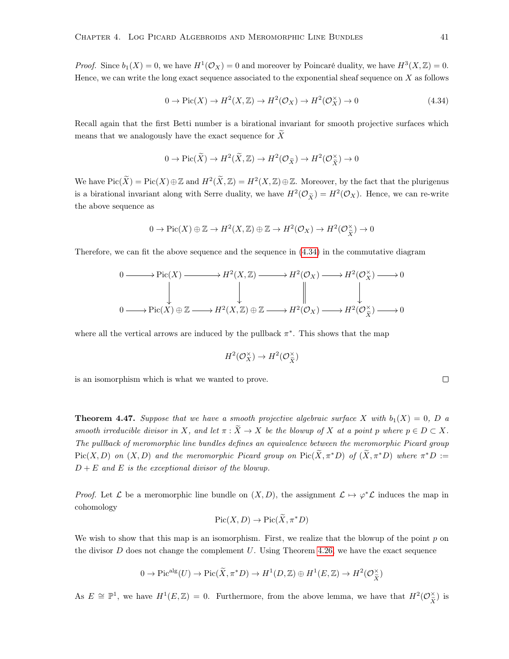*Proof.* Since  $b_1(X) = 0$ , we have  $H^1(\mathcal{O}_X) = 0$  and moreover by Poincaré duality, we have  $H^3(X, \mathbb{Z}) = 0$ . Hence, we can write the long exact sequence associated to the exponential sheaf sequence on  $X$  as follows

<span id="page-46-0"></span>
$$
0 \to Pic(X) \to H^2(X, \mathbb{Z}) \to H^2(\mathcal{O}_X) \to H^2(\mathcal{O}_X^{\times}) \to 0 \tag{4.34}
$$

Recall again that the first Betti number is a birational invariant for smooth projective surfaces which means that we analogously have the exact sequence for  $\widetilde{X}$ 

$$
0 \to Pic(\widetilde{X}) \to H^2(\widetilde{X}, \mathbb{Z}) \to H^2(\mathcal{O}_{\widetilde{X}}) \to H^2(\mathcal{O}_{\widetilde{X}}^{\times}) \to 0
$$

We have  $Pic(\widetilde{X}) = Pic(X) \oplus \mathbb{Z}$  and  $H^2(\widetilde{X}, \mathbb{Z}) = H^2(X, \mathbb{Z}) \oplus \mathbb{Z}$ . Moreover, by the fact that the plurigenus is a birational invariant along with Serre duality, we have  $H^2(\mathcal{O}_{\tilde{X}}) = H^2(\mathcal{O}_X)$ . Hence, we can re-write the above sequence as

$$
0 \to Pic(X) \oplus \mathbb{Z} \to H^2(X, \mathbb{Z}) \oplus \mathbb{Z} \to H^2(\mathcal{O}_X) \to H^2(\mathcal{O}_{\tilde{X}}^{\times}) \to 0
$$

Therefore, we can fit the above sequence and the sequence in [\(4.34\)](#page-46-0) in the commutative diagram

$$
0 \longrightarrow Pic(X) \longrightarrow H^{2}(X, \mathbb{Z}) \longrightarrow H^{2}(\mathcal{O}_{X}) \longrightarrow H^{2}(\mathcal{O}_{X}^{*}) \longrightarrow 0
$$
  
\n
$$
\downarrow \qquad \qquad \downarrow \qquad \qquad \downarrow \qquad \qquad \downarrow
$$
  
\n
$$
0 \longrightarrow Pic(X) \oplus \mathbb{Z} \longrightarrow H^{2}(X, \mathbb{Z}) \oplus \mathbb{Z} \longrightarrow H^{2}(\mathcal{O}_{X}) \longrightarrow H^{2}(\mathcal{O}_{X}^{*}) \longrightarrow 0
$$

where all the vertical arrows are induced by the pullback  $\pi^*$ . This shows that the map

$$
H^2(\mathcal{O}_X^{\times}) \to H^2(\mathcal{O}_{\widetilde{X}}^{\times})
$$

is an isomorphism which is what we wanted to prove.

<span id="page-46-1"></span>**Theorem 4.47.** Suppose that we have a smooth projective algebraic surface X with  $b_1(X) = 0$ , D a smooth irreducible divisor in X, and let  $\pi : \widetilde{X} \to X$  be the blowup of X at a point p where  $p \in D \subset X$ . The pullback of meromorphic line bundles defines an equivalence between the meromorphic Picard group  $Pic(X, D)$  on  $(X, D)$  and the meromorphic Picard group on  $Pic(\tilde{X}, \pi^*D)$  of  $(\tilde{X}, \pi^*D)$  where  $\pi^*D :=$  $D + E$  and E is the exceptional divisor of the blowup.

*Proof.* Let  $\mathcal L$  be a meromorphic line bundle on  $(X, D)$ , the assignment  $\mathcal L \mapsto \varphi^* \mathcal L$  induces the map in cohomology

$$
\operatorname{Pic}(X,D) \to \operatorname{Pic}(\widetilde{X},\pi^*D)
$$

We wish to show that this map is an isomorphism. First, we realize that the blowup of the point  $p$  on the divisor  $D$  does not change the complement  $U$ . Using Theorem [4.26,](#page-35-0) we have the exact sequence

$$
0 \to \mathrm{Pic}^{\mathrm{alg}}(U) \to \mathrm{Pic}(\widetilde{X}, \pi^* D) \to H^1(D, \mathbb{Z}) \oplus H^1(E, \mathbb{Z}) \to H^2(\mathcal{O}_{\widetilde{X}}^{\times})
$$

As  $E \cong \mathbb{P}^1$ , we have  $H^1(E, \mathbb{Z}) = 0$ . Furthermore, from the above lemma, we have that  $H^2(\mathcal{O}_{\widetilde{\mathbf{v}}}^{\times})$  $\chi(\tilde{X})$  is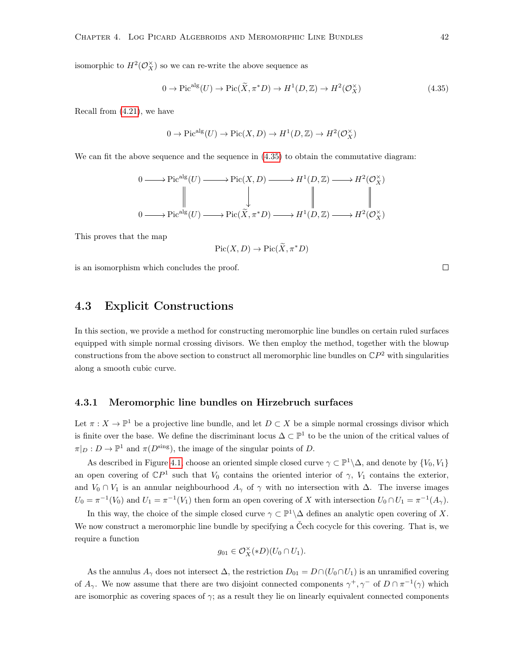isomorphic to  $H^2(\mathcal{O}_X^{\times})$  so we can re-write the above sequence as

<span id="page-47-0"></span>
$$
0 \to \text{Pic}^{\text{alg}}(U) \to \text{Pic}(\widetilde{X}, \pi^*D) \to H^1(D, \mathbb{Z}) \to H^2(\mathcal{O}_X^{\times})
$$
\n
$$
(4.35)
$$

Recall from [\(4.21\)](#page-36-0), we have

$$
0 \to \mathrm{Pic}^{\mathrm{alg}}(U) \to \mathrm{Pic}(X,D) \to H^1(D,\mathbb{Z}) \to H^2(\mathcal{O}_X^{\times})
$$

We can fit the above sequence and the sequence in  $(4.35)$  to obtain the commutative diagram:

$$
\begin{array}{ccc}\n0 & \longrightarrow \mathrm{Pic}^{\mathrm{alg}}(U) \longrightarrow \mathrm{Pic}(X, D) \longrightarrow H^{1}(D, \mathbb{Z}) \longrightarrow H^{2}(\mathcal{O}_{X}^{\times}) \\
\parallel & \parallel & \parallel & \parallel & \parallel \\
0 & \longrightarrow \mathrm{Pic}^{\mathrm{alg}}(U) \longrightarrow \mathrm{Pic}(\widetilde{X}, \pi^{*}D) \longrightarrow H^{1}(D, \mathbb{Z}) \longrightarrow H^{2}(\mathcal{O}_{X}^{\times})\n\end{array}
$$

This proves that the map

$$
\operatorname{Pic}(X,D) \to \operatorname{Pic}(\widetilde{X},\pi^*D)
$$

is an isomorphism which concludes the proof.

### 4.3 Explicit Constructions

In this section, we provide a method for constructing meromorphic line bundles on certain ruled surfaces equipped with simple normal crossing divisors. We then employ the method, together with the blowup constructions from the above section to construct all meromorphic line bundles on  $\mathbb{C}P^2$  with singularities along a smooth cubic curve.

#### 4.3.1 Meromorphic line bundles on Hirzebruch surfaces

Let  $\pi: X \to \mathbb{P}^1$  be a projective line bundle, and let  $D \subset X$  be a simple normal crossings divisor which is finite over the base. We define the discriminant locus  $\Delta \subset \mathbb{P}^1$  to be the union of the critical values of  $\pi|_D: D \to \mathbb{P}^1$  and  $\pi(D^{\text{sing}})$ , the image of the singular points of D.

As described in Figure [4.1,](#page-48-0) choose an oriented simple closed curve  $\gamma \subset \mathbb{P}^1 \setminus \Delta$ , and denote by  $\{V_0, V_1\}$ an open covering of  $\mathbb{C}P^1$  such that  $V_0$  contains the oriented interior of  $\gamma$ ,  $V_1$  contains the exterior, and  $V_0 \cap V_1$  is an annular neighbourhood  $A_\gamma$  of  $\gamma$  with no intersection with  $\Delta$ . The inverse images  $U_0 = \pi^{-1}(V_0)$  and  $U_1 = \pi^{-1}(V_1)$  then form an open covering of X with intersection  $U_0 \cap U_1 = \pi^{-1}(A_\gamma)$ .

In this way, the choice of the simple closed curve  $\gamma \subset \mathbb{P}^1 \backslash \Delta$  defines an analytic open covering of X. We now construct a meromorphic line bundle by specifying a Čech cocycle for this covering. That is, we require a function

$$
g_{01} \in \mathcal{O}_X^{\times}(*D)(U_0 \cap U_1).
$$

As the annulus  $A_{\gamma}$  does not intersect  $\Delta$ , the restriction  $D_{01} = D \cap (U_0 \cap U_1)$  is an unramified covering of  $A_\gamma$ . We now assume that there are two disjoint connected components  $\gamma^+, \gamma^-$  of  $D \cap \pi^{-1}(\gamma)$  which are isomorphic as covering spaces of  $\gamma$ ; as a result they lie on linearly equivalent connected components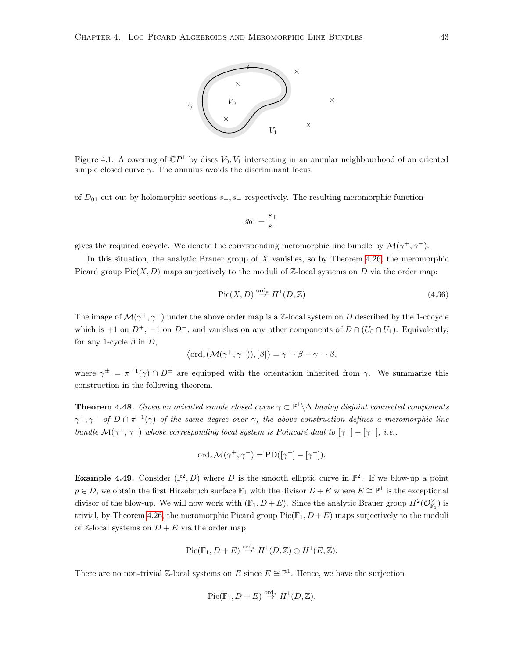

<span id="page-48-0"></span>Figure 4.1: A covering of  $\mathbb{C}P^1$  by discs  $V_0, V_1$  intersecting in an annular neighbourhood of an oriented simple closed curve  $\gamma$ . The annulus avoids the discriminant locus.

of  $D_{01}$  cut out by holomorphic sections  $s_+, s_-$  respectively. The resulting meromorphic function

$$
g_{01} = \frac{s_+}{s_-}
$$

gives the required cocycle. We denote the corresponding meromorphic line bundle by  $\mathcal{M}(\gamma^+,\gamma^-)$ .

In this situation, the analytic Brauer group of  $X$  vanishes, so by Theorem [4.26,](#page-35-0) the meromorphic Picard group  $Pic(X, D)$  maps surjectively to the moduli of Z-local systems on D via the order map:

$$
\operatorname{Pic}(X,D) \stackrel{\text{ord}}{\to} H^1(D,\mathbb{Z})
$$
\n(4.36)

The image of  $\mathcal{M}(\gamma^+,\gamma^-)$  under the above order map is a Z-local system on D described by the 1-cocycle which is +1 on  $D^+$ , -1 on  $D^-$ , and vanishes on any other components of  $D \cap (U_0 \cap U_1)$ . Equivalently, for any 1-cycle  $\beta$  in D,

$$
\langle \text{ord}_{*}(\mathcal{M}(\gamma^{+}, \gamma^{-})), [\beta] \rangle = \gamma^{+} \cdot \beta - \gamma^{-} \cdot \beta,
$$

where  $\gamma^{\pm} = \pi^{-1}(\gamma) \cap D^{\pm}$  are equipped with the orientation inherited from  $\gamma$ . We summarize this construction in the following theorem.

**Theorem 4.48.** Given an oriented simple closed curve  $\gamma \subset \mathbb{P}^1 \backslash \Delta$  having disjoint connected components  $\gamma^+, \gamma^-$  of  $D \cap \pi^{-1}(\gamma)$  of the same degree over  $\gamma$ , the above construction defines a meromorphic line bundle  $\mathcal{M}(\gamma^+,\gamma^-)$  whose corresponding local system is Poincaré dual to  $[\gamma^+] - [\gamma^-]$ , i.e.,

$$
\text{ord}_{*}\mathcal{M}(\gamma^{+}, \gamma^{-}) = \text{PD}([\gamma^{+}] - [\gamma^{-}]).
$$

**Example 4.49.** Consider  $(\mathbb{P}^2, D)$  where D is the smooth elliptic curve in  $\mathbb{P}^2$ . If we blow-up a point  $p \in D$ , we obtain the first Hirzebruch surface  $\mathbb{F}_1$  with the divisor  $D + E$  where  $E \cong \mathbb{P}^1$  is the exceptional divisor of the blow-up. We will now work with  $(\mathbb{F}_1, D+E)$ . Since the analytic Brauer group  $H^2(\mathcal{O}_{\mathbb{F}_1}^{\times})$  is trivial, by Theorem [4.26,](#page-35-0) the meromorphic Picard group  $Pic(\mathbb{F}_1, D + E)$  maps surjectively to the moduli of  $\mathbb{Z}$ -local systems on  $D + E$  via the order map

$$
Pic(\mathbb{F}_1, D+E) \stackrel{\text{ord}_*}{\to} H^1(D,\mathbb{Z}) \oplus H^1(E,\mathbb{Z}).
$$

There are no non-trivial Z-local systems on E since  $E \cong \mathbb{P}^1$ . Hence, we have the surjection

$$
Pic(\mathbb{F}_1, D+E) \stackrel{\text{ord}_*}{\to} H^1(D,\mathbb{Z}).
$$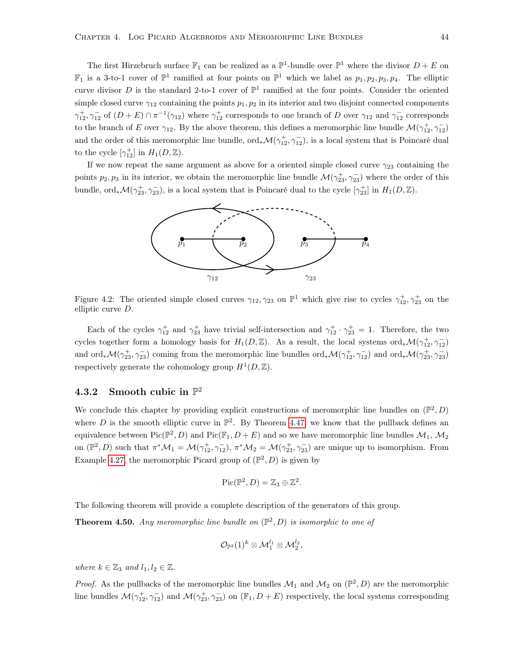The first Hirzebruch surface  $\mathbb{F}_1$  can be realized as a  $\mathbb{P}^1$ -bundle over  $\mathbb{P}^1$  where the divisor  $D + E$  on  $\mathbb{F}_1$  is a 3-to-1 cover of  $\mathbb{P}^1$  ramified at four points on  $\mathbb{P}^1$  which we label as  $p_1, p_2, p_3, p_4$ . The elliptic curve divisor D is the standard 2-to-1 cover of  $\mathbb{P}^1$  ramified at the four points. Consider the oriented simple closed curve  $\gamma_{12}$  containing the points  $p_1, p_2$  in its interior and two disjoint connected components  $\gamma_{12}^+$ ,  $\gamma_{12}^-$  of  $(D+E) \cap \pi^{-1}(\gamma_{12})$  where  $\gamma_{12}^+$  corresponds to one branch of D over  $\gamma_{12}$  and  $\gamma_{12}^-$  corresponds to the branch of E over  $\gamma_{12}$ . By the above theorem, this defines a meromorphic line bundle  $\mathcal{M}(\gamma_{12}^+,\gamma_{12}^-)$ and the order of this meromorphic line bundle,  $\text{ord}_{*}\mathcal{M}(\gamma_{12}^+,\gamma_{12}^-)$ , is a local system that is Poincaré dual to the cycle  $[\gamma_{12}^+]$  in  $H_1(D, \mathbb{Z})$ .

If we now repeat the same argument as above for a oriented simple closed curve  $\gamma_{23}$  containing the points  $p_2, p_3$  in its interior, we obtain the meromorphic line bundle  $\mathcal{M}(\gamma_{23}^+,\gamma_{23}^-)$  where the order of this bundle, ord<sub>\*</sub> $\mathcal{M}(\gamma_{23}^+,\gamma_{23}^-)$ , is a local system that is Poincaré dual to the cycle  $[\gamma_{23}^+]$  in  $H_1(D,\mathbb{Z})$ .



Figure 4.2: The oriented simple closed curves  $\gamma_{12}, \gamma_{23}$  on  $\mathbb{P}^1$  which give rise to cycles  $\gamma_{12}^+$ ,  $\gamma_{23}^+$  on the elliptic curve D.

Each of the cycles  $\gamma_{12}^+$  and  $\gamma_{23}^+$  have trivial self-intersection and  $\gamma_{12}^+ \cdot \gamma_{23}^+ = 1$ . Therefore, the two cycles together form a homology basis for  $H_1(D, \mathbb{Z})$ . As a result, the local systems ord<sub>\*</sub> $\mathcal{M}(\gamma_{12}^+,\gamma_{12}^-)$ and ord<sub>\*</sub> $\mathcal{M}(\gamma_{23}^+,\gamma_{23}^-)$  coming from the meromorphic line bundles ord<sub>\*</sub> $\mathcal{M}(\gamma_{12}^+,\gamma_{12}^-)$  and ord<sub>\*</sub> $\mathcal{M}(\gamma_{23}^+,\gamma_{23}^-)$ respectively generate the cohomology group  $H^1(D, \mathbb{Z})$ .

# 4.3.2 Smooth cubic in  $\mathbb{P}^2$

We conclude this chapter by providing explicit constructions of meromorphic line bundles on  $(\mathbb{P}^2, D)$ where D is the smooth elliptic curve in  $\mathbb{P}^2$ . By Theorem [4.47,](#page-46-1) we know that the pullback defines an equivalence between  $Pic(\mathbb{P}^2, D)$  and  $Pic(\mathbb{F}_1, D + E)$  and so we have meromorphic line bundles  $\mathcal{M}_1$ ,  $\mathcal{M}_2$ on  $(\mathbb{P}^2, D)$  such that  $\pi^* \mathcal{M}_1 = \mathcal{M}(\gamma_{12}^+, \gamma_{12}^-), \pi^* \mathcal{M}_2 = \mathcal{M}(\gamma_{23}^+, \gamma_{23}^-)$  are unique up to isomorphism. From Example [4.27,](#page-36-1) the meromorphic Picard group of  $(\mathbb{P}^2, D)$  is given by

$$
Pic(\mathbb{P}^2, D) = \mathbb{Z}_3 \oplus \mathbb{Z}^2.
$$

The following theorem will provide a complete description of the generators of this group.

**Theorem 4.50.** Any meromorphic line bundle on  $(\mathbb{P}^2, D)$  is isomorphic to one of

$$
\mathcal{O}_{\mathbb{P}^2}(1)^k \otimes \mathcal{M}_1^{l_1} \otimes \mathcal{M}_2^{l_2},
$$

where  $k \in \mathbb{Z}_3$  and  $l_1, l_2 \in \mathbb{Z}$ .

*Proof.* As the pullbacks of the meromorphic line bundles  $\mathcal{M}_1$  and  $\mathcal{M}_2$  on  $(\mathbb{P}^2, D)$  are the meromorphic line bundles  $\mathcal{M}(\gamma_{12}^+,\gamma_{12}^-)$  and  $\mathcal{M}(\gamma_{23}^+,\gamma_{23}^-)$  on  $(\mathbb{F}_1,D+E)$  respectively, the local systems corresponding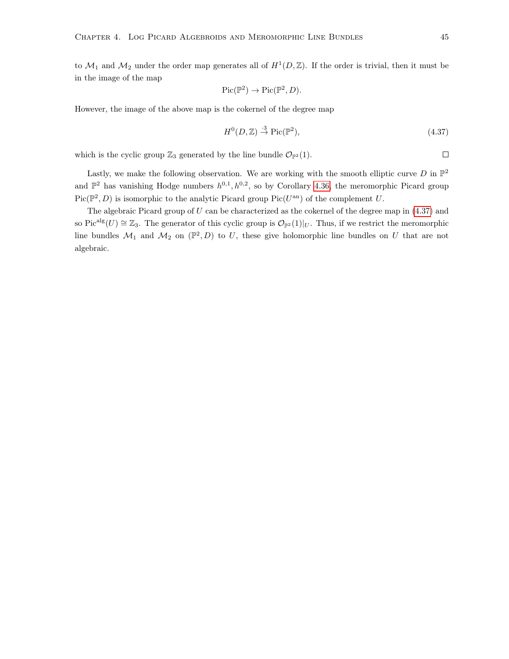to  $\mathcal{M}_1$  and  $\mathcal{M}_2$  under the order map generates all of  $H^1(D,\mathbb{Z})$ . If the order is trivial, then it must be in the image of the map

$$
Pic(\mathbb{P}^2) \to Pic(\mathbb{P}^2, D).
$$

However, the image of the above map is the cokernel of the degree map

<span id="page-50-0"></span>
$$
H^{0}(D, \mathbb{Z}) \stackrel{\cdot 3}{\rightarrow} \text{Pic}(\mathbb{P}^{2}),\tag{4.37}
$$

which is the cyclic group  $\mathbb{Z}_3$  generated by the line bundle  $\mathcal{O}_{\mathbb{P}^2}(1)$ .

Lastly, we make the following observation. We are working with the smooth elliptic curve  $D$  in  $\mathbb{P}^2$ and  $\mathbb{P}^2$  has vanishing Hodge numbers  $h^{0,1}, h^{0,2}$ , so by Corollary [4.36,](#page-41-1) the meromorphic Picard group  $Pic(\mathbb{P}^2, D)$  is isomorphic to the analytic Picard group Pic( $U^{\text{an}}$ ) of the complement U.

The algebraic Picard group of  $U$  can be characterized as the cokernel of the degree map in  $(4.37)$  and so Pic<sup>alg</sup>(U)  $\cong \mathbb{Z}_3$ . The generator of this cyclic group is  $\mathcal{O}_{\mathbb{P}^2}(1)|_U$ . Thus, if we restrict the meromorphic line bundles  $\mathcal{M}_1$  and  $\mathcal{M}_2$  on  $(\mathbb{P}^2, D)$  to U, these give holomorphic line bundles on U that are not algebraic.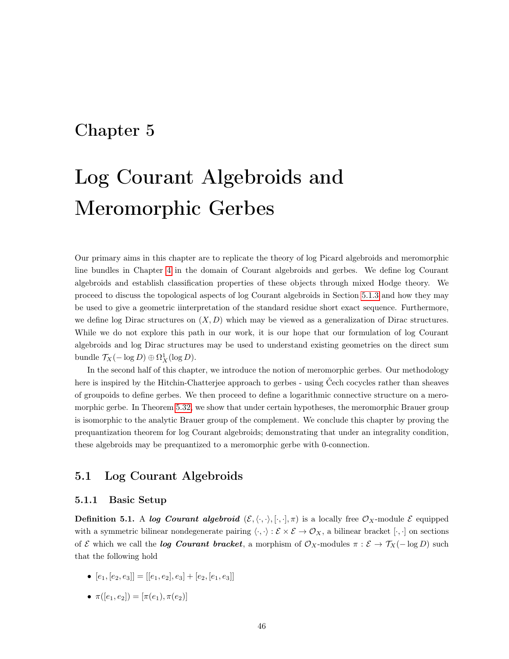# Chapter 5

# Log Courant Algebroids and Meromorphic Gerbes

Our primary aims in this chapter are to replicate the theory of log Picard algebroids and meromorphic line bundles in Chapter [4](#page-24-0) in the domain of Courant algebroids and gerbes. We define log Courant algebroids and establish classification properties of these objects through mixed Hodge theory. We proceed to discuss the topological aspects of log Courant algebroids in Section [5.1.3](#page-57-0) and how they may be used to give a geometric iinterpretation of the standard residue short exact sequence. Furthermore, we define log Dirac structures on  $(X, D)$  which may be viewed as a generalization of Dirac structures. While we do not explore this path in our work, it is our hope that our formulation of log Courant algebroids and log Dirac structures may be used to understand existing geometries on the direct sum bundle  $\mathcal{T}_X(-\log D) \oplus \Omega^1_X(\log D)$ .

In the second half of this chapter, we introduce the notion of meromorphic gerbes. Our methodology here is inspired by the Hitchin-Chatterjee approach to gerbes - using Čech cocycles rather than sheaves of groupoids to define gerbes. We then proceed to define a logarithmic connective structure on a meromorphic gerbe. In Theorem [5.32,](#page-65-0) we show that under certain hypotheses, the meromorphic Brauer group is isomorphic to the analytic Brauer group of the complement. We conclude this chapter by proving the prequantization theorem for log Courant algebroids; demonstrating that under an integrality condition, these algebroids may be prequantized to a meromorphic gerbe with 0-connection.

## 5.1 Log Courant Algebroids

#### 5.1.1 Basic Setup

**Definition 5.1.** A log Courant algebroid  $(\mathcal{E}, \langle \cdot, \cdot \rangle, [\cdot, \cdot], \pi)$  is a locally free  $\mathcal{O}_X$ -module  $\mathcal{E}$  equipped with a symmetric bilinear nondegenerate pairing  $\langle \cdot, \cdot \rangle : \mathcal{E} \times \mathcal{E} \to \mathcal{O}_X$ , a bilinear bracket  $[\cdot, \cdot]$  on sections of E which we call the **log Courant bracket**, a morphism of  $\mathcal{O}_X$ -modules  $\pi : \mathcal{E} \to \mathcal{T}_X(- \log D)$  such that the following hold

- $[e_1, [e_2, e_3]] = [[e_1, e_2], e_3] + [e_2, [e_1, e_3]]$
- $\pi([e_1, e_2]) = [\pi(e_1), \pi(e_2)]$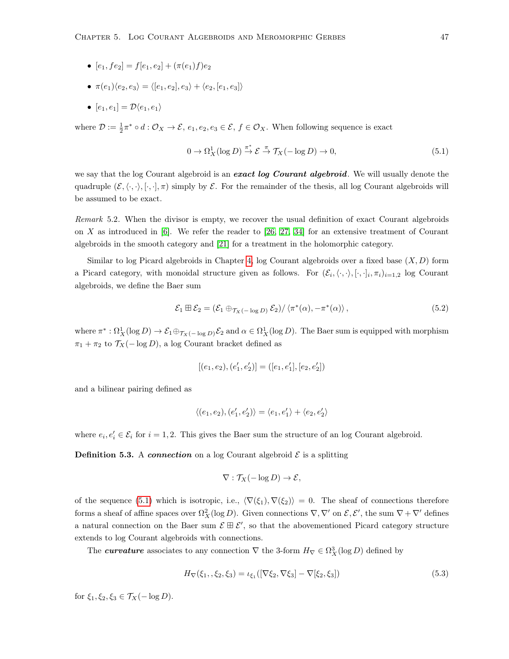- $[e_1, fe_2] = f[e_1, e_2] + (\pi(e_1)f)e_2$
- $\pi(e_1)\langle e_2, e_3 \rangle = \langle [e_1, e_2], e_3 \rangle + \langle e_2, [e_1, e_3] \rangle$
- $[e_1, e_1] = \mathcal{D}\langle e_1, e_1 \rangle$

where  $\mathcal{D} := \frac{1}{2}\pi^* \circ d : \mathcal{O}_X \to \mathcal{E}$ ,  $e_1, e_2, e_3 \in \mathcal{E}$ ,  $f \in \mathcal{O}_X$ . When following sequence is exact

<span id="page-52-0"></span>
$$
0 \to \Omega_X^1(\log D) \stackrel{\pi^*}{\to} \mathcal{E} \stackrel{\pi}{\to} \mathcal{T}_X(-\log D) \to 0,
$$
\n(5.1)

we say that the log Courant algebroid is an exact log Courant algebroid. We will usually denote the quadruple  $(\mathcal{E}, \langle \cdot, \cdot \rangle, [\cdot, \cdot], \pi)$  simply by  $\mathcal{E}$ . For the remainder of the thesis, all log Courant algebroids will be assumed to be exact.

Remark 5.2. When the divisor is empty, we recover the usual definition of exact Courant algebroids on X as introduced in  $[6]$ . We refer the reader to  $[26, 27, 34]$  $[26, 27, 34]$  $[26, 27, 34]$  for an extensive treatment of Courant algebroids in the smooth category and [\[21\]](#page-80-2) for a treatment in the holomorphic category.

Similar to log Picard algebroids in Chapter [4,](#page-24-0) log Courant algebroids over a fixed base  $(X, D)$  form a Picard category, with monoidal structure given as follows. For  $(\mathcal{E}_i, \langle \cdot, \cdot \rangle, [\cdot, \cdot]_i, \pi_i)_{i=1,2}$  log Courant algebroids, we define the Baer sum

<span id="page-52-1"></span>
$$
\mathcal{E}_1 \boxplus \mathcal{E}_2 = (\mathcal{E}_1 \oplus_{\mathcal{T}_X(-\log D)} \mathcal{E}_2) / \langle \pi^*(\alpha), -\pi^*(\alpha) \rangle, \qquad (5.2)
$$

where  $\pi^*: \Omega^1_X(\log D) \to \mathcal{E}_1 \oplus_{\mathcal{T}_X(-\log D)} \mathcal{E}_2$  and  $\alpha \in \Omega^1_X(\log D)$ . The Baer sum is equipped with morphism  $\pi_1 + \pi_2$  to  $\mathcal{T}_X(-\log D)$ , a log Courant bracket defined as

$$
\left[(e_1,e_2),(e_1^\prime,e_2^\prime)\right]=\left([e_1,e_1^\prime],[e_2,e_2^\prime]\right)
$$

and a bilinear pairing defined as

$$
\langle (e_1,e_2), (e'_1,e'_2)\rangle = \langle e_1,e'_1\rangle + \langle e_2,e'_2\rangle
$$

where  $e_i, e'_i \in \mathcal{E}_i$  for  $i = 1, 2$ . This gives the Baer sum the structure of an log Courant algebroid.

**Definition 5.3.** A *connection* on a log Courant algebroid  $\mathcal{E}$  is a splitting

$$
\nabla : \mathcal{T}_X(-\log D) \to \mathcal{E},
$$

of the sequence [\(5.1\)](#page-52-0) which is isotropic, i.e.,  $\langle \nabla(\xi_1), \nabla(\xi_2) \rangle = 0$ . The sheaf of connections therefore forms a sheaf of affine spaces over  $\Omega_X^2(\log D)$ . Given connections  $\nabla, \nabla'$  on  $\mathcal{E}, \mathcal{E}'$ , the sum  $\nabla + \nabla'$  defines a natural connection on the Baer sum  $\mathcal{E} \boxplus \mathcal{E}'$ , so that the abovementioned Picard category structure extends to log Courant algebroids with connections.

The *curvature* associates to any connection  $\nabla$  the 3-form  $H_{\nabla} \in \Omega_X^3(\log D)$  defined by

$$
H_{\nabla}(\xi_1, \xi_2, \xi_3) = \iota_{\xi_1}([\nabla \xi_2, \nabla \xi_3] - \nabla [\xi_2, \xi_3])
$$
\n(5.3)

for  $\xi_1, \xi_2, \xi_3 \in \mathcal{T}_X(-\log D)$ .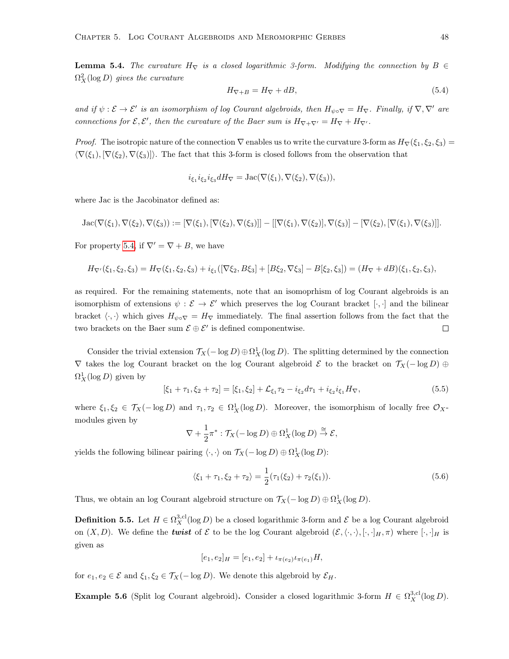<span id="page-53-1"></span>**Lemma 5.4.** The curvature  $H_{\nabla}$  is a closed logarithmic 3-form. Modifying the connection by  $B \in$  $\Omega_X^2(\log D)$  gives the curvature

<span id="page-53-0"></span>
$$
H_{\nabla + B} = H_{\nabla} + dB,\tag{5.4}
$$

and if  $\psi : \mathcal{E} \to \mathcal{E}'$  is an isomorphism of log Courant algebroids, then  $H_{\psi \circ \nabla} = H_{\nabla}$ . Finally, if  $\nabla, \nabla'$  are connections for  $\mathcal{E}, \mathcal{E}'$ , then the curvature of the Baer sum is  $H_{\nabla+\nabla'}=H_{\nabla}+H_{\nabla'}$ .

*Proof.* The isotropic nature of the connection  $\nabla$  enables us to write the curvature 3-form as  $H_{\nabla}(\xi_1, \xi_2, \xi_3)$  $\langle \nabla(\xi_1), [\nabla(\xi_2), \nabla(\xi_3)]\rangle$ . The fact that this 3-form is closed follows from the observation that

$$
i_{\xi_1} i_{\xi_2} i_{\xi_3} dH_{\nabla} = \text{Jac}(\nabla(\xi_1), \nabla(\xi_2), \nabla(\xi_3)),
$$

where Jac is the Jacobinator defined as:

$$
Jac(\nabla(\xi_1),\nabla(\xi_2),\nabla(\xi_3)):= [\nabla(\xi_1),[\nabla(\xi_2),\nabla(\xi_3)]]-[[\nabla(\xi_1),\nabla(\xi_2)],\nabla(\xi_3)]-[\nabla(\xi_2),[\nabla(\xi_1),\nabla(\xi_3)]].
$$

For property [5.4,](#page-53-0) if  $\nabla' = \nabla + B$ , we have

$$
H_{\nabla'}(\xi_1,\xi_2,\xi_3)=H_{\nabla}(\xi_1,\xi_2,\xi_3)+i_{\xi_1}([\nabla \xi_2,B\xi_3]+[B\xi_2,\nabla \xi_3]-B[\xi_2,\xi_3])=(H_{\nabla}+dB)(\xi_1,\xi_2,\xi_3),
$$

as required. For the remaining statements, note that an isomoprhism of log Courant algebroids is an isomorphism of extensions  $\psi : \mathcal{E} \to \mathcal{E}'$  which preserves the log Courant bracket  $[\cdot, \cdot]$  and the bilinear bracket  $\langle \cdot, \cdot \rangle$  which gives  $H_{\psi \circ \nabla} = H_{\nabla}$  immediately. The final assertion follows from the fact that the two brackets on the Baer sum  $\mathcal{E} \oplus \mathcal{E}'$  is defined componentwise.  $\Box$ 

Consider the trivial extension  $\mathcal{T}_X(-\log D) \oplus \Omega^1_X(\log D)$ . The splitting determined by the connection  $\nabla$  takes the log Courant bracket on the log Courant algebroid  $\mathcal E$  to the bracket on  $\mathcal T_X(- \log D) \oplus$  $\Omega^1_X(\log D)$  given by

<span id="page-53-2"></span>
$$
[\xi_1 + \tau_1, \xi_2 + \tau_2] = [\xi_1, \xi_2] + \mathcal{L}_{\xi_1} \tau_2 - i_{\xi_2} d\tau_1 + i_{\xi_2} i_{\xi_1} H_{\nabla},
$$
\n(5.5)

where  $\xi_1, \xi_2 \in \mathcal{T}_X(-\log D)$  and  $\tau_1, \tau_2 \in \Omega^1_X(\log D)$ . Moreover, the isomorphism of locally free  $\mathcal{O}_X$ modules given by

$$
\nabla + \frac{1}{2}\pi^* : \mathcal{T}_X(-\log D) \oplus \Omega^1_X(\log D) \stackrel{\cong}{\to} \mathcal{E},
$$

yields the following bilinear pairing  $\langle \cdot, \cdot \rangle$  on  $\mathcal{T}_X(- \log D) \oplus \Omega^1_X(\log D)$ :

<span id="page-53-3"></span>
$$
\langle \xi_1 + \tau_1, \xi_2 + \tau_2 \rangle = \frac{1}{2} (\tau_1(\xi_2) + \tau_2(\xi_1)). \tag{5.6}
$$

Thus, we obtain an log Courant algebroid structure on  $\mathcal{T}_X(-\log D) \oplus \Omega^1_X(\log D)$ .

<span id="page-53-5"></span>**Definition 5.5.** Let  $H \in \Omega_X^{3,cl}(\log D)$  be a closed logarithmic 3-form and  $\mathcal E$  be a log Courant algebroid on  $(X, D)$ . We define the *twist* of  $\mathcal E$  to be the log Courant algebroid  $(\mathcal E,\langle\cdot,\cdot\rangle,[\cdot,\cdot]_H,\pi)$  where  $[\cdot,\cdot]_H$  is given as

$$
[e_1, e_2]_H = [e_1, e_2] + \iota_{\pi(e_2)} \iota_{\pi(e_1)} H,
$$

for  $e_1, e_2 \in \mathcal{E}$  and  $\xi_1, \xi_2 \in \mathcal{T}_X(-\log D)$ . We denote this algebroid by  $\mathcal{E}_H$ .

<span id="page-53-4"></span>**Example 5.6** (Split log Courant algebroid). Consider a closed logarithmic 3-form  $H \in \Omega_X^{3, \text{cl}}(\log D)$ .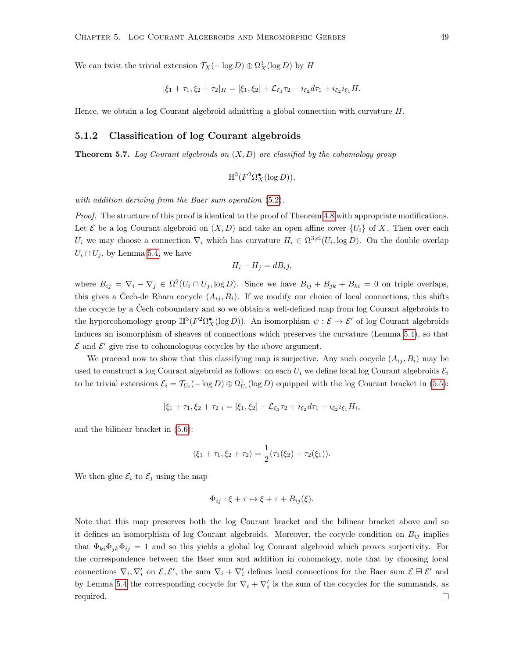We can twist the trivial extension  $\mathcal{T}_X(-\log D) \oplus \Omega^1_X(\log D)$  by H

$$
[\xi_1 + \tau_1, \xi_2 + \tau_2]_H = [\xi_1, \xi_2] + \mathcal{L}_{\xi_1} \tau_2 - i_{\xi_2} d\tau_1 + i_{\xi_2} i_{\xi_1} H.
$$

Hence, we obtain a log Courant algebroid admitting a global connection with curvature  $H$ .

#### 5.1.2 Classification of log Courant algebroids

<span id="page-54-0"></span>**Theorem 5.7.** Log Courant algebroids on  $(X, D)$  are classified by the cohomology group

$$
\mathbb{H}^3(F^2\Omega_X^{\bullet}(\log D)),
$$

with addition deriving from the Baer sum operation [\(5.2\)](#page-52-1).

Proof. The structure of this proof is identical to the proof of Theorem [4.8](#page-26-0) with appropriate modifications. Let  $\mathcal E$  be a log Courant algebroid on  $(X, D)$  and take an open affine cover  $\{U_i\}$  of X. Then over each  $U_i$  we may choose a connection  $\nabla_i$  which has curvature  $H_i \in \Omega^{3,cl}(U_i, \log D)$ . On the double overlap  $U_i \cap U_j$ , by Lemma [5.4,](#page-53-1) we have

$$
H_i - H_j = dB_i j,
$$

where  $B_{ij} = \nabla_i - \nabla_j \in \Omega^2(U_i \cap U_j, \log D)$ . Since we have  $B_{ij} + B_{jk} + B_{ki} = 0$  on triple overlaps, this gives a Čech-de Rham cocycle  $(A_{ij}, B_i)$ . If we modify our choice of local connections, this shifts the cocycle by a Čech coboundary and so we obtain a well-defined map from log Courant algebroids to the hypercohomology group  $\mathbb{H}^3(F^2\Omega_X^{\bullet}(\log D))$ . An isomorphism  $\psi : \mathcal{E} \to \mathcal{E}'$  of log Courant algebroids induces an isomorphism of sheaves of connections which preserves the curvature (Lemma [5.4\)](#page-53-1), so that  $\mathcal E$  and  $\mathcal E'$  give rise to cohomologous cocycles by the above argument.

We proceed now to show that this classifying map is surjective. Any such cocycle  $(A_{ij}, B_i)$  may be used to construct a log Courant algebroid as follows: on each  $U_i$  we define local log Courant algebroids  $\mathcal{E}_i$ to be trivial extensions  $\mathcal{E}_i = \mathcal{T}_{U_i}(-\log D) \oplus \Omega^1_{U_i}(\log D)$  equipped with the log Courant bracket in [\(5.5\)](#page-53-2):

$$
[\xi_1 + \tau_1, \xi_2 + \tau_2]_i = [\xi_1, \xi_2] + \mathcal{L}_{\xi_1} \tau_2 + i_{\xi_2} d\tau_1 + i_{\xi_2} i_{\xi_1} H_i,
$$

and the bilinear bracket in [\(5.6\)](#page-53-3):

$$
\langle \xi_1 + \tau_1, \xi_2 + \tau_2 \rangle = \frac{1}{2} (\tau_1(\xi_2) + \tau_2(\xi_1)).
$$

We then glue  $\mathcal{E}_i$  to  $\mathcal{E}_j$  using the map

$$
\Phi_{ij} : \xi + \tau \mapsto \xi + \tau + B_{ij}(\xi).
$$

Note that this map preserves both the log Courant bracket and the bilinear bracket above and so it defines an isomorphism of log Courant algebroids. Moreover, the cocycle condition on  $B_{ij}$  implies that  $\Phi_{ki}\Phi_{jk}\Phi_{ij} = 1$  and so this yields a global log Courant algebroid which proves surjectivity. For the correspondence between the Baer sum and addition in cohomology, note that by choosing local connections  $\nabla_i, \nabla'_i$  on  $\mathcal{E}, \mathcal{E}'$ , the sum  $\nabla_i + \nabla'_i$  defines local connections for the Baer sum  $\mathcal{E} \boxplus \mathcal{E}'$  and by Lemma [5.4](#page-53-1) the corresponding cocycle for  $\nabla_i + \nabla_i'$  is the sum of the cocycles for the summands, as required. $\Box$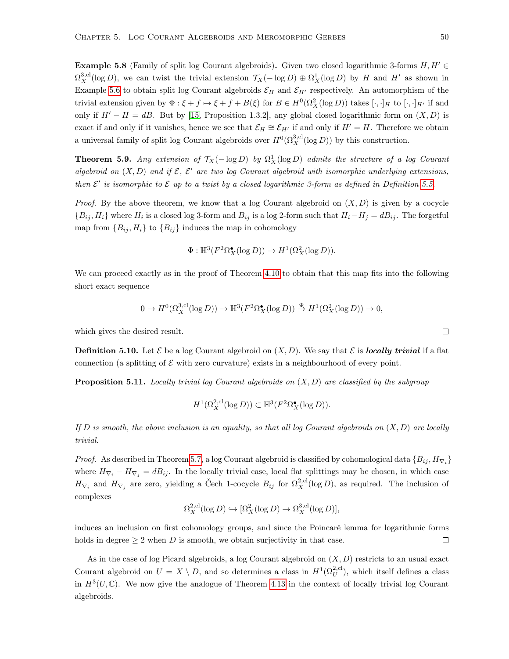**Example 5.8** (Family of split log Courant algebroids). Given two closed logarithmic 3-forms  $H, H' \in$  $\Omega_X^{3,cl}(\log D)$ , we can twist the trivial extension  $\mathcal{T}_X(-\log D) \oplus \Omega^1_X(\log D)$  by H and H' as shown in Example [5.6](#page-53-4) to obtain split log Courant algebroids  $\mathcal{E}_H$  and  $\mathcal{E}_{H'}$  respectively. An automorphism of the trivial extension given by  $\Phi: \xi + f \mapsto \xi + f + B(\xi)$  for  $B \in H^0(\Omega_X^2(\log D))$  takes  $[\cdot, \cdot]_H$  to  $[\cdot, \cdot]_{H'}$  if and only if  $H' - H = dB$ . But by [\[15,](#page-79-2) Proposition 1.3.2], any global closed logarithmic form on  $(X, D)$  is exact if and only if it vanishes, hence we see that  $\mathcal{E}_H \cong \mathcal{E}_{H'}$  if and only if  $H' = H$ . Therefore we obtain a universal family of split log Courant algebroids over  $H^0(\Omega_X^{3,\text{cl}}(\log D))$  by this construction.

**Theorem 5.9.** Any extension of  $\mathcal{T}_X(-\log D)$  by  $\Omega^1_X(\log D)$  admits the structure of a log Courant algebroid on  $(X, D)$  and if  $\mathcal{E}, \mathcal{E}'$  are two log Courant algebroid with isomorphic underlying extensions, then  $\mathcal{E}'$  is isomorphic to  $\mathcal E$  up to a twist by a closed logarithmic 3-form as defined in Definition [5.5.](#page-53-5)

*Proof.* By the above theorem, we know that a log Courant algebroid on  $(X, D)$  is given by a cocycle  ${B_{ij}, H_i}$  where  $H_i$  is a closed log 3-form and  $B_{ij}$  is a log 2-form such that  $H_i-H_j = dB_{ij}$ . The forgetful map from  ${B_{ij}, H_i}$  to  ${B_{ij}}$  induces the map in cohomology

$$
\Phi: \mathbb{H}^3(F^2\Omega_X^{\bullet}(\log D)) \to H^1(\Omega_X^2(\log D)).
$$

We can proceed exactly as in the proof of Theorem [4.10](#page-27-0) to obtain that this map fits into the following short exact sequence

$$
0 \to H^0(\Omega_X^{3,\mathrm{cl}}(\log D)) \to \mathbb{H}^3(F^2\Omega_X^\bullet(\log D)) \stackrel{\Phi}{\to} H^1(\Omega_X^2(\log D)) \to 0,
$$

which gives the desired result.

**Definition 5.10.** Let  $\mathcal{E}$  be a log Courant algebroid on  $(X, D)$ . We say that  $\mathcal{E}$  is **locally trivial** if a flat connection (a splitting of  $\mathcal E$  with zero curvature) exists in a neighbourhood of every point.

**Proposition 5.11.** Locally trivial log Courant algebroids on  $(X, D)$  are classified by the subgroup

$$
H^1(\Omega_X^{2,\mathrm{cl}}(\log D))\subset \mathbb{H}^3(F^2\Omega_X^\bullet(\log D)).
$$

If D is smooth, the above inclusion is an equality, so that all log Courant algebroids on  $(X, D)$  are locally trivial.

*Proof.* As described in Theorem [5.7,](#page-54-0) a log Courant algebroid is classified by cohomological data  $\{B_{ij}, H_{\nabla_i}\}$ where  $H_{\nabla_i} - H_{\nabla_j} = dB_{ij}$ . In the locally trivial case, local flat splittings may be chosen, in which case  $H_{\nabla_i}$  and  $H_{\nabla_j}$  are zero, yielding a Čech 1-cocycle  $B_{ij}$  for  $\Omega_X^{2,\text{cl}}(\log D)$ , as required. The inclusion of complexes

$$
\Omega_X^{2,\text{cl}}(\log D) \hookrightarrow [\Omega_X^2(\log D) \to \Omega_X^{3,\text{cl}}(\log D)],
$$

induces an inclusion on first cohomology groups, and since the Poincaré lemma for logarithmic forms holds in degree  $\geq 2$  when D is smooth, we obtain surjectivity in that case.  $\Box$ 

As in the case of log Picard algebroids, a log Courant algebroid on  $(X, D)$  restricts to an usual exact Courant algebroid on  $U = X \setminus D$ , and so determines a class in  $H^1(\Omega_U^{2, \text{cl}})$ , which itself defines a class in  $H^3(U,\mathbb{C})$ . We now give the analogue of Theorem [4.13](#page-28-0) in the context of locally trivial log Courant algebroids.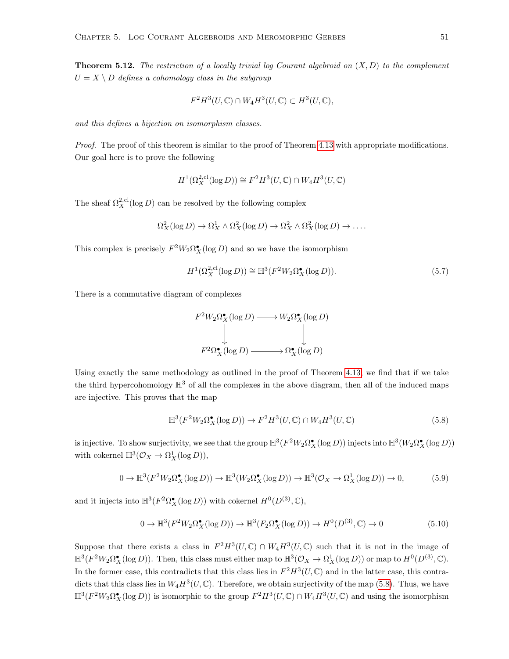**Theorem 5.12.** The restriction of a locally trivial log Courant algebroid on  $(X, D)$  to the complement  $U = X \setminus D$  defines a cohomology class in the subgroup

$$
F^2H^3(U,\mathbb{C}) \cap W_4H^3(U,\mathbb{C}) \subset H^3(U,\mathbb{C}),
$$

and this defines a bijection on isomorphism classes.

Proof. The proof of this theorem is similar to the proof of Theorem [4.13](#page-28-0) with appropriate modifications. Our goal here is to prove the following

$$
H^1(\Omega_X^{2,\text{cl}}(\log D)) \cong F^2 H^3(U,\mathbb{C}) \cap W_4 H^3(U,\mathbb{C})
$$

The sheaf  $\Omega_X^{2,\text{cl}}(\log D)$  can be resolved by the following complex

$$
\Omega_X^2(\log D) \to \Omega_X^1 \wedge \Omega_X^2(\log D) \to \Omega_X^2 \wedge \Omega_X^2(\log D) \to \dots
$$

This complex is precisely  $F^2W_2\Omega_X^{\bullet}(\log D)$  and so we have the isomorphism

<span id="page-56-1"></span>
$$
H^1(\Omega_X^{2,\text{cl}}(\log D)) \cong \mathbb{H}^3(F^2W_2\Omega_X^{\bullet}(\log D)).\tag{5.7}
$$

There is a commutative diagram of complexes

$$
F^2W_2\Omega_X^{\bullet}(\log D) \longrightarrow W_2\Omega_X^{\bullet}(\log D)
$$
  
\n
$$
\downarrow \qquad \qquad \downarrow
$$
  
\n
$$
F^2\Omega_X^{\bullet}(\log D) \longrightarrow \Omega_X^{\bullet}(\log D)
$$

Using exactly the same methodology as outlined in the proof of Theorem [4.13,](#page-28-0) we find that if we take the third hypercohomology  $\mathbb{H}^3$  of all the complexes in the above diagram, then all of the induced maps are injective. This proves that the map

<span id="page-56-0"></span>
$$
\mathbb{H}^{3}(F^{2}W_{2}\Omega_{X}^{\bullet}(\log D)) \to F^{2}H^{3}(U,\mathbb{C}) \cap W_{4}H^{3}(U,\mathbb{C})
$$
\n
$$
(5.8)
$$

is injective. To show surjectivity, we see that the group  $\mathbb{H}^3(F^2W_2\Omega_X^{\bullet}(\log D))$  injects into  $\mathbb{H}^3(W_2\Omega_X^{\bullet}(\log D))$ with cokernel  $\mathbb{H}^3(\mathcal{O}_X \to \Omega^1_X(\log D)),$ 

$$
0 \to \mathbb{H}^3(F^2W_2\Omega_X^{\bullet}(\log D)) \to \mathbb{H}^3(W_2\Omega_X^{\bullet}(\log D)) \to \mathbb{H}^3(\mathcal{O}_X \to \Omega_X^1(\log D)) \to 0,
$$
 (5.9)

and it injects into  $\mathbb{H}^3(F^2 \Omega_X^{\bullet}(\log D))$  with cokernel  $H^0(D^{(3)}, \mathbb{C}),$ 

$$
0 \to \mathbb{H}^3(F^2W_2\Omega_X^{\bullet}(\log D)) \to \mathbb{H}^3(F_2\Omega_X^{\bullet}(\log D)) \to H^0(D^{(3)}, \mathbb{C}) \to 0 \tag{5.10}
$$

Suppose that there exists a class in  $F^2H^3(U,\mathbb{C}) \cap W_4H^3(U,\mathbb{C})$  such that it is not in the image of  $\mathbb{H}^3(F^2W_2\Omega_X^{\bullet}(\log D)).$  Then, this class must either map to  $\mathbb{H}^3(\mathcal{O}_X \to \Omega^1_X(\log D))$  or map to  $H^0(D^{(3)}, \mathbb{C}).$ In the former case, this contradicts that this class lies in  $F^2H^3(U,\mathbb{C})$  and in the latter case, this contradicts that this class lies in  $W_4H^3(U,\mathbb{C})$ . Therefore, we obtain surjectivity of the map [\(5.8\)](#page-56-0). Thus, we have  $\mathbb{H}^3(F^2W_2\Omega_X^{\bullet}(\log D))$  is isomorphic to the group  $F^2H^3(U,\mathbb{C})\cap W_4H^3(U,\mathbb{C})$  and using the isomorphism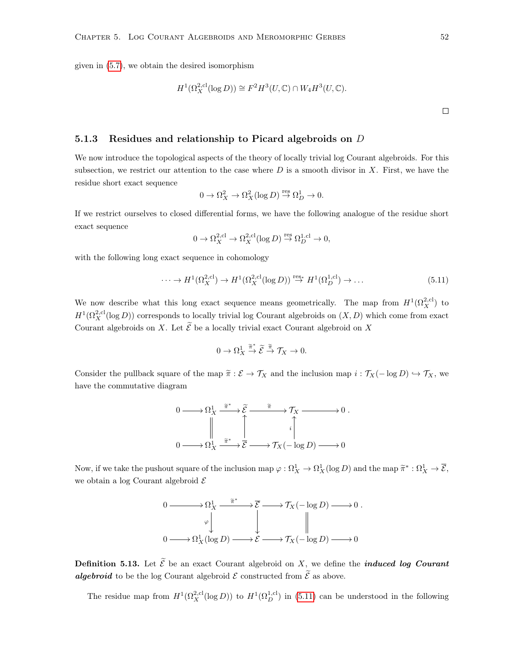given in [\(5.7\)](#page-56-1), we obtain the desired isomorphism

$$
H^1(\Omega_X^{2,\text{cl}}(\log D)) \cong F^2 H^3(U,\mathbb{C}) \cap W_4 H^3(U,\mathbb{C}).
$$

#### <span id="page-57-0"></span>5.1.3 Residues and relationship to Picard algebroids on D

We now introduce the topological aspects of the theory of locally trivial log Courant algebroids. For this subsection, we restrict our attention to the case where  $D$  is a smooth divisor in X. First, we have the residue short exact sequence

$$
0\to \Omega^2_X\to \Omega^2_X(\log D)\stackrel{\text{res}}{\to}\Omega^1_D\to 0.
$$

If we restrict ourselves to closed differential forms, we have the following analogue of the residue short exact sequence

$$
0 \to \Omega_X^{2,\text{cl}} \to \Omega_X^{2,\text{cl}}(\log D) \overset{\text{res}}{\to} \Omega_D^{1,\text{cl}} \to 0,
$$

with the following long exact sequence in cohomology

<span id="page-57-1"></span>
$$
\cdots \to H^1(\Omega_X^{2,\text{cl}}) \to H^1(\Omega_X^{2,\text{cl}}(\log D)) \stackrel{\text{res}}{\to} H^1(\Omega_D^{1,\text{cl}}) \to \dots
$$
\n(5.11)

We now describe what this long exact sequence means geometrically. The map from  $H^1(\Omega_X^{2,\text{cl}})$  to  $H^1(\Omega_X^{2,\text{cl}}(\log D))$  corresponds to locally trivial log Courant algebroids on  $(X,D)$  which come from exact Courant algebroids on X. Let  $\widetilde{\mathcal{E}}$  be a locally trivial exact Courant algebroid on X

$$
0 \to \Omega_X^1 \xrightarrow{\widetilde{\pi}^*} \widetilde{\mathcal{E}} \xrightarrow{\widetilde{\pi}} \mathcal{T}_X \to 0.
$$

Consider the pullback square of the map  $\tilde{\pi}: \mathcal{E} \to \mathcal{T}_X$  and the inclusion map  $i: \mathcal{T}_X(-\log D) \hookrightarrow \mathcal{T}_X$ , we have the commutative diagram



Now, if we take the pushout square of the inclusion map  $\varphi : \Omega^1_X \to \Omega^1_X(\log D)$  and the map  $\widetilde{\pi}^* : \Omega^1_X \to \overline{\mathcal{E}}$ , we obtain a log Courant algebroid  $\mathcal E$ 



**Definition 5.13.** Let  $\widetilde{\mathcal{E}}$  be an exact Courant algebroid on X, we define the *induced log Courant* **algebroid** to be the log Courant algebroid  $\mathcal{E}$  constructed from  $\tilde{\mathcal{E}}$  as above.

The residue map from  $H^1(\Omega_X^{2,\text{cl}}(\log D))$  to  $H^1(\Omega_D^{1,\text{cl}})$  in [\(5.11\)](#page-57-1) can be understood in the following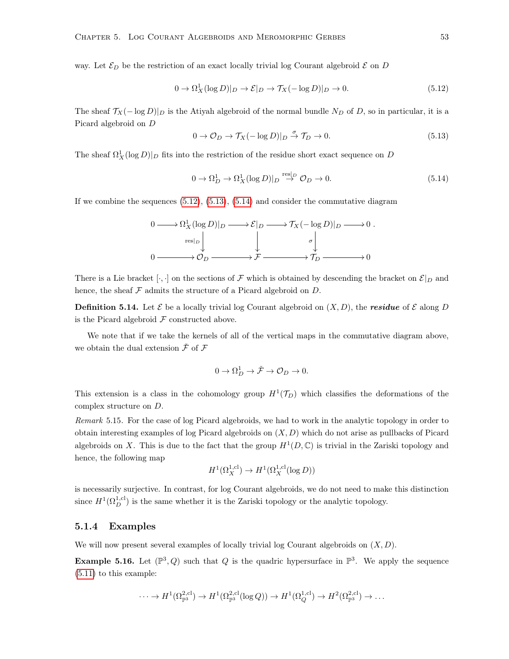way. Let  $\mathcal{E}_D$  be the restriction of an exact locally trivial log Courant algebroid  $\mathcal E$  on  $D$ 

<span id="page-58-0"></span>
$$
0 \to \Omega_X^1(\log D)|_D \to \mathcal{E}|_D \to \mathcal{T}_X(-\log D)|_D \to 0. \tag{5.12}
$$

The sheaf  $\mathcal{T}_X(-\log D)|_D$  is the Atiyah algebroid of the normal bundle  $N_D$  of D, so in particular, it is a Picard algebroid on D

<span id="page-58-1"></span>
$$
0 \to \mathcal{O}_D \to \mathcal{T}_X(-\log D)|_D \stackrel{\sigma}{\to} \mathcal{T}_D \to 0. \tag{5.13}
$$

The sheaf  $\Omega_X^1(\log D)|_D$  fits into the restriction of the residue short exact sequence on D

<span id="page-58-2"></span>
$$
0 \to \Omega_D^1 \to \Omega_X^1(\log D)|_D \stackrel{\text{res}|_D}{\to} \mathcal{O}_D \to 0. \tag{5.14}
$$

If we combine the sequences  $(5.12)$ ,  $(5.13)$ ,  $(5.14)$  and consider the commutative diagram

$$
0 \longrightarrow \Omega_X^1(\log D)|_D \longrightarrow \mathcal{E}|_D \longrightarrow \mathcal{T}_X(-\log D)|_D \longrightarrow 0.
$$
  

$$
\downarrow \qquad \qquad \downarrow \qquad \qquad \sigma \downarrow
$$
  

$$
0 \longrightarrow \mathcal{O}_D \longrightarrow \mathcal{F} \longrightarrow \mathcal{T}_D \longrightarrow 0
$$

There is a Lie bracket [ $\cdot$ ,  $\cdot$ ] on the sections of F which is obtained by descending the bracket on  $\mathcal{E}|_D$  and hence, the sheaf  $\mathcal F$  admits the structure of a Picard algebroid on  $D$ .

**Definition 5.14.** Let  $\mathcal{E}$  be a locally trivial log Courant algebroid on  $(X, D)$ , the **residue** of  $\mathcal{E}$  along D is the Picard algebroid  $\mathcal F$  constructed above.

We note that if we take the kernels of all of the vertical maps in the commutative diagram above, we obtain the dual extension  $\check{\mathcal{F}}$  of  $\mathcal{F}$ 

$$
0\to \Omega^1_D\to \check{\mathcal{F}}\to \mathcal{O}_D\to 0.
$$

This extension is a class in the cohomology group  $H^1(\mathcal{T}_D)$  which classifies the deformations of the complex structure on D.

Remark 5.15. For the case of log Picard algebroids, we had to work in the analytic topology in order to obtain interesting examples of log Picard algebroids on  $(X, D)$  which do not arise as pullbacks of Picard algebroids on X. This is due to the fact that the group  $H^1(D, \mathbb{C})$  is trivial in the Zariski topology and hence, the following map

$$
H^1(\Omega_X^{1,\text{cl}}) \to H^1(\Omega_X^{1,\text{cl}}(\log D))
$$

is necessarily surjective. In contrast, for log Courant algebroids, we do not need to make this distinction since  $H^1(\Omega_D^{1,\text{cl}})$  is the same whether it is the Zariski topology or the analytic topology.

#### 5.1.4 Examples

We will now present several examples of locally trivial log Courant algebroids on  $(X, D)$ .

**Example 5.16.** Let  $(\mathbb{P}^3, Q)$  such that Q is the quadric hypersurface in  $\mathbb{P}^3$ . We apply the sequence [\(5.11\)](#page-57-1) to this example:

$$
\cdots \to H^1(\Omega_{\mathbb{P}^3}^{2,\text{cl}}) \to H^1(\Omega_{\mathbb{P}^3}^{2,\text{cl}}(\log Q)) \to H^1(\Omega_Q^{1,\text{cl}}) \to H^2(\Omega_{\mathbb{P}^3}^{2,\text{cl}}) \to \dots
$$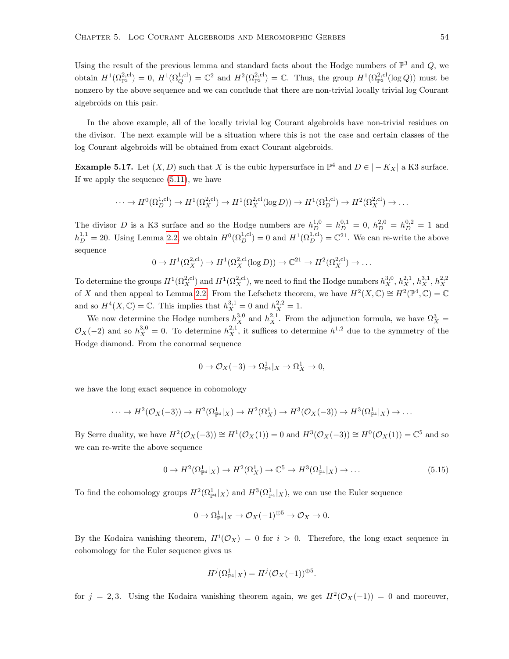Using the result of the previous lemma and standard facts about the Hodge numbers of  $\mathbb{P}^3$  and  $Q$ , we obtain  $H^1(\Omega_{\mathbb{P}^3}^{2,cl})=0$ ,  $H^1(\Omega_Q^{1,cl})=\mathbb{C}^2$  and  $H^2(\Omega_{\mathbb{P}^3}^{2,cl})=\mathbb{C}$ . Thus, the group  $H^1(\Omega_{\mathbb{P}^3}^{2,cl}(\log Q))$  must be nonzero by the above sequence and we can conclude that there are non-trivial locally trivial log Courant algebroids on this pair.

In the above example, all of the locally trivial log Courant algebroids have non-trivial residues on the divisor. The next example will be a situation where this is not the case and certain classes of the log Courant algebroids will be obtained from exact Courant algebroids.

<span id="page-59-1"></span>**Example 5.17.** Let  $(X, D)$  such that X is the cubic hypersurface in  $\mathbb{P}^4$  and  $D \in |-K_X|$  a K3 surface. If we apply the sequence [\(5.11\)](#page-57-1), we have

$$
\cdots \to H^0(\Omega_D^{1,\text{cl}}) \to H^1(\Omega_X^{2,\text{cl}}) \to H^1(\Omega_X^{2,\text{cl}}(\log D)) \to H^1(\Omega_D^{1,\text{cl}}) \to H^2(\Omega_X^{2,\text{cl}}) \to \cdots
$$

The divisor D is a K3 surface and so the Hodge numbers are  $h_D^{1,0} = h_D^{0,1} = 0$ ,  $h_D^{2,0} = h_D^{0,2} = 1$  and  $h_D^{1,1} = 20$ . Using Lemma [2.2,](#page-11-0) we obtain  $H^0(\Omega_D^{1,\text{cl}}) = 0$  and  $H^1(\Omega_D^{1,\text{cl}}) = \mathbb{C}^{21}$ . We can re-write the above sequence

$$
0 \to H^1(\Omega_X^{2,\text{cl}}) \to H^1(\Omega_X^{2,\text{cl}}(\log D)) \to \mathbb{C}^{21} \to H^2(\Omega_X^{2,\text{cl}}) \to \dots
$$

To determine the groups  $H^1(\Omega_X^{2,\text{cl}})$  and  $H^1(\Omega_X^{2,\text{cl}})$ , we need to find the Hodge numbers  $h_X^{3,0}, h_X^{2,1}, h_X^{3,1}, h_X^{2,2}$ of X and then appeal to Lemma [2.2.](#page-11-0) From the Lefschetz theorem, we have  $H^2(X, \mathbb{C}) \cong H^2(\mathbb{P}^4, \mathbb{C}) = \mathbb{C}$ and so  $H^4(X, \mathbb{C}) = \mathbb{C}$ . This implies that  $h_X^{3,1} = 0$  and  $h_X^{2,2} = 1$ .

We now determine the Hodge numbers  $h_X^{3,0}$  and  $h_X^{2,1}$ . From the adjunction formula, we have  $\Omega_X^3$  =  $\mathcal{O}_X(-2)$  and so  $h_X^{3,0} = 0$ . To determine  $h_X^{2,1}$ , it suffices to determine  $h^{1,2}$  due to the symmetry of the Hodge diamond. From the conormal sequence

$$
0 \to \mathcal{O}_X(-3) \to \Omega_{\mathbb{P}^4}^1|_X \to \Omega_X^1 \to 0,
$$

we have the long exact sequence in cohomology

$$
\cdots \to H^2(\mathcal{O}_X(-3)) \to H^2(\Omega_{\mathbb{P}^4}^1|_X) \to H^2(\Omega_X^1) \to H^3(\mathcal{O}_X(-3)) \to H^3(\Omega_{\mathbb{P}^4}^1|_X) \to \cdots
$$

By Serre duality, we have  $H^2(\mathcal{O}_X(-3)) \cong H^1(\mathcal{O}_X(1)) = 0$  and  $H^3(\mathcal{O}_X(-3)) \cong H^0(\mathcal{O}_X(1)) = \mathbb{C}^5$  and so we can re-write the above sequence

<span id="page-59-0"></span>
$$
0 \to H^2(\Omega^1_{\mathbb{P}^4}|_X) \to H^2(\Omega^1_X) \to \mathbb{C}^5 \to H^3(\Omega^1_{\mathbb{P}^4}|_X) \to \dots
$$
\n
$$
(5.15)
$$

To find the cohomology groups  $H^2(\Omega_{\mathbb{P}^4}^1|_X)$  and  $H^3(\Omega_{\mathbb{P}^4}^1|_X)$ , we can use the Euler sequence

$$
0 \to \Omega_{\mathbb{P}^4}^1|_X \to \mathcal{O}_X(-1)^{\oplus 5} \to \mathcal{O}_X \to 0.
$$

By the Kodaira vanishing theorem,  $H^{i}(\mathcal{O}_X) = 0$  for  $i > 0$ . Therefore, the long exact sequence in cohomology for the Euler sequence gives us

$$
H^j(\Omega^1_{\mathbb{P}^4}|_X)=H^j(\mathcal{O}_X(-1))^{\oplus 5}.
$$

for  $j = 2, 3$ . Using the Kodaira vanishing theorem again, we get  $H^2(\mathcal{O}_X(-1)) = 0$  and moreover,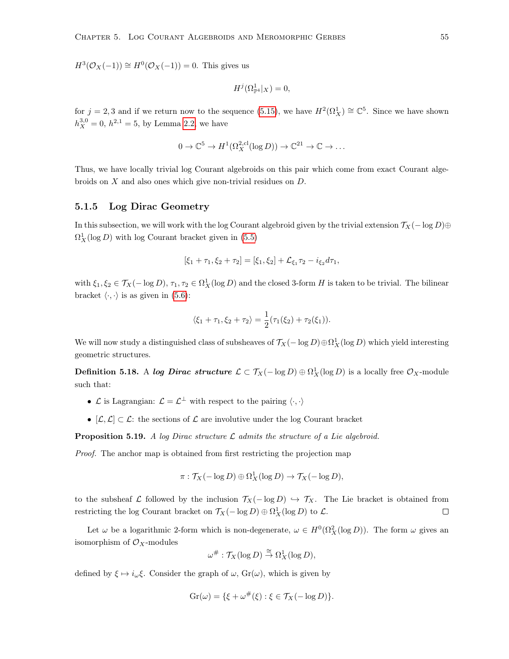$H^3(\mathcal{O}_X(-1)) \cong H^0(\mathcal{O}_X(-1)) = 0$ . This gives us

$$
H^j(\Omega_{\mathbb{P}^4}^1|_X)=0,
$$

for  $j = 2, 3$  and if we return now to the sequence [\(5.15\)](#page-59-0), we have  $H^2(\Omega_X^1) \cong \mathbb{C}^5$ . Since we have shown  $h_X^{3,0} = 0$ ,  $h^{2,1} = 5$ , by Lemma [2.2,](#page-11-0) we have

$$
0 \to \mathbb{C}^5 \to H^1(\Omega_X^{2,\text{cl}}(\log D)) \to \mathbb{C}^{21} \to \mathbb{C} \to \dots
$$

Thus, we have locally trivial log Courant algebroids on this pair which come from exact Courant algebroids on X and also ones which give non-trivial residues on D.

#### 5.1.5 Log Dirac Geometry

In this subsection, we will work with the log Courant algebroid given by the trivial extension  $\mathcal{T}_X(- \log D) \oplus$  $\Omega_X^1(\log D)$  with log Courant bracket given in [\(5.5\)](#page-53-2)

$$
[\xi_1 + \tau_1, \xi_2 + \tau_2] = [\xi_1, \xi_2] + \mathcal{L}_{\xi_1} \tau_2 - i_{\xi_2} d\tau_1,
$$

with  $\xi_1, \xi_2 \in \mathcal{T}_X(-\log D), \tau_1, \tau_2 \in \Omega^1_X(\log D)$  and the closed 3-form H is taken to be trivial. The bilinear bracket  $\langle \cdot, \cdot \rangle$  is as given in [\(5.6\)](#page-53-3):

$$
\langle \xi_1 + \tau_1, \xi_2 + \tau_2 \rangle = \frac{1}{2} (\tau_1(\xi_2) + \tau_2(\xi_1)).
$$

We will now study a distinguished class of subsheaves of  $\mathcal{T}_X(-\log D) \oplus \Omega^1_X(\log D)$  which yield interesting geometric structures.

**Definition 5.18.** A log Dirac structure  $\mathcal{L} \subset \mathcal{T}_X(-\log D) \oplus \Omega^1_X(\log D)$  is a locally free  $\mathcal{O}_X$ -module such that:

- $\mathcal L$  is Lagrangian:  $\mathcal L = \mathcal L^{\perp}$  with respect to the pairing  $\langle \cdot, \cdot \rangle$
- $[\mathcal{L}, \mathcal{L}] \subset \mathcal{L}$ : the sections of  $\mathcal{L}$  are involutive under the log Courant bracket

**Proposition 5.19.** A log Dirac structure  $\mathcal{L}$  admits the structure of a Lie algebroid.

Proof. The anchor map is obtained from first restricting the projection map

$$
\pi: \mathcal{T}_X(-\log D) \oplus \Omega^1_X(\log D) \to \mathcal{T}_X(-\log D),
$$

to the subsheaf L followed by the inclusion  $\mathcal{T}_X(-\log D) \hookrightarrow \mathcal{T}_X$ . The Lie bracket is obtained from restricting the log Courant bracket on  $\mathcal{T}_X(-\log D) \oplus \Omega^1_X(\log D)$  to  $\mathcal{L}$ .  $\Box$ 

Let  $\omega$  be a logarithmic 2-form which is non-degenerate,  $\omega \in H^0(\Omega_X^2(\log D))$ . The form  $\omega$  gives an isomorphism of  $\mathcal{O}_X$ -modules

$$
\omega^{\#} : \mathcal{T}_X(\log D) \stackrel{\cong}{\to} \Omega^1_X(\log D),
$$

defined by  $\xi \mapsto i_{\omega} \xi$ . Consider the graph of  $\omega$ ,  $Gr(\omega)$ , which is given by

$$
Gr(\omega) = \{ \xi + \omega^{\#}(\xi) : \xi \in \mathcal{T}_X(-\log D) \}.
$$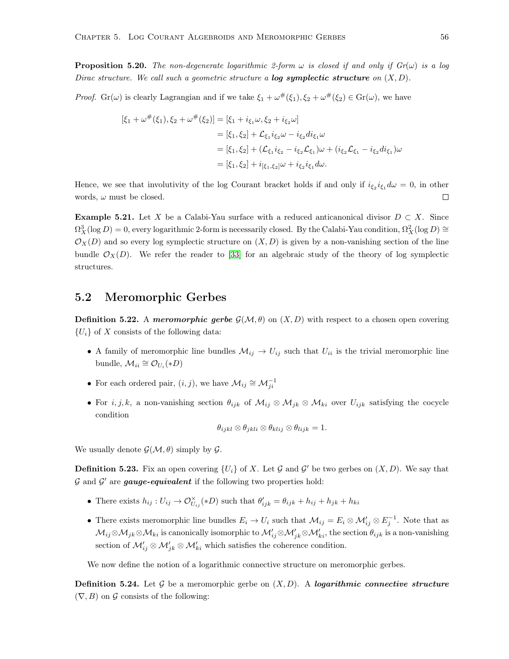**Proposition 5.20.** The non-degenerate logarithmic 2-form  $\omega$  is closed if and only if  $Gr(\omega)$  is a log Dirac structure. We call such a geometric structure a **log symplectic structure** on  $(X, D)$ .

*Proof.* Gr( $\omega$ ) is clearly Lagrangian and if we take  $\xi_1 + \omega^{\#}(\xi_1), \xi_2 + \omega^{\#}(\xi_2) \in \text{Gr}(\omega)$ , we have

$$
[\xi_1 + \omega^{\#}(\xi_1), \xi_2 + \omega^{\#}(\xi_2)] = [\xi_1 + i_{\xi_1}\omega, \xi_2 + i_{\xi_2}\omega]
$$
  
\n
$$
= [\xi_1, \xi_2] + \mathcal{L}_{\xi_1}i_{\xi_2}\omega - i_{\xi_2}di_{\xi_1}\omega
$$
  
\n
$$
= [\xi_1, \xi_2] + (\mathcal{L}_{\xi_1}i_{\xi_2} - i_{\xi_2}\mathcal{L}_{\xi_1})\omega + (i_{\xi_2}\mathcal{L}_{\xi_1} - i_{\xi_2}di_{\xi_1})\omega
$$
  
\n
$$
= [\xi_1, \xi_2] + i_{[\xi_1, \xi_2]}\omega + i_{\xi_2}i_{\xi_1}d\omega.
$$

Hence, we see that involutivity of the log Courant bracket holds if and only if  $i_{\xi_2}i_{\xi_1}d\omega = 0$ , in other words,  $\omega$  must be closed.  $\Box$ 

**Example 5.21.** Let X be a Calabi-Yau surface with a reduced anticanonical divisor  $D \subset X$ . Since  $\Omega_X^3(\log D) = 0$ , every logarithmic 2-form is necessarily closed. By the Calabi-Yau condition,  $\Omega_X^2(\log D) \cong$  $\mathcal{O}_X(D)$  and so every log symplectic structure on  $(X, D)$  is given by a non-vanishing section of the line bundle  $\mathcal{O}_X(D)$ . We refer the reader to [\[33\]](#page-81-1) for an algebraic study of the theory of log symplectic structures.

### 5.2 Meromorphic Gerbes

**Definition 5.22.** A *meromorphic gerbe*  $\mathcal{G}(\mathcal{M}, \theta)$  on  $(X, D)$  with respect to a chosen open covering  ${U_i}$  of X consists of the following data:

- A family of meromorphic line bundles  $\mathcal{M}_{ij} \to U_{ij}$  such that  $U_{ii}$  is the trivial meromorphic line bundle,  $\mathcal{M}_{ii} \cong \mathcal{O}_{U_i}(*D)$
- For each ordered pair,  $(i, j)$ , we have  $\mathcal{M}_{ij} \cong \mathcal{M}_{ji}^{-1}$
- For  $i, j, k$ , a non-vanishing section  $\theta_{ijk}$  of  $\mathcal{M}_{ij} \otimes \mathcal{M}_{jk} \otimes \mathcal{M}_{ki}$  over  $U_{ijk}$  satisfying the cocycle condition

$$
\theta_{ijkl} \otimes \theta_{jkli} \otimes \theta_{klij} \otimes \theta_{lijk} = 1.
$$

We usually denote  $\mathcal{G}(\mathcal{M}, \theta)$  simply by  $\mathcal{G}$ .

<span id="page-61-0"></span>**Definition 5.23.** Fix an open covering  $\{U_i\}$  of X. Let G and G' be two gerbes on  $(X, D)$ . We say that  $\mathcal G$  and  $\mathcal G'$  are gauge-equivalent if the following two properties hold:

- There exists  $h_{ij}: U_{ij} \to \mathcal{O}_{U_{ij}}^{\times}(*D)$  such that  $\theta'_{ijk} = \theta_{ijk} + h_{ij} + h_{jk} + h_{ki}$
- There exists meromorphic line bundles  $E_i \to U_i$  such that  $\mathcal{M}_{ij} = E_i \otimes \mathcal{M}'_{ij} \otimes E_j^{-1}$ . Note that as  $\mathcal{M}_{ij}\otimes\mathcal{M}_{jk}\otimes\mathcal{M}_{ki}$  is canonically isomorphic to  $\mathcal{M}_{ij}'\otimes\mathcal{M}_{jk}'\otimes\mathcal{M}_{ki}'$ , the section  $\theta_{ijk}$  is a non-vanishing section of  $\mathcal{M}_{ij}' \otimes \mathcal{M}_{jk}' \otimes \mathcal{M}_{ki}'$  which satisfies the coherence condition.

We now define the notion of a logarithmic connective structure on meromorphic gerbes.

**Definition 5.24.** Let  $\mathcal G$  be a meromorphic gerbe on  $(X, D)$ . A logarithmic connective structure  $(\nabla, B)$  on  $\mathcal G$  consists of the following: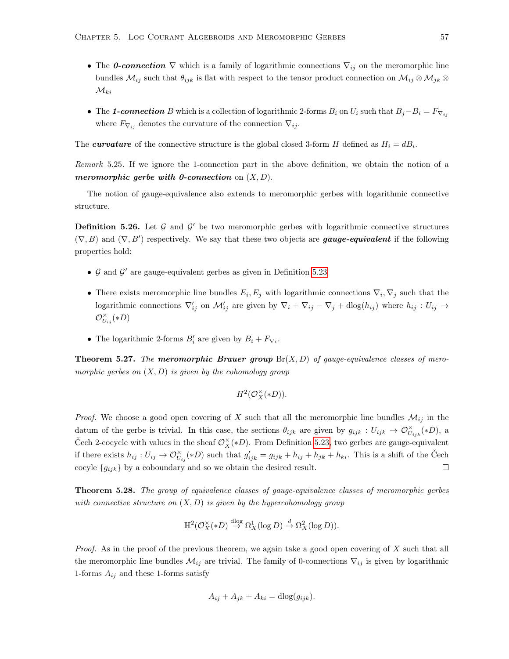- The 0-connection  $\nabla$  which is a family of logarithmic connections  $\nabla_{ij}$  on the meromorphic line bundles  $\mathcal{M}_{ij}$  such that  $\theta_{ijk}$  is flat with respect to the tensor product connection on  $\mathcal{M}_{ij} \otimes \mathcal{M}_{jk} \otimes$  $\mathcal{M}_{ki}$
- The 1-connection B which is a collection of logarithmic 2-forms  $B_i$  on  $U_i$  such that  $B_j B_i = F_{\nabla_{ij}}$ where  $F_{\nabla_{ij}}$  denotes the curvature of the connection  $\nabla_{ij}$ .

The curvature of the connective structure is the global closed 3-form H defined as  $H_i = dB_i$ .

<span id="page-62-1"></span>Remark 5.25. If we ignore the 1-connection part in the above definition, we obtain the notion of a meromorphic gerbe with 0-connection on  $(X, D)$ .

The notion of gauge-equivalence also extends to meromorphic gerbes with logarithmic connective structure.

<span id="page-62-0"></span>**Definition 5.26.** Let  $\mathcal{G}$  and  $\mathcal{G}'$  be two meromorphic gerbes with logarithmic connective structures  $(\nabla, B)$  and  $(\nabla, B')$  respectively. We say that these two objects are **gauge-equivalent** if the following properties hold:

- $G$  and  $G'$  are gauge-equivalent gerbes as given in Definition [5.23](#page-61-0)
- There exists meromorphic line bundles  $E_i, E_j$  with logarithmic connections  $\nabla_i, \nabla_j$  such that the logarithmic connections  $\nabla'_{ij}$  on  $\mathcal{M}'_{ij}$  are given by  $\nabla_i + \nabla_{ij} - \nabla_j + \text{dlog}(h_{ij})$  where  $h_{ij} : U_{ij} \to$  $\mathcal{O}_{U_{ij}}^{\times}(*D)$
- The logarithmic 2-forms  $B'_i$  are given by  $B_i + F_{\nabla_i}$ .

**Theorem 5.27.** The meromorphic Brauer group  $Br(X, D)$  of gauge-equivalence classes of meromorphic gerbes on  $(X, D)$  is given by the cohomology group

$$
H^2({\mathcal O}_X^\times(*D)).
$$

*Proof.* We choose a good open covering of X such that all the meromorphic line bundles  $\mathcal{M}_{ij}$  in the datum of the gerbe is trivial. In this case, the sections  $\theta_{ijk}$  are given by  $g_{ijk}: U_{ijk} \to \mathcal{O}_{U_{ijk}}^{\times}(*D)$ , a Čech 2-cocycle with values in the sheaf  $\mathcal{O}_X^{\times}(*D)$ . From Definition [5.23,](#page-61-0) two gerbes are gauge-equivalent if there exists  $h_{ij}: U_{ij} \to \mathcal{O}_{U_{ij}}^{\times}(*D)$  such that  $g'_{ijk} = g_{ijk} + h_{ij} + h_{jk} + h_{ki}$ . This is a shift of the Čech cocyle  ${g_{ijk}}$  by a coboundary and so we obtain the desired result.  $\Box$ 

Theorem 5.28. The group of equivalence classes of gauge-equivalence classes of meromorphic gerbes with connective structure on  $(X, D)$  is given by the hypercohomology group

$$
\mathbb{H}^{2}(\mathcal{O}_{X}^{\times}(*D) \stackrel{\mathrm{dlog}}{\rightarrow} \Omega_{X}^{1}(\log D) \stackrel{d}{\rightarrow} \Omega_{X}^{2}(\log D)).
$$

*Proof.* As in the proof of the previous theorem, we again take a good open covering of  $X$  such that all the meromorphic line bundles  $\mathcal{M}_{ij}$  are trivial. The family of 0-connections  $\nabla_{ij}$  is given by logarithmic 1-forms  $A_{ij}$  and these 1-forms satisfy

$$
A_{ij} + A_{jk} + A_{ki} = \text{dlog}(g_{ijk}).
$$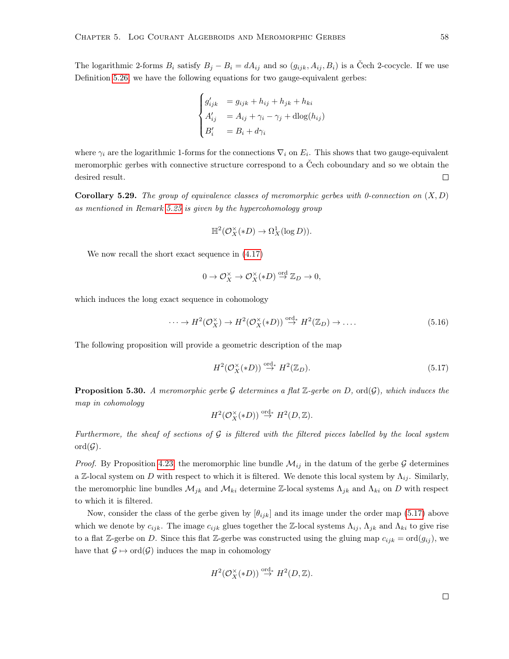The logarithmic 2-forms  $B_i$  satisfy  $B_j - B_i = dA_{ij}$  and so  $(g_{ijk}, A_{ij}, B_i)$  is a Čech 2-cocycle. If we use Definition [5.26,](#page-62-0) we have the following equations for two gauge-equivalent gerbes:

$$
\begin{cases}\ng'_{ijk} = g_{ijk} + h_{ij} + h_{jk} + h_{ki} \\
A'_{ij} = A_{ij} + \gamma_i - \gamma_j + \text{dlog}(h_{ij}) \\
B'_i = B_i + d\gamma_i\n\end{cases}
$$

where  $\gamma_i$  are the logarithmic 1-forms for the connections  $\nabla_i$  on  $E_i$ . This shows that two gauge-equivalent meromorphic gerbes with connective structure correspond to a Čech coboundary and so we obtain the desired result.  $\Box$ 

**Corollary 5.29.** The group of equivalence classes of meromorphic gerbes with 0-connection on  $(X, D)$ as mentioned in Remark [5.25](#page-62-1) is given by the hypercohomology group

$$
\mathbb{H}^2(\mathcal{O}_X^\times(*D) \to \Omega_X^1(\log D)).
$$

We now recall the short exact sequence in [\(4.17\)](#page-34-3)

$$
0 \to \mathcal{O}_X^{\times} \to \mathcal{O}_X^{\times}(*D) \stackrel{\text{ord}}{\to} \mathbb{Z}_D \to 0,
$$

which induces the long exact sequence in cohomology

<span id="page-63-1"></span>
$$
\cdots \to H^2(\mathcal{O}_X^\times) \to H^2(\mathcal{O}_X^\times(*D)) \stackrel{\text{ord}}{\to} H^2(\mathbb{Z}_D) \to \dots \tag{5.16}
$$

The following proposition will provide a geometric description of the map

<span id="page-63-0"></span>
$$
H^2(\mathcal{O}_X^{\times}(*D)) \stackrel{\text{ord}}{\to} H^2(\mathbb{Z}_D). \tag{5.17}
$$

**Proposition 5.30.** A meromorphic gerbe G determines a flat  $\mathbb{Z}$ -gerbe on D, ord(G), which induces the map in cohomology

$$
H^2(\mathcal{O}_X^{\times}(*D)) \stackrel{\text{ord}}{\rightarrow} H^2(D,\mathbb{Z}).
$$

Furthermore, the sheaf of sections of  $\mathcal G$  is filtered with the filtered pieces labelled by the local system  $\mathrm{ord}(\mathcal{G}).$ 

*Proof.* By Proposition [4.23,](#page-34-2) the meromorphic line bundle  $\mathcal{M}_{ij}$  in the datum of the gerbe G determines a Z-local system on D with respect to which it is filtered. We denote this local system by  $\Lambda_{ij}$ . Similarly, the meromorphic line bundles  $\mathcal{M}_{jk}$  and  $\mathcal{M}_{ki}$  determine Z-local systems  $\Lambda_{jk}$  and  $\Lambda_{ki}$  on D with respect to which it is filtered.

Now, consider the class of the gerbe given by  $[\theta_{ijk}]$  and its image under the order map [\(5.17\)](#page-63-0) above which we denote by  $c_{ijk}$ . The image  $c_{ijk}$  glues together the Z-local systems  $\Lambda_{ij}$ ,  $\Lambda_{jk}$  and  $\Lambda_{ki}$  to give rise to a flat Z-gerbe on D. Since this flat Z-gerbe was constructed using the gluing map  $c_{ijk} = \text{ord}(g_{ij})$ , we have that  $\mathcal{G} \mapsto \text{ord}(\mathcal{G})$  induces the map in cohomology

$$
H^2(\mathcal{O}_X^{\times}(*D)) \stackrel{\text{ord}}{\rightarrow} H^2(D,\mathbb{Z}).
$$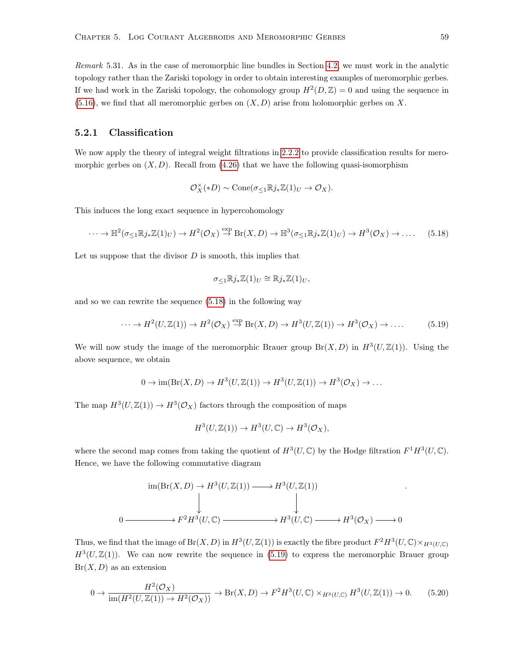Remark 5.31. As in the case of meromorphic line bundles in Section [4.2,](#page-34-4) we must work in the analytic topology rather than the Zariski topology in order to obtain interesting examples of meromorphic gerbes. If we had work in the Zariski topology, the cohomology group  $H^2(D, \mathbb{Z}) = 0$  and using the sequence in  $(5.16)$ , we find that all meromorphic gerbes on  $(X, D)$  arise from holomorphic gerbes on X.

#### 5.2.1 Classification

We now apply the theory of integral weight filtrations in [2.2.2](#page-14-0) to provide classification results for meromorphic gerbes on  $(X, D)$ . Recall from  $(4.26)$  that we have the following quasi-isomorphism

$$
\mathcal{O}_X^{\times}(*D) \sim \text{Cone}(\sigma_{\leq 1} \mathbb{R} j_* \mathbb{Z}(1)_U \to \mathcal{O}_X).
$$

This induces the long exact sequence in hypercohomology

<span id="page-64-0"></span>
$$
\cdots \to \mathbb{H}^2(\sigma_{\leq 1}\mathbb{R}j_*\mathbb{Z}(1)_U) \to H^2(\mathcal{O}_X) \stackrel{\text{exp}}{\to} \text{Br}(X, D) \to \mathbb{H}^3(\sigma_{\leq 1}\mathbb{R}j_*\mathbb{Z}(1)_U) \to H^3(\mathcal{O}_X) \to \dots \quad (5.18)
$$

Let us suppose that the divisor  $D$  is smooth, this implies that

$$
\sigma_{\leq 1} \mathbb{R} j_* \mathbb{Z}(1)_U \cong \mathbb{R} j_* \mathbb{Z}(1)_U,
$$

and so we can rewrite the sequence [\(5.18\)](#page-64-0) in the following way

<span id="page-64-1"></span>
$$
\cdots \to H^2(U, \mathbb{Z}(1)) \to H^2(\mathcal{O}_X) \stackrel{\text{exp}}{\to} \text{Br}(X, D) \to H^3(U, \mathbb{Z}(1)) \to H^3(\mathcal{O}_X) \to \dots \tag{5.19}
$$

We will now study the image of the meromorphic Brauer group  $Br(X, D)$  in  $H^3(U, \mathbb{Z}(1))$ . Using the above sequence, we obtain

$$
0 \to \text{im}(\text{Br}(X,D) \to H^3(U,\mathbb{Z}(1)) \to H^3(U,\mathbb{Z}(1)) \to H^3(\mathcal{O}_X) \to \dots
$$

The map  $H^3(U, \mathbb{Z}(1)) \to H^3(\mathcal{O}_X)$  factors through the composition of maps

$$
H^3(U, \mathbb{Z}(1)) \to H^3(U, \mathbb{C}) \to H^3(\mathcal{O}_X),
$$

where the second map comes from taking the quotient of  $H^3(U, \mathbb{C})$  by the Hodge filtration  $F^1H^3(U, \mathbb{C})$ . Hence, we have the following commutative diagram

$$
\text{im}(\text{Br}(X, D) \to H^3(U, \mathbb{Z}(1)) \longrightarrow H^3(U, \mathbb{Z}(1))
$$
\n
$$
\downarrow \qquad \qquad \downarrow
$$
\n
$$
0 \longrightarrow F^2 H^3(U, \mathbb{C}) \longrightarrow H^3(U, \mathbb{C}) \longrightarrow H^3(\mathcal{O}_X) \longrightarrow 0
$$

Thus, we find that the image of  $Br(X, D)$  in  $H^3(U, \mathbb{Z}(1))$  is exactly the fibre product  $F^2H^3(U, \mathbb{C}) \times_{H^3(U, \mathbb{C})} H^3(U, \mathbb{C})$  $H^3(U, \mathbb{Z}(1))$ . We can now rewrite the sequence in [\(5.19\)](#page-64-1) to express the meromorphic Brauer group  $Br(X, D)$  as an extension

<span id="page-64-2"></span>
$$
0 \to \frac{H^2(\mathcal{O}_X)}{\operatorname{im}(H^2(U,\mathbb{Z}(1)) \to H^2(\mathcal{O}_X))} \to \operatorname{Br}(X,D) \to F^2 H^3(U,\mathbb{C}) \times_{H^3(U,\mathbb{C})} H^3(U,\mathbb{Z}(1)) \to 0. \tag{5.20}
$$

.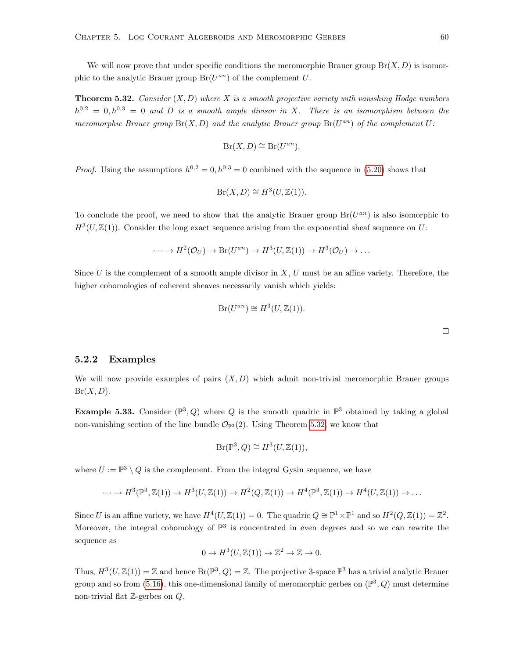We will now prove that under specific conditions the meromorphic Brauer group  $Br(X, D)$  is isomorphic to the analytic Brauer group  $Br(U^{an})$  of the complement U.

<span id="page-65-0"></span>**Theorem 5.32.** Consider  $(X, D)$  where X is a smooth projective variety with vanishing Hodge numbers  $h^{0,2} = 0, h^{0,3} = 0$  and D is a smooth ample divisor in X. There is an isomorphism between the meromorphic Brauer group  $Br(X, D)$  and the analytic Brauer group  $Br(U^{an})$  of the complement U:

$$
Br(X, D) \cong Br(U^{an}).
$$

*Proof.* Using the assumptions  $h^{0,2} = 0, h^{0,3} = 0$  combined with the sequence in [\(5.20\)](#page-64-2) shows that

$$
Br(X, D) \cong H^3(U, \mathbb{Z}(1)).
$$

To conclude the proof, we need to show that the analytic Brauer group  $Br(U^{an})$  is also isomorphic to  $H^3(U, \mathbb{Z}(1))$ . Consider the long exact sequence arising from the exponential sheaf sequence on U:

$$
\cdots \to H^2(\mathcal{O}_U) \to \text{Br}(U^{an}) \to H^3(U, \mathbb{Z}(1)) \to H^3(\mathcal{O}_U) \to \cdots
$$

Since  $U$  is the complement of a smooth ample divisor in  $X, U$  must be an affine variety. Therefore, the higher cohomologies of coherent sheaves necessarily vanish which yields:

$$
Br(U^{an}) \cong H^3(U, \mathbb{Z}(1)).
$$

#### 5.2.2 Examples

We will now provide examples of pairs  $(X, D)$  which admit non-trivial meromorphic Brauer groups  $Br(X, D)$ .

**Example 5.33.** Consider  $(\mathbb{P}^3, Q)$  where Q is the smooth quadric in  $\mathbb{P}^3$  obtained by taking a global non-vanishing section of the line bundle  $\mathcal{O}_{\mathbb{P}^3}(2)$ . Using Theorem [5.32,](#page-65-0) we know that

$$
\operatorname{Br}(\mathbb{P}^3, Q) \cong H^3(U, \mathbb{Z}(1)),
$$

where  $U := \mathbb{P}^3 \setminus Q$  is the complement. From the integral Gysin sequence, we have

$$
\cdots \to H^3(\mathbb{P}^3, \mathbb{Z}(1)) \to H^3(U, \mathbb{Z}(1)) \to H^2(Q, \mathbb{Z}(1)) \to H^4(\mathbb{P}^3, \mathbb{Z}(1)) \to H^4(U, \mathbb{Z}(1)) \to \dots
$$

Since U is an affine variety, we have  $H^4(U, \mathbb{Z}(1)) = 0$ . The quadric  $Q \cong \mathbb{P}^1 \times \mathbb{P}^1$  and so  $H^2(Q, \mathbb{Z}(1)) = \mathbb{Z}^2$ . Moreover, the integral cohomology of  $\mathbb{P}^3$  is concentrated in even degrees and so we can rewrite the sequence as

$$
0 \to H^3(U, \mathbb{Z}(1)) \to \mathbb{Z}^2 \to \mathbb{Z} \to 0.
$$

Thus,  $H^3(U, \mathbb{Z}(1)) = \mathbb{Z}$  and hence  $\text{Br}(\mathbb{P}^3, Q) = \mathbb{Z}$ . The projective 3-space  $\mathbb{P}^3$  has a trivial analytic Brauer group and so from [\(5.16\)](#page-63-1), this one-dimensional family of meromorphic gerbes on  $(\mathbb{P}^3, Q)$  must determine non-trivial flat  $\mathbb{Z}$ -gerbes on  $Q$ .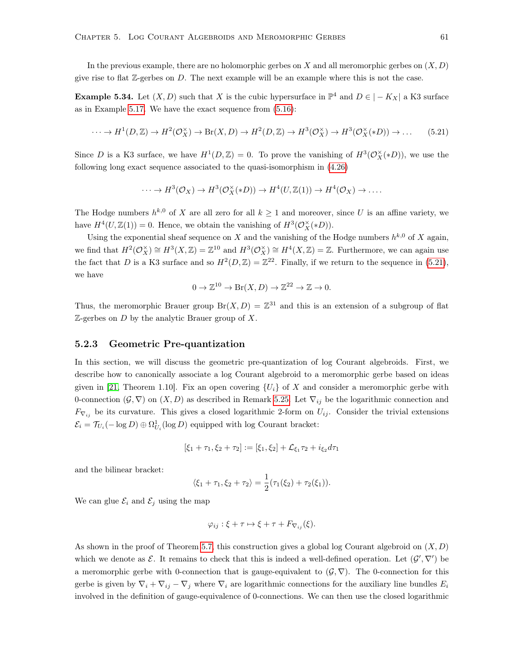In the previous example, there are no holomorphic gerbes on X and all meromorphic gerbes on  $(X, D)$ give rise to flat  $\mathbb{Z}$ -gerbes on D. The next example will be an example where this is not the case.

**Example 5.34.** Let  $(X, D)$  such that X is the cubic hypersurface in  $\mathbb{P}^4$  and  $D \in |-K_X|$  a K3 surface as in Example [5.17.](#page-59-1) We have the exact sequence from [\(5.16\)](#page-63-1):

<span id="page-66-0"></span>
$$
\cdots \to H^1(D, \mathbb{Z}) \to H^2(\mathcal{O}_X^{\times}) \to \text{Br}(X, D) \to H^2(D, \mathbb{Z}) \to H^3(\mathcal{O}_X^{\times}) \to H^3(\mathcal{O}_X^{\times}(*D)) \to \dots \tag{5.21}
$$

Since D is a K3 surface, we have  $H^1(D, \mathbb{Z}) = 0$ . To prove the vanishing of  $H^3(\mathcal{O}_X^{\times}(*D))$ , we use the following long exact sequence associated to the quasi-isomorphism in [\(4.26\)](#page-38-1)

$$
\cdots \to H^3(\mathcal{O}_X) \to H^3(\mathcal{O}_X^{\times}(*D)) \to H^4(U,\mathbb{Z}(1)) \to H^4(\mathcal{O}_X) \to \ldots
$$

The Hodge numbers  $h^{k,0}$  of X are all zero for all  $k \geq 1$  and moreover, since U is an affine variety, we have  $H^4(U, \mathbb{Z}(1)) = 0$ . Hence, we obtain the vanishing of  $H^3(\mathcal{O}_X^{\times}(*D)).$ 

Using the exponential sheaf sequence on X and the vanishing of the Hodge numbers  $h^{k,0}$  of X again, we find that  $H^2(\mathcal{O}_X^{\times}) \cong H^3(X,\mathbb{Z}) = \mathbb{Z}^{10}$  and  $H^3(\mathcal{O}_X^{\times}) \cong H^4(X,\mathbb{Z}) = \mathbb{Z}$ . Furthermore, we can again use the fact that D is a K3 surface and so  $H^2(D,\mathbb{Z}) = \mathbb{Z}^{22}$ . Finally, if we return to the sequence in [\(5.21\)](#page-66-0), we have

$$
0 \to \mathbb{Z}^{10} \to \text{Br}(X, D) \to \mathbb{Z}^{22} \to \mathbb{Z} \to 0.
$$

Thus, the meromorphic Brauer group  $Br(X, D) = \mathbb{Z}^{31}$  and this is an extension of a subgroup of flat  $\mathbb{Z}$ -gerbes on D by the analytic Brauer group of X.

#### 5.2.3 Geometric Pre-quantization

In this section, we will discuss the geometric pre-quantization of log Courant algebroids. First, we describe how to canonically associate a log Courant algebroid to a meromorphic gerbe based on ideas given in [\[21,](#page-80-2) Theorem 1.10]. Fix an open covering  $\{U_i\}$  of X and consider a meromorphic gerbe with 0-connection  $(\mathcal{G}, \nabla)$  on  $(X, D)$  as described in Remark [5.25.](#page-62-1) Let  $\nabla_{ij}$  be the logarithmic connection and  $F_{\nabla_{ij}}$  be its curvature. This gives a closed logarithmic 2-form on  $U_{ij}$ . Consider the trivial extensions  $\mathcal{E}_i = \mathcal{T}_{U_i}(-\log D) \oplus \Omega^1_{U_i}(\log D)$  equipped with log Courant bracket:

$$
[\xi_1 + \tau_1, \xi_2 + \tau_2] := [\xi_1, \xi_2] + \mathcal{L}_{\xi_1} \tau_2 + i_{\xi_2} d\tau_1
$$

and the bilinear bracket:

$$
\langle \xi_1 + \tau_1, \xi_2 + \tau_2 \rangle = \frac{1}{2} (\tau_1(\xi_2) + \tau_2(\xi_1)).
$$

We can glue  $\mathcal{E}_i$  and  $\mathcal{E}_j$  using the map

$$
\varphi_{ij} : \xi + \tau \mapsto \xi + \tau + F_{\nabla_{ij}}(\xi).
$$

As shown in the proof of Theorem [5.7,](#page-54-0) this construction gives a global log Courant algebroid on  $(X, D)$ which we denote as  $\mathcal{E}$ . It remains to check that this is indeed a well-defined operation. Let  $(\mathcal{G}', \nabla')$  be a meromorphic gerbe with 0-connection that is gauge-equivalent to  $(\mathcal{G}, \nabla)$ . The 0-connection for this gerbe is given by  $\nabla_i + \nabla_{ij} - \nabla_j$  where  $\nabla_i$  are logarithmic connections for the auxiliary line bundles  $E_i$ involved in the definition of gauge-equivalence of 0-connections. We can then use the closed logarithmic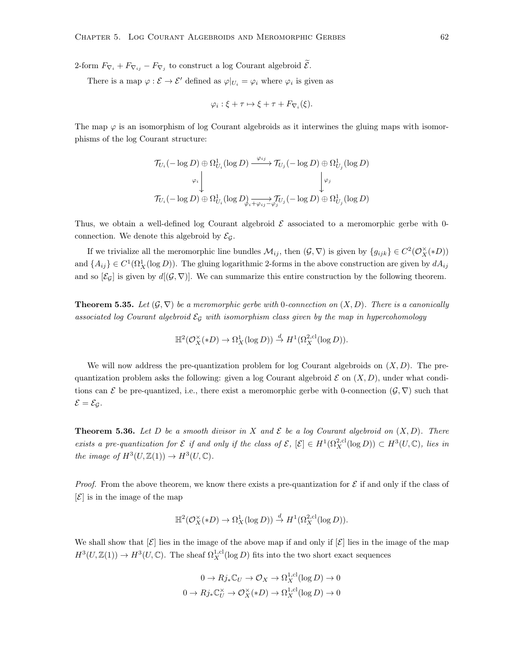2-form  $F_{\nabla_i} + F_{\nabla_{ij}} - F_{\nabla_j}$  to construct a log Courant algebroid  $\mathcal{E}$ .

There is a map  $\varphi : \mathcal{E} \to \mathcal{E}'$  defined as  $\varphi|_{U_i} = \varphi_i$  where  $\varphi_i$  is given as

$$
\varphi_i : \xi + \tau \mapsto \xi + \tau + F_{\nabla_i}(\xi).
$$

The map  $\varphi$  is an isomorphism of log Courant algebroids as it interwines the gluing maps with isomorphisms of the log Courant structure:

$$
\begin{array}{c}\mathcal{T}_{U_i}(-\log D) \oplus \Omega^1_{U_i}(\log D) \xrightarrow{\varphi_{ij}} \mathcal{T}_{U_j}(-\log D) \oplus \Omega^1_{U_j}(\log D)\\ \downarrow^{\varphi_i} \downarrow^{\qquad \qquad \downarrow^{\varphi_j}}\\ \mathcal{T}_{U_i}(-\log D) \oplus \Omega^1_{U_i}(\log D) \underset{\varphi_{i} + \varphi_{ij} - \varphi_{j} \mathcal{T}_{U_j}}{\rightarrow} (-\log D) \oplus \Omega^1_{U_j}(\log D)\end{array}
$$

Thus, we obtain a well-defined log Courant algebroid  $\mathcal E$  associated to a meromorphic gerbe with 0connection. We denote this algebroid by  $\mathcal{E}_{\mathcal{G}}$ .

If we trivialize all the meromorphic line bundles  $\mathcal{M}_{ij}$ , then  $(\mathcal{G}, \nabla)$  is given by  $\{g_{ijk}\}\in C^2(\mathcal{O}_X^{\times}(*D))$ and  $\{A_{ij}\}\in C^1(\Omega^1_X(\log D))$ . The gluing logarithmic 2-forms in the above construction are given by  $dA_{ij}$ and so  $[\mathcal{E}_G]$  is given by  $d[(\mathcal{G}, \nabla)]$ . We can summarize this entire construction by the following theorem.

**Theorem 5.35.** Let  $(G, \nabla)$  be a meromorphic gerbe with 0-connection on  $(X, D)$ . There is a canonically associated log Courant algebroid  $\mathcal{E}_G$  with isomorphism class given by the map in hypercohomology

$$
\mathbb{H}^2(\mathcal{O}_X^{\times}(*D) \to \Omega_X^1(\log D)) \stackrel{d}{\to} H^1(\Omega_X^{2,\mathrm{cl}}(\log D)).
$$

We will now address the pre-quantization problem for log Courant algebroids on  $(X, D)$ . The prequantization problem asks the following: given a log Courant algebroid  $\mathcal E$  on  $(X,D)$ , under what conditions can E be pre-quantized, i.e., there exist a meromorphic gerbe with 0-connection  $(\mathcal{G}, \nabla)$  such that  $\mathcal{E} = \mathcal{E}_{\mathcal{G}}$ .

<span id="page-67-0"></span>**Theorem 5.36.** Let D be a smooth divisor in X and  $\mathcal{E}$  be a log Courant algebroid on  $(X, D)$ . There exists a pre-quantization for  $\mathcal E$  if and only if the class of  $\mathcal E$ ,  $[\mathcal E] \in H^1(\Omega_X^{2,cl}(\log D)) \subset H^3(U,\mathbb C)$ , lies in the image of  $H^3(U, \mathbb{Z}(1)) \to H^3(U, \mathbb{C})$ .

*Proof.* From the above theorem, we know there exists a pre-quantization for  $\mathcal E$  if and only if the class of  $|\mathcal{E}|$  is in the image of the map

$$
\mathbb{H}^2(\mathcal{O}_X^{\times}(*D) \to \Omega_X^1(\log D)) \stackrel{d}{\to} H^1(\Omega_X^{2,\text{cl}}(\log D)).
$$

We shall show that  $[\mathcal{E}]$  lies in the image of the above map if and only if  $[\mathcal{E}]$  lies in the image of the map  $H^3(U, \mathbb{Z}(1)) \to H^3(U, \mathbb{C})$ . The sheaf  $\Omega_X^{1, \text{cl}}(\log D)$  fits into the two short exact sequences

$$
0 \to Rj_*\mathbb{C}_U \to \mathcal{O}_X \to \Omega_X^{1,\text{cl}}(\log D) \to 0
$$
  

$$
0 \to Rj_*\mathbb{C}_U^\times \to \mathcal{O}_X^\times(*D) \to \Omega_X^{1,\text{cl}}(\log D) \to 0
$$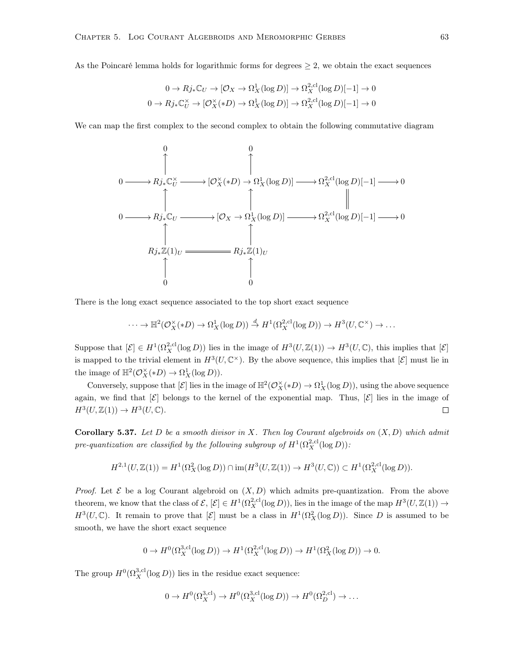As the Poincaré lemma holds for logarithmic forms for degrees  $\geq 2$ , we obtain the exact sequences

$$
0 \to Rj_*\mathbb{C}_U \to [\mathcal{O}_X \to \Omega^1_X(\log D)] \to \Omega^{2, \text{cl}}_X(\log D)[-1] \to 0
$$
  

$$
0 \to Rj_*\mathbb{C}_U^\times \to [\mathcal{O}_X^\times(*D) \to \Omega^1_X(\log D)] \to \Omega^{2, \text{cl}}_X(\log D)[-1] \to 0
$$

We can map the first complex to the second complex to obtain the following commutative diagram



There is the long exact sequence associated to the top short exact sequence

$$
\cdots \to \mathbb{H}^2(\mathcal{O}_X^{\times}(*D) \to \Omega_X^1(\log D)) \stackrel{d}{\to} H^1(\Omega_X^{2,\text{cl}}(\log D)) \to H^3(U,\mathbb{C}^{\times}) \to \ldots
$$

Suppose that  $[\mathcal{E}] \in H^1(\Omega_X^{2,\text{cl}}(\log D))$  lies in the image of  $H^3(U,\mathbb{Z}(1)) \to H^3(U,\mathbb{C})$ , this implies that  $[\mathcal{E}]$ is mapped to the trivial element in  $H^3(U, \mathbb{C}^\times)$ . By the above sequence, this implies that  $[\mathcal{E}]$  must lie in the image of  $\mathbb{H}^2(\mathcal{O}_X^{\times}(*D) \to \Omega^1_X(\log D)).$ 

Conversely, suppose that  $[\mathcal{E}]$  lies in the image of  $\mathbb{H}^2(\mathcal{O}_X^{\times}(*D) \to \Omega^1_X(\log D))$ , using the above sequence again, we find that  $[\mathcal{E}]$  belongs to the kernel of the exponential map. Thus,  $[\mathcal{E}]$  lies in the image of  $H^3(U, \mathbb{Z}(1)) \to H^3(U, \mathbb{C}).$  $\Box$ 

**Corollary 5.37.** Let D be a smooth divisor in X. Then log Courant algebroids on  $(X, D)$  which admit pre-quantization are classified by the following subgroup of  $H^1(\Omega_X^{2,\text{cl}}(\log D))$ :

$$
H^{2,1}(U,\mathbb{Z}(1))=H^1(\Omega_X^2(\log D))\cap \mathrm{im}(H^3(U,\mathbb{Z}(1))\rightarrow H^3(U,\mathbb{C}))\subset H^1(\Omega_X^{2,\mathrm{cl}}(\log D)).
$$

*Proof.* Let  $\mathcal E$  be a log Courant algebroid on  $(X, D)$  which admits pre-quantization. From the above theorem, we know that the class of  $\mathcal{E}, [\mathcal{E}] \in H^1(\Omega_X^{2,cl}(\log D))$ , lies in the image of the map  $H^3(U, \mathbb{Z}(1)) \to$  $H^3(U, \mathbb{C})$ . It remain to prove that  $[\mathcal{E}]$  must be a class in  $H^1(\Omega_X^2(\log D))$ . Since D is assumed to be smooth, we have the short exact sequence

$$
0 \to H^0(\Omega_X^{3,\text{cl}}(\log D)) \to H^1(\Omega_X^{2,\text{cl}}(\log D)) \to H^1(\Omega_X^2(\log D)) \to 0.
$$

The group  $H^0(\Omega_X^{3,\text{cl}}(\log D))$  lies in the residue exact sequence:

$$
0 \to H^0(\Omega_X^{3,\text{cl}}) \to H^0(\Omega_X^{3,\text{cl}}(\log D)) \to H^0(\Omega_D^{2,\text{cl}}) \to \dots
$$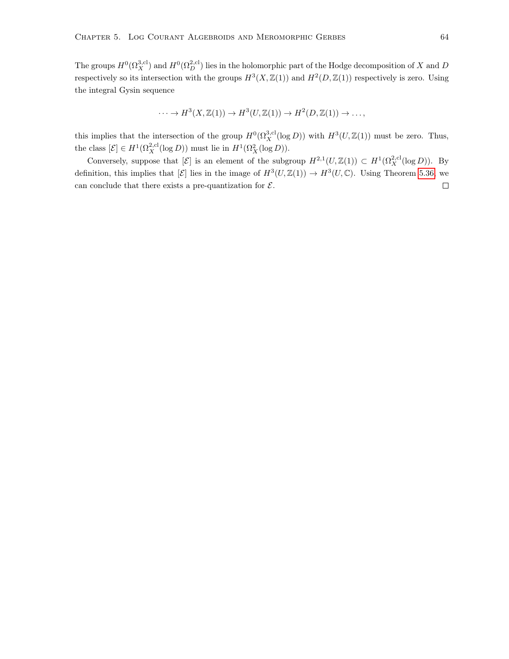The groups  $H^0(\Omega_X^{3,\text{cl}})$  and  $H^0(\Omega_D^{2,\text{cl}})$  lies in the holomorphic part of the Hodge decomposition of X and D respectively so its intersection with the groups  $H^3(X, \mathbb{Z}(1))$  and  $H^2(D, \mathbb{Z}(1))$  respectively is zero. Using the integral Gysin sequence

$$
\cdots \to H^3(X, \mathbb{Z}(1)) \to H^3(U, \mathbb{Z}(1)) \to H^2(D, \mathbb{Z}(1)) \to \ldots,
$$

this implies that the intersection of the group  $H^0(\Omega_X^{3,cl}(\log D))$  with  $H^3(U,\mathbb{Z}(1))$  must be zero. Thus, the class  $[\mathcal{E}] \in H^1(\Omega_X^{2,\text{cl}}(\log D))$  must lie in  $H^1(\Omega_X^2(\log D)).$ 

Conversely, suppose that  $[\mathcal{E}]$  is an element of the subgroup  $H^{2,1}(U,\mathbb{Z}(1)) \subset H^1(\Omega_X^{2,\text{cl}}(\log D)).$  By definition, this implies that  $[\mathcal{E}]$  lies in the image of  $H^3(U,\mathbb{Z}(1)) \to H^3(U,\mathbb{C})$ . Using Theorem [5.36,](#page-67-0) we can conclude that there exists a pre-quantization for  $\mathcal{E}$ .  $\Box$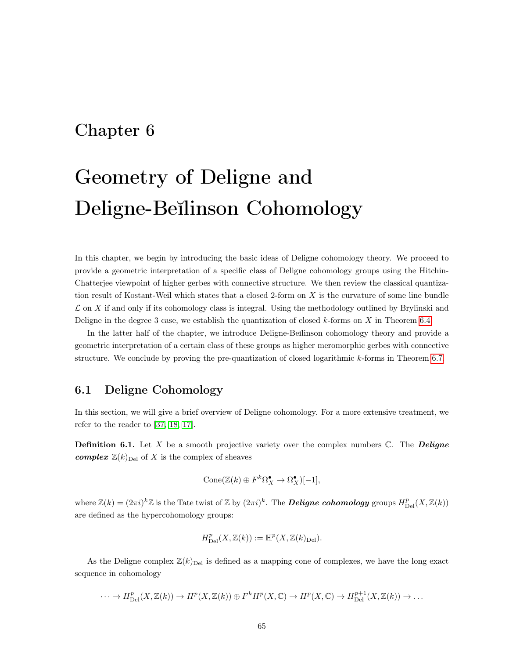# Chapter 6

# Geometry of Deligne and Deligne-Beĭlinson Cohomology

In this chapter, we begin by introducing the basic ideas of Deligne cohomology theory. We proceed to provide a geometric interpretation of a specific class of Deligne cohomology groups using the Hitchin-Chatterjee viewpoint of higher gerbes with connective structure. We then review the classical quantization result of Kostant-Weil which states that a closed 2-form on X is the curvature of some line bundle  $\mathcal L$  on X if and only if its cohomology class is integral. Using the methodology outlined by Brylinski and Deligne in the degree 3 case, we establish the quantization of closed  $k$ -forms on X in Theorem [6.4.](#page-73-0)

In the latter half of the chapter, we introduce Deligne-Beĭlinson cohomology theory and provide a geometric interpretation of a certain class of these groups as higher meromorphic gerbes with connective structure. We conclude by proving the pre-quantization of closed logarithmic k-forms in Theorem [6.7.](#page-76-0)

## 6.1 Deligne Cohomology

In this section, we will give a brief overview of Deligne cohomology. For a more extensive treatment, we refer to the reader to [\[37,](#page-81-2) [18,](#page-80-3) [17\]](#page-80-4).

**Definition 6.1.** Let X be a smooth projective variety over the complex numbers  $\mathbb{C}$ . The **Deligne complex**  $\mathbb{Z}(k)_{\text{Del}}$  of X is the complex of sheaves

$$
Cone(\mathbb{Z}(k) \oplus F^k\Omega_X^{\bullet} \to \Omega_X^{\bullet})[-1],
$$

where  $\mathbb{Z}(k) = (2\pi i)^k \mathbb{Z}$  is the Tate twist of  $\mathbb{Z}$  by  $(2\pi i)^k$ . The **Deligne cohomology** groups  $H_{\text{Del}}^p(X, \mathbb{Z}(k))$ are defined as the hypercohomology groups:

$$
H^p_{\mathrm{Del}}(X,{{\mathbb Z}}(k)):=\mathbb{H}^p(X,{{\mathbb Z}}(k)_{\mathrm{Del}}).
$$

As the Deligne complex  $\mathbb{Z}(k)_{\text{Del}}$  is defined as a mapping cone of complexes, we have the long exact sequence in cohomology

 $\cdots \to H_{\mathrm{Del}}^p(X,\mathbb{Z}(k)) \to H^p(X,\mathbb{Z}(k)) \oplus F^k H^p(X,\mathbb{C}) \to H^p(X,\mathbb{C}) \to H_{\mathrm{Del}}^{p+1}(X,\mathbb{Z}(k)) \to \ldots$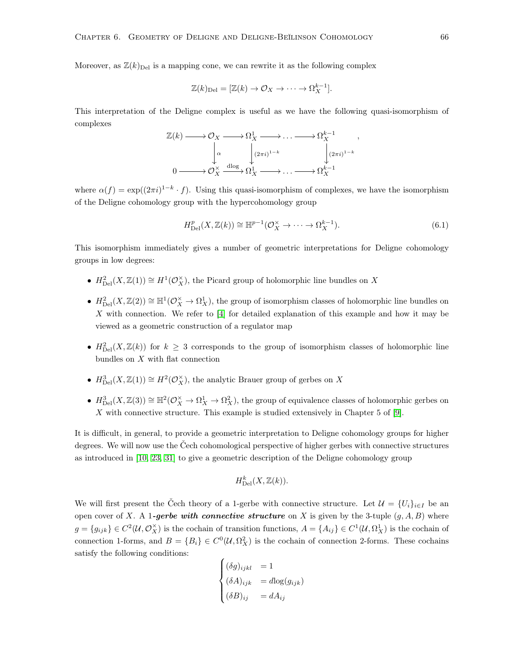Moreover, as  $\mathbb{Z}(k)_{\text{Del}}$  is a mapping cone, we can rewrite it as the following complex

$$
\mathbb{Z}(k)_{\text{Del}} = [\mathbb{Z}(k) \to \mathcal{O}_X \to \cdots \to \Omega_X^{k-1}].
$$

This interpretation of the Deligne complex is useful as we have the following quasi-isomorphism of complexes

$$
\mathbb{Z}(k) \longrightarrow \mathcal{O}_X \longrightarrow \Omega^1_X \longrightarrow \dots \longrightarrow \Omega^{k-1}_X ,
$$
  
\n
$$
\downarrow^{\alpha} \qquad \qquad \downarrow^{(2\pi i)^{1-k}} \qquad \qquad \downarrow^{(2\pi i)^{1-k}}.
$$
  
\n
$$
0 \longrightarrow \mathcal{O}_X^{\times} \xrightarrow{\mathrm{dlog}} \Omega^1_X \longrightarrow \dots \longrightarrow \Omega^{k-1}_X
$$

where  $\alpha(f) = \exp((2\pi i)^{1-k} \cdot f)$ . Using this quasi-isomorphism of complexes, we have the isomorphism of the Deligne cohomology group with the hypercohomology group

$$
H_{\mathrm{Del}}^p(X,\mathbb{Z}(k)) \cong \mathbb{H}^{p-1}(\mathcal{O}_X^{\times} \to \cdots \to \Omega_X^{k-1}).\tag{6.1}
$$

This isomorphism immediately gives a number of geometric interpretations for Deligne cohomology groups in low degrees:

- $H_{\text{Del}}^2(X,\mathbb{Z}(1)) \cong H^1(\mathcal{O}_X^{\times})$ , the Picard group of holomorphic line bundles on X
- $H_{\text{Del}}^2(X,\mathbb{Z}(2)) \cong \mathbb{H}^1(\mathcal{O}_X^{\times} \to \Omega_X^1)$ , the group of isomorphism classes of holomorphic line bundles on X with connection. We refer to [\[4\]](#page-79-3) for detailed explanation of this example and how it may be viewed as a geometric construction of a regulator map
- $H_{\text{Del}}^2(X,\mathbb{Z}(k))$  for  $k \geq 3$  corresponds to the group of isomorphism classes of holomorphic line bundles on  $X$  with flat connection
- $H_{\text{Del}}^3(X,\mathbb{Z}(1)) \cong H^2(\mathcal{O}_X^{\times})$ , the analytic Brauer group of gerbes on X
- $H_{\text{Del}}^3(X,\mathbb{Z}(3)) \cong \mathbb{H}^2(\mathcal{O}_X^{\times} \to \Omega_X^1 \to \Omega_X^2)$ , the group of equivalence classes of holomorphic gerbes on X with connective structure. This example is studied extensively in Chapter 5 of [\[9\]](#page-79-4).

It is difficult, in general, to provide a geometric interpretation to Deligne cohomology groups for higher degrees. We will now use the Čech cohomological perspective of higher gerbes with connective structures as introduced in [\[10,](#page-79-5) [23,](#page-80-5) [31\]](#page-80-6) to give a geometric description of the Deligne cohomology group

$$
H^k_{\mathrm{Del}}(X,{{\mathbb Z}}(k)).
$$

We will first present the Čech theory of a 1-gerbe with connective structure. Let  $\mathcal{U} = \{U_i\}_{i\in I}$  be an open cover of X. A 1-gerbe with connective structure on X is given by the 3-tuple  $(g, A, B)$  where  $g = \{g_{ijk}\}\in C^2(\mathcal{U}, \mathcal{O}_X^{\times})$  is the cochain of transition functions,  $A = \{A_{ij}\}\in C^1(\mathcal{U}, \Omega_X^1)$  is the cochain of connection 1-forms, and  $B = \{B_i\} \in C^0(\mathcal{U}, \Omega_X^2)$  is the cochain of connection 2-forms. These cochains satisfy the following conditions:

$$
\begin{cases}\n(\delta g)_{ijkl} &= 1\\
(\delta A)_{ijk} &= d \log(g_{ijk})\\
(\delta B)_{ij} &= d A_{ij}\n\end{cases}
$$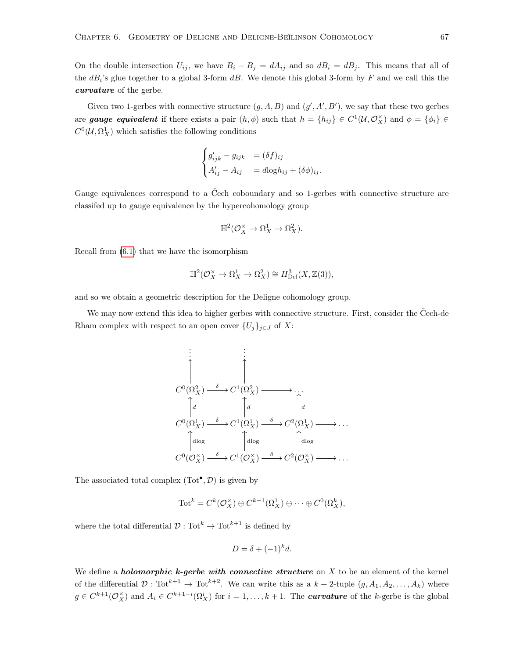On the double intersection  $U_{ij}$ , we have  $B_i - B_j = dA_{ij}$  and so  $dB_i = dB_j$ . This means that all of the  $dB_i$ 's glue together to a global 3-form  $dB$ . We denote this global 3-form by F and we call this the curvature of the gerbe.

Given two 1-gerbes with connective structure  $(g, A, B)$  and  $(g', A', B')$ , we say that these two gerbes are **gauge equivalent** if there exists a pair  $(h, \phi)$  such that  $h = \{h_{ij}\}\in C^1(\mathcal{U}, \mathcal{O}_X^{\times})$  and  $\phi = \{\phi_i\}\in$  $C^0(\mathcal{U}, \Omega^1_X)$  which satisfies the following conditions

$$
\begin{cases}\ng'_{ijk} - g_{ijk} &= (\delta f)_{ij} \\
A'_{ij} - A_{ij} &= d \log h_{ij} + (\delta \phi)_{ij}.\n\end{cases}
$$

Gauge equivalences correspond to a Čech coboundary and so 1-gerbes with connective structure are classifed up to gauge equivalence by the hypercohomology group

$$
\mathbb{H}^2(\mathcal{O}_X^{\times} \to \Omega_X^1 \to \Omega_X^2).
$$

Recall from [\(6.1\)](#page-71-0) that we have the isomorphism

$$
\mathbb{H}^2(\mathcal{O}_X^{\times} \to \Omega_X^1 \to \Omega_X^2) \cong H^3_{\mathrm{Del}}(X,\mathbb{Z}(3)),
$$

and so we obtain a geometric description for the Deligne cohomology group.

We may now extend this idea to higher gerbes with connective structure. First, consider the Čech-de Rham complex with respect to an open cover  $\{U_j\}_{j\in J}$  of X:

$$
\begin{array}{ccc}\n\vdots & \vdots & \vdots \\
C^{0}(\Omega_{X}^{2}) & \stackrel{\delta}{\longrightarrow} C^{1}(\Omega_{X}^{2}) & \longrightarrow & \cdots \\
\uparrow_{d} & \uparrow_{d} & \uparrow_{d} & \uparrow_{d} \\
C^{0}(\Omega_{X}^{1}) & \stackrel{\delta}{\longrightarrow} C^{1}(\Omega_{X}^{1}) & \stackrel{\delta}{\longrightarrow} C^{2}(\Omega_{X}^{1}) & \longrightarrow & \cdots \\
\uparrow_{d\log} & \uparrow_{d\log} & \uparrow_{d\log} & \uparrow_{d\log} \\
C^{0}(\mathcal{O}_{X}^{\times}) & \stackrel{\delta}{\longrightarrow} C^{1}(\mathcal{O}_{X}^{\times}) & \stackrel{\delta}{\longrightarrow} C^{2}(\mathcal{O}_{X}^{\times}) & \longrightarrow & \cdots\n\end{array}
$$

The associated total complex  $(Tot^{\bullet}, \mathcal{D})$  is given by

$$
\mathrm{Tot}^k = C^k(\mathcal{O}_X^{\times}) \oplus C^{k-1}(\Omega_X^1) \oplus \cdots \oplus C^0(\Omega_X^k),
$$

where the total differential  $\mathcal{D}: \text{Tot}^k \to \text{Tot}^{k+1}$  is defined by

$$
D = \delta + (-1)^k d.
$$

We define a *holomorphic*  $k$ -gerbe with connective structure on  $X$  to be an element of the kernel of the differential  $\mathcal{D}: \text{Tot}^{k+1} \to \text{Tot}^{k+2}$ . We can write this as a  $k + 2$ -tuple  $(g, A_1, A_2, \ldots, A_k)$  where  $g \in C^{k+1}(\mathcal{O}_X^{\times})$  and  $A_i \in C^{k+1-i}(\Omega_X^i)$  for  $i = 1, \ldots, k+1$ . The *curvature* of the k-gerbe is the global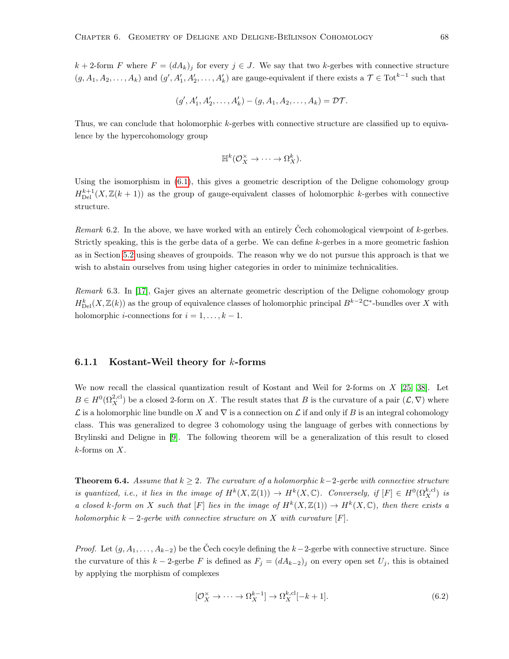k + 2-form F where  $F = (dA_k)_j$  for every  $j \in J$ . We say that two k-gerbes with connective structure  $(g, A_1, A_2, \ldots, A_k)$  and  $(g', A'_1, A'_2, \ldots, A'_k)$  are gauge-equivalent if there exists a  $\mathcal{T} \in \text{Tot}^{k-1}$  such that

$$
(g', A'_1, A'_2, \dots, A'_k) - (g, A_1, A_2, \dots, A_k) = \mathcal{DT}.
$$

Thus, we can conclude that holomorphic k-gerbes with connective structure are classified up to equivalence by the hypercohomology group

$$
\mathbb{H}^k(\mathcal{O}_X^{\times} \to \cdots \to \Omega_X^k).
$$

Using the isomorphism in [\(6.1\)](#page-71-0), this gives a geometric description of the Deligne cohomology group  $H_{\text{Del}}^{k+1}(X,\mathbb{Z}(k+1))$  as the group of gauge-equivalent classes of holomorphic k-gerbes with connective structure.

Remark 6.2. In the above, we have worked with an entirely Čech cohomological viewpoint of k-gerbes. Strictly speaking, this is the gerbe data of a gerbe. We can define k-gerbes in a more geometric fashion as in Section [5.2](#page-61-0) using sheaves of groupoids. The reason why we do not pursue this approach is that we wish to abstain ourselves from using higher categories in order to minimize technicalities.

Remark 6.3. In [\[17\]](#page-80-0), Gajer gives an alternate geometric description of the Deligne cohomology group  $H_{\text{Del}}^k(X,\mathbb{Z}(k))$  as the group of equivalence classes of holomorphic principal  $B^{k-2}\mathbb{C}^*$ -bundles over X with holomorphic *i*-connections for  $i = 1, \ldots, k - 1$ .

## 6.1.1 Kostant-Weil theory for  $k$ -forms

We now recall the classical quantization result of Kostant and Weil for 2-forms on  $X$  [\[25,](#page-80-1) [38\]](#page-81-0). Let  $B \in H^0(\Omega_X^{2,\text{cl}})$  be a closed 2-form on X. The result states that B is the curvature of a pair  $(\mathcal{L}, \nabla)$  where L is a holomorphic line bundle on X and  $\nabla$  is a connection on L if and only if B is an integral cohomology class. This was generalized to degree 3 cohomology using the language of gerbes with connections by Brylinski and Deligne in [\[9\]](#page-79-0). The following theorem will be a generalization of this result to closed  $k$ -forms on  $X$ .

<span id="page-73-0"></span>**Theorem 6.4.** Assume that  $k \geq 2$ . The curvature of a holomorphic k-2-gerbe with connective structure is quantized, i.e., it lies in the image of  $H^k(X, \mathbb{Z}(1)) \to H^k(X, \mathbb{C})$ . Conversely, if  $[F] \in H^0(\Omega_X^{k, \text{cl}})$  is a closed k-form on X such that [F] lies in the image of  $H^k(X,\mathbb{Z}(1)) \to H^k(X,\mathbb{C})$ , then there exists a holomorphic  $k-2$ -gerbe with connective structure on X with curvature [F].

*Proof.* Let  $(g, A_1, \ldots, A_{k-2})$  be the Čech cocyle defining the k−2-gerbe with connective structure. Since the curvature of this  $k-2$ -gerbe F is defined as  $F_j = (dA_{k-2})_j$  on every open set  $U_j$ , this is obtained by applying the morphism of complexes

$$
[\mathcal{O}_X^\times \to \cdots \to \Omega_X^{k-1}] \to \Omega_X^{k, \text{cl}}[-k+1].\tag{6.2}
$$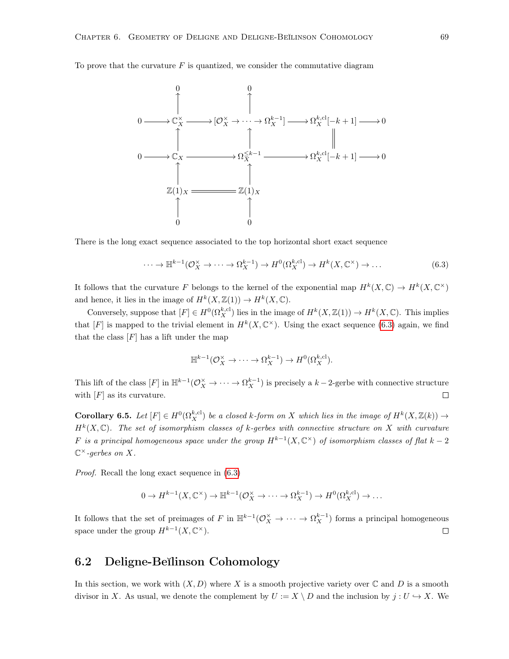To prove that the curvature  $F$  is quantized, we consider the commutative diagram



There is the long exact sequence associated to the top horizontal short exact sequence

<span id="page-74-0"></span>
$$
\cdots \to \mathbb{H}^{k-1}(\mathcal{O}_X^{\times} \to \cdots \to \Omega_X^{k-1}) \to H^0(\Omega_X^{k, \mathrm{cl}}) \to H^k(X, \mathbb{C}^{\times}) \to \dots
$$
\n(6.3)

It follows that the curvature F belongs to the kernel of the exponential map  $H^k(X, \mathbb{C}) \to H^k(X, \mathbb{C}^\times)$ and hence, it lies in the image of  $H^k(X, \mathbb{Z}(1)) \to H^k(X, \mathbb{C})$ .

Conversely, suppose that  $[F] \in H^0(\Omega_X^{k, \text{cl}})$  lies in the image of  $H^k(X, \mathbb{Z}(1)) \to H^k(X, \mathbb{C})$ . This implies that [F] is mapped to the trivial element in  $H^k(X,\mathbb{C}^\times)$ . Using the exact sequence [\(6.3\)](#page-74-0) again, we find that the class  $[F]$  has a lift under the map

$$
\mathbb{H}^{k-1}(\mathcal{O}_X^{\times} \to \cdots \to \Omega_X^{k-1}) \to H^0(\Omega_X^{k, \mathrm{cl}}).
$$

This lift of the class  $[F]$  in  $\mathbb{H}^{k-1}(\mathcal{O}_X^{\times} \to \cdots \to \Omega_X^{k-1})$  is precisely a  $k-2$ -gerbe with connective structure with  $[F]$  as its curvature.  $\Box$ 

<span id="page-74-1"></span>**Corollary 6.5.** Let  $[F] \in H^0(\Omega_X^{k, \text{cl}})$  be a closed k-form on X which lies in the image of  $H^k(X, \mathbb{Z}(k)) \to$  $H^k(X,\mathbb{C})$ . The set of isomorphism classes of k-gerbes with connective structure on X with curvature F is a principal homogeneous space under the group  $H^{k-1}(X,\mathbb{C}^{\times})$  of isomorphism classes of flat  $k-2$  $\mathbb{C}^{\times}$ -gerbes on X.

Proof. Recall the long exact sequence in [\(6.3\)](#page-74-0)

$$
0 \to H^{k-1}(X, \mathbb{C}^{\times}) \to \mathbb{H}^{k-1}(\mathcal{O}_X^{\times} \to \cdots \to \Omega_X^{k-1}) \to H^0(\Omega_X^{k, \mathrm{cl}}) \to \ldots
$$

It follows that the set of preimages of F in  $\mathbb{H}^{k-1}(\mathcal{O}_X^{\times} \to \cdots \to \Omega_X^{k-1})$  forms a principal homogeneous space under the group  $H^{k-1}(X,\mathbb{C}^{\times}).$  $\Box$ 

## 6.2 Deligne-Beĭlinson Cohomology

In this section, we work with  $(X, D)$  where X is a smooth projective variety over  $\mathbb C$  and D is a smooth divisor in X. As usual, we denote the complement by  $U := X \setminus D$  and the inclusion by  $j : U \hookrightarrow X$ . We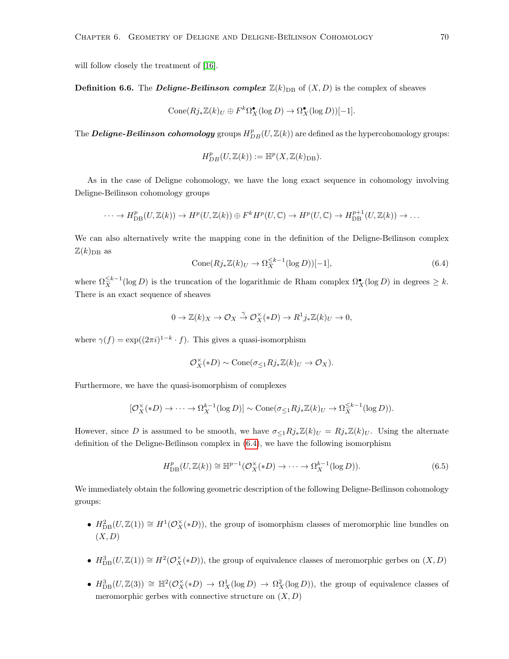will follow closely the treatment of  $[16]$ .

**Definition 6.6.** The *Deligne-Beilinson complex*  $\mathbb{Z}(k)_{\text{DB}}$  of  $(X, D)$  is the complex of sheaves

$$
Cone(Rj_*\mathbb{Z}(k)_U \oplus F^k\Omega_X^{\bullet}(\log D) \to \Omega_X^{\bullet}(\log D))[-1].
$$

The  $\bm{Deligne}\bm{\text{-}Beilinson\,\, cohomology}$  groups  $H^p_{DB}(U,\mathbb Z(k))$  are defined as the hypercohomology groups:

$$
H_{DB}^p(U,\mathbb{Z}(k)) := \mathbb{H}^p(X,\mathbb{Z}(k)_{\text{DB}}).
$$

As in the case of Deligne cohomology, we have the long exact sequence in cohomology involving Deligne-Beĭlinson cohomology groups

$$
\cdots \to H_{\rm DB}^{p}(U, \mathbb{Z}(k)) \to H^{p}(U, \mathbb{Z}(k)) \oplus F^{k}H^{p}(U, \mathbb{C}) \to H^{p}(U, \mathbb{C}) \to H_{\rm DB}^{p+1}(U, \mathbb{Z}(k)) \to \ldots
$$

We can also alternatively write the mapping cone in the definition of the Deligne-Beĭlinson complex  $\mathbb{Z}(k)_{\text{DB}}$  as

<span id="page-75-0"></span>
$$
Cone(Rj_*\mathbb{Z}(k)_U \to \Omega_X^{\leq k-1}(\log D))[-1],\tag{6.4}
$$

where  $\Omega_X^{\leq k-1}(\log D)$  is the truncation of the logarithmic de Rham complex  $\Omega_X^{\bullet}(\log D)$  in degrees  $\geq k$ . There is an exact sequence of sheaves

$$
0\to {\mathbb Z}(k)_X\to {\mathcal O}_X\stackrel{\gamma}{\to} {\mathcal O}_X^\times(*D)\to R^1j_*{\mathbb Z}(k)_U\to 0,
$$

where  $\gamma(f) = \exp((2\pi i)^{1-k} \cdot f)$ . This gives a quasi-isomorphism

$$
\mathcal{O}_X^{\times}(*D) \sim \text{Cone}(\sigma_{\leq 1}Rj_*\mathbb{Z}(k)_U \to \mathcal{O}_X).
$$

Furthermore, we have the quasi-isomorphism of complexes

$$
[\mathcal{O}_X^{\times}(*D) \to \cdots \to \Omega_X^{k-1}(\log D)] \sim \text{Cone}(\sigma_{\leq 1}Rj_*\mathbb{Z}(k)_U \to \Omega_X^{\leq k-1}(\log D)).
$$

However, since D is assumed to be smooth, we have  $\sigma_{\leq 1}Rj_*\mathbb{Z}(k)_U = Rj_*\mathbb{Z}(k)_U$ . Using the alternate definition of the Deligne-Beĭlinson complex in  $(6.4)$ , we have the following isomorphism

<span id="page-75-1"></span>
$$
H_{\text{DB}}^p(U, \mathbb{Z}(k)) \cong \mathbb{H}^{p-1}(\mathcal{O}_X^{\times}(*D) \to \cdots \to \Omega_X^{k-1}(\log D)).
$$
\n
$$
(6.5)
$$

We immediately obtain the following geometric description of the following Deligne-Beĭlinson cohomology groups:

- $H_{\text{DB}}^2(U,\mathbb{Z}(1)) \cong H^1(\mathcal{O}_X^{\times}(*D))$ , the group of isomorphism classes of meromorphic line bundles on  $(X, D)$
- $H_{\text{DB}}^3(U, \mathbb{Z}(1)) \cong H^2(\mathcal{O}_X^{\times}(*D))$ , the group of equivalence classes of meromorphic gerbes on  $(X, D)$
- $H_{\text{DB}}^3(U,\mathbb{Z}(3)) \cong \mathbb{H}^2(\mathcal{O}_X^{\times}(*D) \to \Omega_X^1(\log D) \to \Omega_X^2(\log D)),$  the group of equivalence classes of meromorphic gerbes with connective structure on  $(X, D)$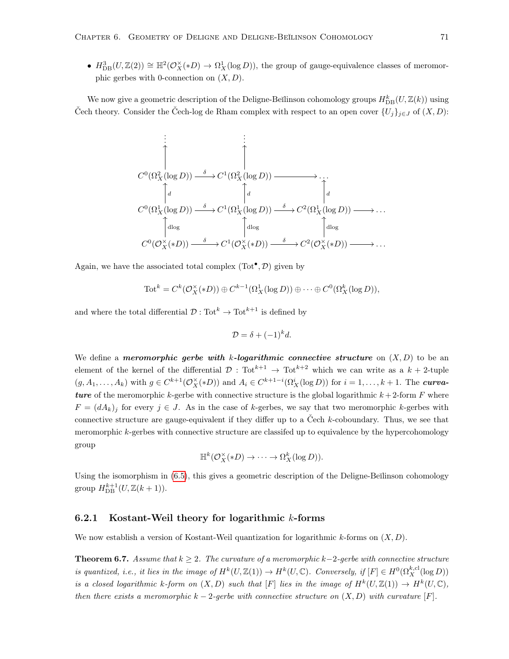•  $H_{\text{DB}}^3(U,\mathbb{Z}(2)) \cong \mathbb{H}^2(\mathcal{O}_X^{\times}(*D) \to \Omega_X^1(\log D))$ , the group of gauge-equivalence classes of meromorphic gerbes with 0-connection on  $(X, D)$ .

We now give a geometric description of the Deligne-Beĭlinson cohomology groups  $H_{\text{DB}}^k(U, \mathbb{Z}(k))$  using Čech theory. Consider the Čech-log de Rham complex with respect to an open cover  $\{U_j\}_{j\in J}$  of  $(X,D)$ :

$$
C^{0}(\Omega_{X}^{2}(\log D)) \xrightarrow{\delta} C^{1}(\Omega_{X}^{2}(\log D)) \longrightarrow \dots
$$
  
\n
$$
C^{0}(\Omega_{X}^{1}(\log D)) \xrightarrow{\delta} C^{1}(\Omega_{X}^{1}(\log D)) \xrightarrow{\delta} C^{2}(\Omega_{X}^{1}(\log D)) \longrightarrow \dots
$$
  
\n
$$
\downarrow d
$$
  
\n
$$
C^{0}(\Omega_{X}^{1}(\log D)) \xrightarrow{\delta} C^{1}(\Omega_{X}^{1}(\log D)) \xrightarrow{\delta} C^{2}(\Omega_{X}^{1}(\log D)) \longrightarrow \dots
$$
  
\n
$$
C^{0}(\mathcal{O}_{X}^{\times}(*D)) \xrightarrow{\delta} C^{1}(\mathcal{O}_{X}^{\times}(*D)) \xrightarrow{\delta} C^{2}(\mathcal{O}_{X}^{\times}(*D)) \longrightarrow \dots
$$

Again, we have the associated total complex  $(Tot^{\bullet}, \mathcal{D})$  given by

$$
\mathrm{Tot}^k = C^k(\mathcal{O}_X^{\times}(*D)) \oplus C^{k-1}(\Omega_X^1(\log D)) \oplus \cdots \oplus C^0(\Omega_X^k(\log D)),
$$

and where the total differential  $\mathcal{D}: \text{Tot}^{k} \to \text{Tot}^{k+1}$  is defined by

$$
\mathcal{D} = \delta + (-1)^k d.
$$

We define a meromorphic gerbe with k-logarithmic connective structure on  $(X, D)$  to be an element of the kernel of the differential  $\mathcal{D}: \text{Tot}^{k+1} \to \text{Tot}^{k+2}$  which we can write as a  $k+2$ -tuple  $(g, A_1, \ldots, A_k)$  with  $g \in C^{k+1}(\mathcal{O}_X^{\times}(*D))$  and  $A_i \in C^{k+1-i}(\Omega_X^i(\log D))$  for  $i = 1, \ldots, k+1$ . The **curva**ture of the meromorphic k-gerbe with connective structure is the global logarithmic  $k + 2$ -form F where  $F = (dA_k)_j$  for every  $j \in J$ . As in the case of k-gerbes, we say that two meromorphic k-gerbes with connective structure are gauge-equivalent if they differ up to a Čech k-coboundary. Thus, we see that meromorphic k-gerbes with connective structure are classifed up to equivalence by the hypercohomology group

$$
\mathbb{H}^k(\mathcal{O}_X^{\times}(*D) \to \cdots \to \Omega_X^k(\log D)).
$$

Using the isomorphism in  $(6.5)$ , this gives a geometric description of the Deligne-Beĭlinson cohomology group  $H_{\text{DB}}^{k+1}(U, \mathbb{Z}(k+1)).$ 

## 6.2.1 Kostant-Weil theory for logarithmic  $k$ -forms

We now establish a version of Kostant-Weil quantization for logarithmic k-forms on  $(X, D)$ .

**Theorem 6.7.** Assume that  $k \geq 2$ . The curvature of a meromorphic k-2-gerbe with connective structure is quantized, i.e., it lies in the image of  $H^k(U, \mathbb{Z}(1)) \to H^k(U, \mathbb{C})$ . Conversely, if  $[F] \in H^0(\Omega_X^{k, \text{cl}}(\log D))$ is a closed logarithmic k-form on  $(X, D)$  such that  $[F]$  lies in the image of  $H^k(U, \mathbb{Z}(1)) \to H^k(U, \mathbb{C}),$ then there exists a meromorphic  $k-2$ -gerbe with connective structure on  $(X,D)$  with curvature [F].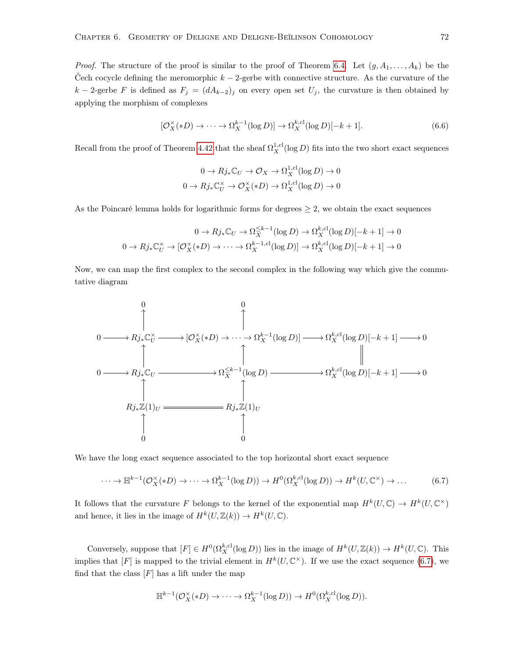*Proof.* The structure of the proof is similar to the proof of Theorem [6.4.](#page-73-0) Let  $(g, A_1, \ldots, A_k)$  be the Čech cocycle defining the meromorphic  $k-2$ -gerbe with connective structure. As the curvature of the k – 2-gerbe F is defined as  $F_j = (dA_{k-2})_j$  on every open set  $U_j$ , the curvature is then obtained by applying the morphism of complexes

$$
[\mathcal{O}_X^{\times}(*D) \to \cdots \to \Omega_X^{k-1}(\log D)] \to \Omega_X^{k, \text{cl}}(\log D)[-k+1].\tag{6.6}
$$

Recall from the proof of Theorem [4.42](#page-43-0) that the sheaf  $\Omega_X^{1,\text{cl}}(\log D)$  fits into the two short exact sequences

$$
0 \to Rj_*\mathbb{C}_U \to \mathcal{O}_X \to \Omega_X^{1,\text{cl}}(\log D) \to 0
$$
  

$$
0 \to Rj_*\mathbb{C}_U^\times \to \mathcal{O}_X^\times(*D) \to \Omega_X^{1,\text{cl}}(\log D) \to 0
$$

As the Poincaré lemma holds for logarithmic forms for degrees  $\geq 2$ , we obtain the exact sequences

$$
0 \to Rj_*\mathbb{C}_U \to \Omega_X^{\leq k-1}(\log D) \to \Omega_X^{k, \text{cl}}(\log D)[-k+1] \to 0
$$
  

$$
0 \to Rj_*\mathbb{C}_U^\times \to [\mathcal{O}_X^\times(*D) \to \cdots \to \Omega_X^{k-1, \text{cl}}(\log D)] \to \Omega_X^{k, \text{cl}}(\log D)[-k+1] \to 0
$$

Now, we can map the first complex to the second complex in the following way which give the commutative diagram

$$
0 \longrightarrow Rj_{*}\mathbb{C}_{U}^{\times} \longrightarrow [\mathcal{O}_{X}^{\times}(*D) \to \cdots \to \Omega_{X}^{k-1}(\log D)] \longrightarrow \Omega_{X}^{k,\text{cl}}(\log D)[-k+1] \longrightarrow 0
$$
  
\n
$$
0 \longrightarrow Rj_{*}\mathbb{C}_{U} \longrightarrow \Omega_{X}^{\leq k-1}(\log D) \longrightarrow \Omega_{X}^{k,\text{cl}}(\log D)[-k+1] \longrightarrow 0
$$
  
\n
$$
\uparrow
$$
  
\n
$$
Rj_{*}\mathbb{Z}(1)_{U} \longrightarrow \uparrow
$$
  
\n
$$
\uparrow
$$
  
\n0  
\n0  
\n0

We have the long exact sequence associated to the top horizontal short exact sequence

<span id="page-77-0"></span>
$$
\cdots \to \mathbb{H}^{k-1}(\mathcal{O}_X^{\times}(*D) \to \cdots \to \Omega_X^{k-1}(\log D)) \to H^0(\Omega_X^{k, \mathrm{cl}}(\log D)) \to H^k(U, \mathbb{C}^\times) \to \dots \tag{6.7}
$$

It follows that the curvature F belongs to the kernel of the exponential map  $H^k(U,\mathbb{C}) \to H^k(U,\mathbb{C}^\times)$ and hence, it lies in the image of  $H^k(U, \mathbb{Z}(k)) \to H^k(U, \mathbb{C})$ .

Conversely, suppose that  $[F] \in H^0(\Omega_X^{k, \text{cl}}(\log D))$  lies in the image of  $H^k(U, \mathbb{Z}(k)) \to H^k(U, \mathbb{C})$ . This implies that  $[F]$  is mapped to the trivial element in  $H^k(U, \mathbb{C}^\times)$ . If we use the exact sequence [\(6.7\)](#page-77-0), we find that the class  $[F]$  has a lift under the map

$$
\mathbb{H}^{k-1}(\mathcal{O}_X^{\times}(*D) \to \cdots \to \Omega_X^{k-1}(\log D)) \to H^0(\Omega_X^{k, \text{cl}}(\log D)).
$$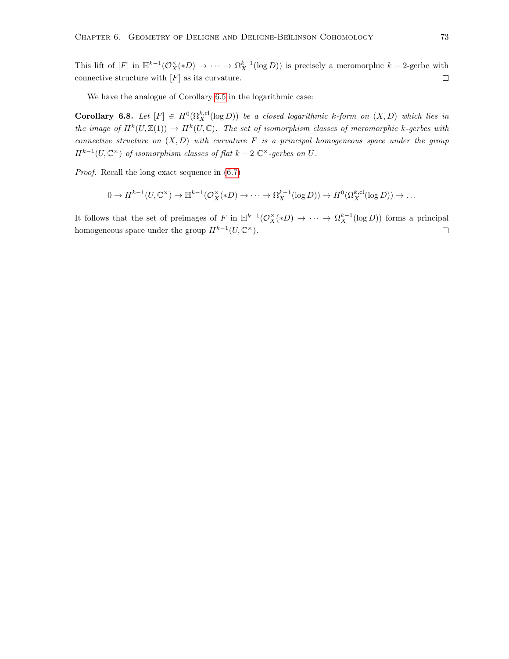This lift of  $[F]$  in  $\mathbb{H}^{k-1}(\mathcal{O}_X^{\times}(*D) \to \cdots \to \Omega_X^{k-1}(\log D))$  is precisely a meromorphic  $k-2$ -gerbe with connective structure with  $[F]$  as its curvature.  $\Box$ 

We have the analogue of Corollary [6.5](#page-74-1) in the logarithmic case:

**Corollary 6.8.** Let  $[F] \in H^0(\Omega_X^{k,cl}(\log D))$  be a closed logarithmic k-form on  $(X, D)$  which lies in the image of  $H^k(U,\mathbb{Z}(1)) \to H^k(U,\mathbb{C})$ . The set of isomorphism classes of meromorphic k-gerbes with connective structure on  $(X, D)$  with curvature F is a principal homogeneous space under the group  $H^{k-1}(U, \mathbb{C}^{\times})$  of isomorphism classes of flat  $k-2 \mathbb{C}^{\times}$ -gerbes on U.

Proof. Recall the long exact sequence in [\(6.7\)](#page-77-0)

$$
0 \to H^{k-1}(U, \mathbb{C}^{\times}) \to \mathbb{H}^{k-1}(\mathcal{O}_X^{\times}(*D) \to \cdots \to \Omega_X^{k-1}(\log D)) \to H^0(\Omega_X^{k, \text{cl}}(\log D)) \to \dots
$$

It follows that the set of preimages of F in  $\mathbb{H}^{k-1}(\mathcal{O}_X^{\times}(*D) \to \cdots \to \Omega_X^{k-1}(\log D))$  forms a principal homogeneous space under the group  $H^{k-1}(U,\mathbb{C}^{\times}).$  $\Box$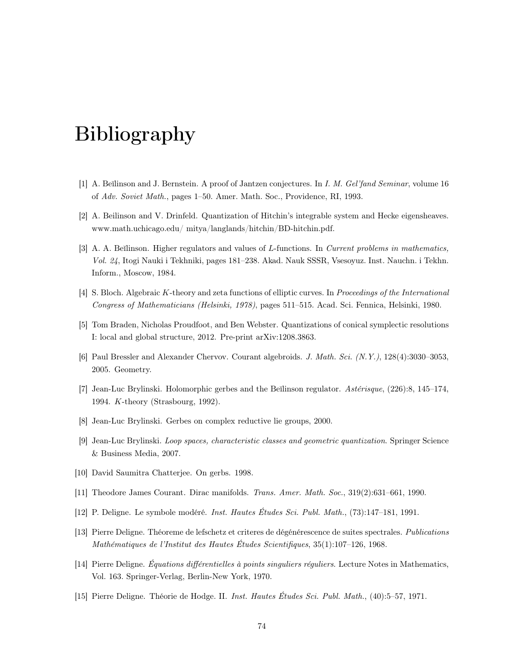## Bibliography

- [1] A. Beĭlinson and J. Bernstein. A proof of Jantzen conjectures. In I. M. Gel'fand Seminar, volume 16 of Adv. Soviet Math., pages 1–50. Amer. Math. Soc., Providence, RI, 1993.
- [2] A. Beilinson and V. Drinfeld. Quantization of Hitchin's integrable system and Hecke eigensheaves. www.math.uchicago.edu/ mitya/langlands/hitchin/BD-hitchin.pdf.
- [3] A. A. Beïlinson. Higher regulators and values of L-functions. In Current problems in mathematics, Vol. 24, Itogi Nauki i Tekhniki, pages 181–238. Akad. Nauk SSSR, Vsesoyuz. Inst. Nauchn. i Tekhn. Inform., Moscow, 1984.
- [4] S. Bloch. Algebraic K-theory and zeta functions of elliptic curves. In Proceedings of the International Congress of Mathematicians (Helsinki, 1978), pages 511–515. Acad. Sci. Fennica, Helsinki, 1980.
- [5] Tom Braden, Nicholas Proudfoot, and Ben Webster. Quantizations of conical symplectic resolutions I: local and global structure, 2012. Pre-print arXiv:1208.3863.
- [6] Paul Bressler and Alexander Chervov. Courant algebroids. J. Math. Sci. (N.Y.), 128(4):3030–3053, 2005. Geometry.
- [7] Jean-Luc Brylinski. Holomorphic gerbes and the Beĭlinson regulator. Astérisque, (226):8, 145–174, 1994. K-theory (Strasbourg, 1992).
- [8] Jean-Luc Brylinski. Gerbes on complex reductive lie groups, 2000.
- <span id="page-79-0"></span>[9] Jean-Luc Brylinski. Loop spaces, characteristic classes and geometric quantization. Springer Science & Business Media, 2007.
- [10] David Saumitra Chatterjee. On gerbs. 1998.
- [11] Theodore James Courant. Dirac manifolds. Trans. Amer. Math. Soc., 319(2):631–661, 1990.
- [12] P. Deligne. Le symbole modéré. Inst. Hautes Études Sci. Publ. Math., (73):147–181, 1991.
- [13] Pierre Deligne. Théoreme de lefschetz et criteres de dégénérescence de suites spectrales. Publications Mathématiques de l'Institut des Hautes Études Scientifiques, 35(1):107–126, 1968.
- [14] Pierre Deligne. Équations différentielles à points singuliers réguliers. Lecture Notes in Mathematics, Vol. 163. Springer-Verlag, Berlin-New York, 1970.
- [15] Pierre Deligne. Théorie de Hodge. II. Inst. Hautes Études Sci. Publ. Math., (40):5–57, 1971.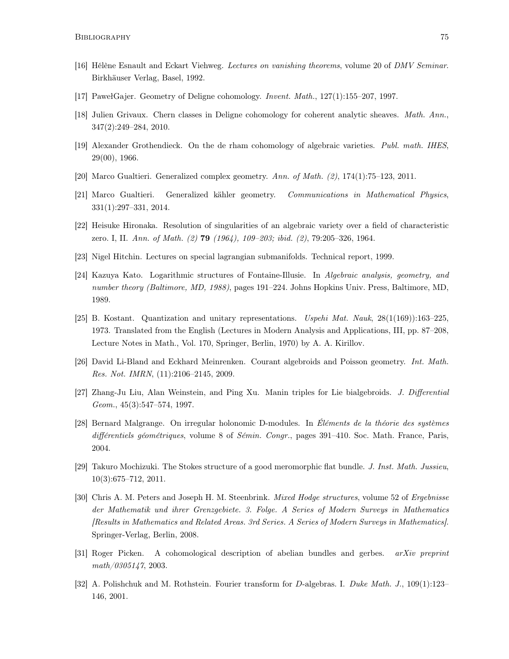- <span id="page-80-2"></span>[16] Hélène Esnault and Eckart Viehweg. Lectures on vanishing theorems, volume 20 of DMV Seminar. Birkhäuser Verlag, Basel, 1992.
- <span id="page-80-0"></span>[17] PawełGajer. Geometry of Deligne cohomology. Invent. Math., 127(1):155–207, 1997.
- [18] Julien Grivaux. Chern classes in Deligne cohomology for coherent analytic sheaves. Math. Ann., 347(2):249–284, 2010.
- [19] Alexander Grothendieck. On the de rham cohomology of algebraic varieties. Publ. math. IHES, 29(00), 1966.
- [20] Marco Gualtieri. Generalized complex geometry. Ann. of Math. (2), 174(1):75–123, 2011.
- [21] Marco Gualtieri. Generalized kähler geometry. Communications in Mathematical Physics, 331(1):297–331, 2014.
- [22] Heisuke Hironaka. Resolution of singularities of an algebraic variety over a field of characteristic zero. I, II. Ann. of Math. (2) 79 (1964), 109–203; ibid. (2), 79:205–326, 1964.
- [23] Nigel Hitchin. Lectures on special lagrangian submanifolds. Technical report, 1999.
- [24] Kazuya Kato. Logarithmic structures of Fontaine-Illusie. In Algebraic analysis, geometry, and number theory (Baltimore, MD, 1988), pages 191–224. Johns Hopkins Univ. Press, Baltimore, MD, 1989.
- <span id="page-80-1"></span>[25] B. Kostant. Quantization and unitary representations. Uspehi Mat. Nauk, 28(1(169)):163–225, 1973. Translated from the English (Lectures in Modern Analysis and Applications, III, pp. 87–208, Lecture Notes in Math., Vol. 170, Springer, Berlin, 1970) by A. A. Kirillov.
- [26] David Li-Bland and Eckhard Meinrenken. Courant algebroids and Poisson geometry. Int. Math. Res. Not. IMRN, (11):2106–2145, 2009.
- [27] Zhang-Ju Liu, Alan Weinstein, and Ping Xu. Manin triples for Lie bialgebroids. J. Differential Geom., 45(3):547–574, 1997.
- [28] Bernard Malgrange. On irregular holonomic D-modules. In Éléments de la théorie des systèmes différentiels géométriques, volume 8 of Sémin. Congr., pages 391-410. Soc. Math. France, Paris, 2004.
- [29] Takuro Mochizuki. The Stokes structure of a good meromorphic flat bundle. J. Inst. Math. Jussieu, 10(3):675–712, 2011.
- [30] Chris A. M. Peters and Joseph H. M. Steenbrink. *Mixed Hodge structures*, volume 52 of *Ergebnisse* der Mathematik und ihrer Grenzgebiete. 3. Folge. A Series of Modern Surveys in Mathematics [Results in Mathematics and Related Areas. 3rd Series. A Series of Modern Surveys in Mathematics]. Springer-Verlag, Berlin, 2008.
- [31] Roger Picken. A cohomological description of abelian bundles and gerbes. arXiv preprint math/0305147, 2003.
- [32] A. Polishchuk and M. Rothstein. Fourier transform for D-algebras. I. Duke Math. J., 109(1):123– 146, 2001.